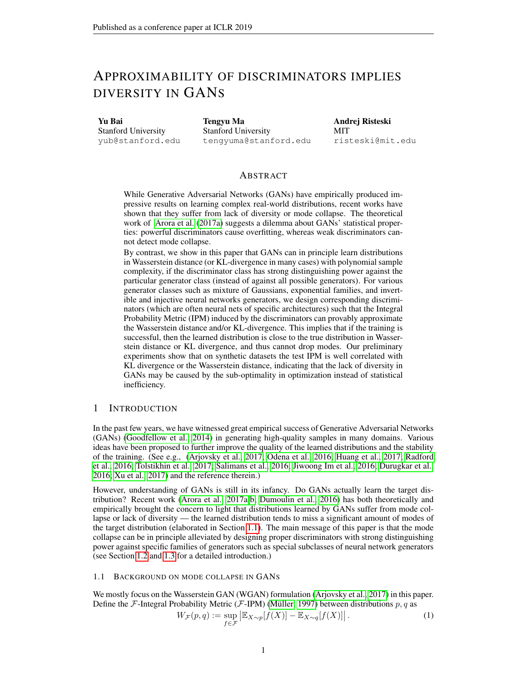# APPROXIMABILITY OF DISCRIMINATORS IMPLIES DIVERSITY IN GANS

Yu Bai Stanford University yub@stanford.edu Tengyu Ma Stanford University tengyuma@stanford.edu Andrej Risteski MIT risteski@mit.edu

# ABSTRACT

While Generative Adversarial Networks (GANs) have empirically produced impressive results on learning complex real-world distributions, recent works have shown that they suffer from lack of diversity or mode collapse. The theoretical work of [Arora et al.](#page-10-0) [\(2017a\)](#page-10-0) suggests a dilemma about GANs' statistical properties: powerful discriminators cause overfitting, whereas weak discriminators cannot detect mode collapse.

By contrast, we show in this paper that GANs can in principle learn distributions in Wasserstein distance (or KL-divergence in many cases) with polynomial sample complexity, if the discriminator class has strong distinguishing power against the particular generator class (instead of against all possible generators). For various generator classes such as mixture of Gaussians, exponential families, and invertible and injective neural networks generators, we design corresponding discriminators (which are often neural nets of specific architectures) such that the Integral Probability Metric (IPM) induced by the discriminators can provably approximate the Wasserstein distance and/or KL-divergence. This implies that if the training is successful, then the learned distribution is close to the true distribution in Wasserstein distance or KL divergence, and thus cannot drop modes. Our preliminary experiments show that on synthetic datasets the test IPM is well correlated with KL divergence or the Wasserstein distance, indicating that the lack of diversity in GANs may be caused by the sub-optimality in optimization instead of statistical inefficiency.

# 1 INTRODUCTION

In the past few years, we have witnessed great empirical success of Generative Adversarial Networks (GANs) [\(Goodfellow et al., 2014\)](#page-10-1) in generating high-quality samples in many domains. Various ideas have been proposed to further improve the quality of the learned distributions and the stability of the training. (See e.g., [\(Arjovsky et al., 2017;](#page-9-0) [Odena et al., 2016;](#page-11-0) [Huang et al., 2017;](#page-10-2) [Radford](#page-11-1) [et al., 2016;](#page-11-1) [Tolstikhin et al., 2017;](#page-11-2) [Salimans et al., 2016;](#page-11-3) [Jiwoong Im et al., 2016;](#page-10-3) [Durugkar et al.,](#page-10-4) [2016;](#page-10-4) [Xu et al., 2017\)](#page-11-4) and the reference therein.)

However, understanding of GANs is still in its infancy. Do GANs actually learn the target distribution? Recent work [\(Arora et al., 2017a;](#page-10-0)[b;](#page-10-5) [Dumoulin et al., 2016\)](#page-10-6) has both theoretically and empirically brought the concern to light that distributions learned by GANs suffer from mode collapse or lack of diversity — the learned distribution tends to miss a significant amount of modes of the target distribution (elaborated in Section [1.1\)](#page-0-0). The main message of this paper is that the mode collapse can be in principle alleviated by designing proper discriminators with strong distinguishing power against specific families of generators such as special subclasses of neural network generators (see Section [1.2](#page-1-0) and [1.3](#page-2-0) for a detailed introduction.)

## <span id="page-0-0"></span>1.1 BACKGROUND ON MODE COLLAPSE IN GANS

We mostly focus on the Wasserstein GAN (WGAN) formulation [\(Arjovsky et al., 2017\)](#page-9-0) in this paper. Define the F-Integral Probability Metric (F-IPM) (Müller, 1997) between distributions  $p, q$  as

<span id="page-0-1"></span>
$$
W_{\mathcal{F}}(p,q) := \sup_{f \in \mathcal{F}} \left| \mathbb{E}_{X \sim p}[f(X)] - \mathbb{E}_{X \sim q}[f(X)] \right|.
$$
 (1)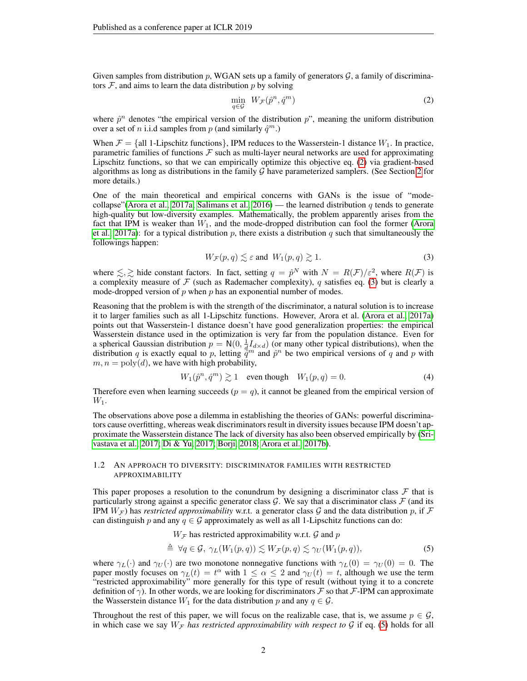Given samples from distribution p, WGAN sets up a family of generators  $\mathcal{G}$ , a family of discriminators  $F$ , and aims to learn the data distribution p by solving

<span id="page-1-1"></span>
$$
\min_{q \in \mathcal{G}} \ W_{\mathcal{F}}(\hat{p}^n, \hat{q}^m) \tag{2}
$$

where  $\hat{p}^n$  denotes "the empirical version of the distribution  $p$ ", meaning the uniform distribution over a set of *n* i.i.d samples from *p* (and similarly  $\hat{q}^m$ .)

When  $\mathcal{F} = \{\text{all 1-Lipschitz functions}\}\$ , IPM reduces to the Wasserstein-1 distance  $W_1$ . In practice, parametric families of functions  $F$  such as multi-layer neural networks are used for approximating Lipschitz functions, so that we can empirically optimize this objective eq. [\(2\)](#page-1-1) via gradient-based algorithms as long as distributions in the family  $G$  have parameterized samplers. (See Section [2](#page-3-0) for more details.)

One of the main theoretical and empirical concerns with GANs is the issue of "mode-collapse"[\(Arora et al., 2017a;](#page-10-0) [Salimans et al., 2016\)](#page-11-3) — the learned distribution q tends to generate high-quality but low-diversity examples. Mathematically, the problem apparently arises from the fact that IPM is weaker than  $W_1$ , and the mode-dropped distribution can fool the former [\(Arora](#page-10-0) [et al., 2017a\)](#page-10-0): for a typical distribution p, there exists a distribution q such that simultaneously the followings happen:

<span id="page-1-2"></span>
$$
W_{\mathcal{F}}(p,q) \lesssim \varepsilon \text{ and } W_1(p,q) \gtrsim 1.
$$
 (3)

where  $\leq, \geq$  hide constant factors. In fact, setting  $q = \hat{p}^N$  with  $N = R(\mathcal{F})/\varepsilon^2$ , where  $R(\mathcal{F})$  is a complexity measure of  $\mathcal F$  (such as Rademacher complexity), q satisfies eq. [\(3\)](#page-1-2) but is clearly a mode-dropped version of  $p$  when  $p$  has an exponential number of modes.

Reasoning that the problem is with the strength of the discriminator, a natural solution is to increase it to larger families such as all 1-Lipschitz functions. However, Arora et al. [\(Arora et al., 2017a\)](#page-10-0) points out that Wasserstein-1 distance doesn't have good generalization properties: the empirical Wasserstein distance used in the optimization is very far from the population distance. Even for a spherical Gaussian distribution  $p = N(0, \frac{1}{d}I_{d \times d})$  (or many other typical distributions), when the distribution q is exactly equal to p, letting  $\tilde{q}^m$  and  $\hat{p}^n$  be two empirical versions of q and p with  $m, n = \text{poly}(d)$ , we have with high probability,

$$
W_1(\hat{p}^n, \hat{q}^m) \gtrsim 1 \quad \text{even though} \quad W_1(p, q) = 0. \tag{4}
$$

Therefore even when learning succeeds  $(p = q)$ , it cannot be gleaned from the empirical version of  $W_1$ .

The observations above pose a dilemma in establishing the theories of GANs: powerful discriminators cause overfitting, whereas weak discriminators result in diversity issues because IPM doesn't approximate the Wasserstein distance The lack of diversity has also been observed empirically by [\(Sri](#page-11-5)[vastava et al., 2017;](#page-11-5) [Di & Yu, 2017;](#page-10-8) [Borji, 2018;](#page-10-9) [Arora et al., 2017b\)](#page-10-5).

#### <span id="page-1-0"></span>1.2 AN APPROACH TO DIVERSITY: DISCRIMINATOR FAMILIES WITH RESTRICTED APPROXIMABILITY

This paper proposes a resolution to the conundrum by designing a discriminator class  $\mathcal F$  that is particularly strong against a specific generator class  $\mathcal G$ . We say that a discriminator class  $\mathcal F$  (and its IPM  $W_{\mathcal{F}}$ ) has *restricted approximability* w.r.t. a generator class G and the data distribution p, if  $\mathcal F$ can distinguish p and any  $q \in \mathcal{G}$  approximately as well as all 1-Lipschitz functions can do:

<span id="page-1-3"></span> $W_{\mathcal{F}}$  has restricted approximability w.r.t.  $\mathcal G$  and  $p$ 

$$
\triangleq \forall q \in \mathcal{G}, \ \gamma_L(W_1(p,q)) \lesssim W_{\mathcal{F}}(p,q) \lesssim \gamma_U(W_1(p,q)), \tag{5}
$$

where  $\gamma_L(\cdot)$  and  $\gamma_U(\cdot)$  are two monotone nonnegative functions with  $\gamma_L(0) = \gamma_U(0) = 0$ . The paper mostly focuses on  $\gamma_L(t) = t^{\alpha}$  with  $1 \leq \alpha \leq 2$  and  $\gamma_U(t) = t$ , although we use the term "restricted approximability" more generally for this type of result (without tying it to a concrete definition of  $\gamma$ ). In other words, we are looking for discriminators F so that F-IPM can approximate the Wasserstein distance  $W_1$  for the data distribution p and any  $q \in \mathcal{G}$ .

Throughout the rest of this paper, we will focus on the realizable case, that is, we assume  $p \in \mathcal{G}$ , in which case we say  $W_F$  *has restricted approximability with respect to*  $\mathcal G$  if eq. [\(5\)](#page-1-3) holds for all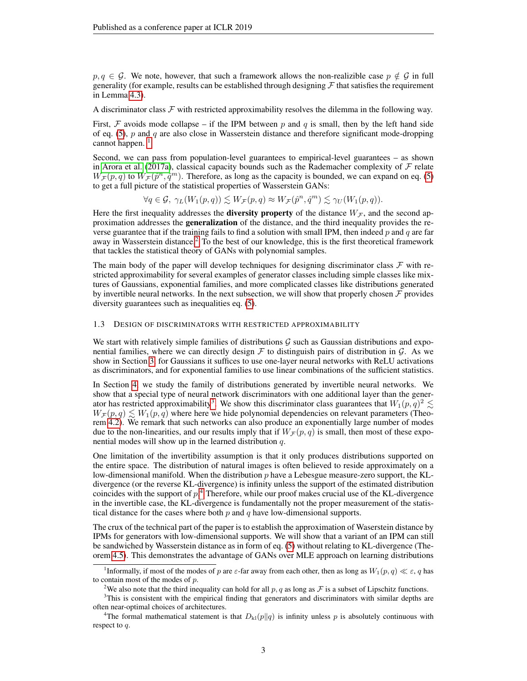$p, q \in \mathcal{G}$ . We note, however, that such a framework allows the non-realizible case  $p \notin \mathcal{G}$  in full generality (for example, results can be established through designing  $\mathcal F$  that satisfies the requirement in Lemma [4.3\)](#page-6-0).

A discriminator class  $\mathcal F$  with restricted approximability resolves the dilemma in the following way.

First, F avoids mode collapse – if the IPM between p and q is small, then by the left hand side of eq. [\(5\)](#page-1-3), p and q are also close in Wasserstein distance and therefore significant mode-dropping cannot happen.  $<sup>1</sup>$  $<sup>1</sup>$  $<sup>1</sup>$ </sup>

Second, we can pass from population-level guarantees to empirical-level guarantees – as shown in [Arora et al.](#page-10-0) [\(2017a\)](#page-10-0), classical capacity bounds such as the Rademacher complexity of  $\mathcal F$  relate  $W_{\mathcal{F}}(p,q)$  to  $W_{\mathcal{F}}(\hat{p}^n,\hat{q}^m)$ . Therefore, as long as the capacity is bounded, we can expand on eq. [\(5\)](#page-1-3) to get a full picture of the statistical properties of Wasserstein GANs:

$$
\forall q \in \mathcal{G}, \ \gamma_L(W_1(p,q)) \lesssim W_{\mathcal{F}}(p,q) \approx W_{\mathcal{F}}(\hat{p}^n, \hat{q}^m) \lesssim \gamma_U(W_1(p,q)).
$$

Here the first inequality addresses the **diversity property** of the distance  $W_{\mathcal{F}}$ , and the second approximation addresses the generalization of the distance, and the third inequality provides the reverse guarantee that if the training fails to find a solution with small IPM, then indeed  $p$  and  $q$  are far away in Wasserstein distance.<sup>[2](#page-2-2)</sup> To the best of our knowledge, this is the first theoretical framework that tackles the statistical theory of GANs with polynomial samples.

The main body of the paper will develop techniques for designing discriminator class  $\mathcal F$  with restricted approximability for several examples of generator classes including simple classes like mixtures of Gaussians, exponential families, and more complicated classes like distributions generated by invertible neural networks. In the next subsection, we will show that properly chosen  $\mathcal F$  provides diversity guarantees such as inequalities eq. [\(5\)](#page-1-3).

#### <span id="page-2-0"></span>1.3 DESIGN OF DISCRIMINATORS WITH RESTRICTED APPROXIMABILITY

We start with relatively simple families of distributions  $\mathcal G$  such as Gaussian distributions and exponential families, where we can directly design  $\mathcal F$  to distinguish pairs of distribution in  $\mathcal G$ . As we show in Section [3,](#page-4-0) for Gaussians it suffices to use one-layer neural networks with ReLU activations as discriminators, and for exponential families to use linear combinations of the sufficient statistics.

In Section [4,](#page-5-0) we study the family of distributions generated by invertible neural networks. We show that a special type of neural network discriminators with one additional layer than the gener-ator has restricted approximability<sup>[3](#page-2-3)</sup>. We show this discriminator class guarantees that  $W_1(p,q)^2 \lesssim$  $W_{\mathcal{F}}(p,q) \lesssim W_1(p,q)$  where here we hide polynomial dependencies on relevant parameters (Theorem [4.2\)](#page-6-1). We remark that such networks can also produce an exponentially large number of modes due to the non-linearities, and our results imply that if  $W_{\mathcal{F}}(p,q)$  is small, then most of these exponential modes will show up in the learned distribution  $q$ .

One limitation of the invertibility assumption is that it only produces distributions supported on the entire space. The distribution of natural images is often believed to reside approximately on a low-dimensional manifold. When the distribution  $p$  have a Lebesgue measure-zero support, the KLdivergence (or the reverse KL-divergence) is infinity unless the support of the estimated distribution coincides with the support of  $p<sup>4</sup>$  $p<sup>4</sup>$  $p<sup>4</sup>$  Therefore, while our proof makes crucial use of the KL-divergence in the invertible case, the KL-divergence is fundamentally not the proper measurement of the statistical distance for the cases where both  $p$  and  $q$  have low-dimensional supports.

The crux of the technical part of the paper is to establish the approximation of Waserstein distance by IPMs for generators with low-dimensional supports. We will show that a variant of an IPM can still be sandwiched by Wasserstein distance as in form of eq. [\(5\)](#page-1-3) without relating to KL-divergence (Theorem [4.5\)](#page-7-0). This demonstrates the advantage of GANs over MLE approach on learning distributions

<span id="page-2-1"></span><sup>&</sup>lt;sup>1</sup>Informally, if most of the modes of p are  $\varepsilon$ -far away from each other, then as long as  $W_1(p,q) \ll \varepsilon$ , q has to contain most of the modes of p.

<span id="page-2-3"></span><span id="page-2-2"></span><sup>&</sup>lt;sup>2</sup>We also note that the third inequality can hold for all  $p, q$  as long as  $\mathcal F$  is a subset of Lipschitz functions.

<sup>&</sup>lt;sup>3</sup>This is consistent with the empirical finding that generators and discriminators with similar depths are often near-optimal choices of architectures.

<span id="page-2-4"></span><sup>&</sup>lt;sup>4</sup>The formal mathematical statement is that  $D_{kl}(p||q)$  is infinity unless p is absolutely continuous with respect to q.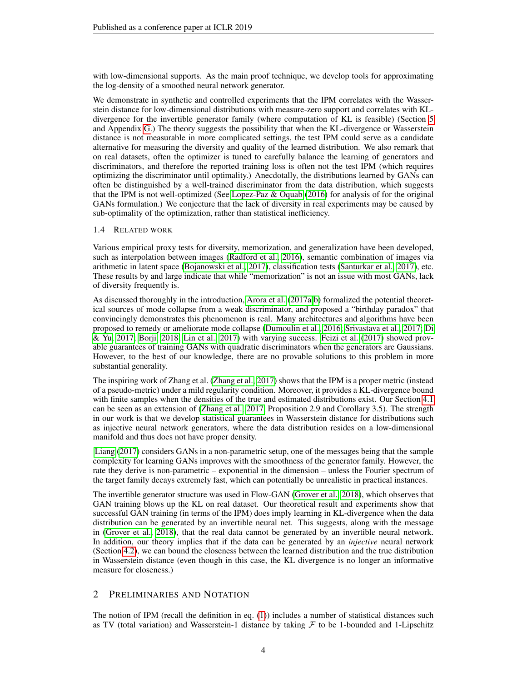with low-dimensional supports. As the main proof technique, we develop tools for approximating the log-density of a smoothed neural network generator.

We demonstrate in synthetic and controlled experiments that the IPM correlates with the Wasserstein distance for low-dimensional distributions with measure-zero support and correlates with KLdivergence for the invertible generator family (where computation of KL is feasible) (Section [5](#page-8-0) and Appendix [G.](#page-34-0)) The theory suggests the possibility that when the KL-divergence or Wasserstein distance is not measurable in more complicated settings, the test IPM could serve as a candidate alternative for measuring the diversity and quality of the learned distribution. We also remark that on real datasets, often the optimizer is tuned to carefully balance the learning of generators and discriminators, and therefore the reported training loss is often not the test IPM (which requires optimizing the discriminator until optimality.) Anecdotally, the distributions learned by GANs can often be distinguished by a well-trained discriminator from the data distribution, which suggests that the IPM is not well-optimized (See [Lopez-Paz & Oquab](#page-10-10) [\(2016\)](#page-10-10) for analysis of for the original GANs formulation.) We conjecture that the lack of diversity in real experiments may be caused by sub-optimality of the optimization, rather than statistical inefficiency.

# 1.4 RELATED WORK

Various empirical proxy tests for diversity, memorization, and generalization have been developed, such as interpolation between images [\(Radford et al., 2016\)](#page-11-1), semantic combination of images via arithmetic in latent space [\(Bojanowski et al., 2017\)](#page-10-11), classification tests [\(Santurkar et al., 2017\)](#page-11-6), etc. These results by and large indicate that while "memorization" is not an issue with most GANs, lack of diversity frequently is.

As discussed thoroughly in the introduction, [Arora et al.](#page-10-0) [\(2017a;](#page-10-0)[b\)](#page-10-5) formalized the potential theoretical sources of mode collapse from a weak discriminator, and proposed a "birthday paradox" that convincingly demonstrates this phenomenon is real. Many architectures and algorithms have been proposed to remedy or ameliorate mode collapse [\(Dumoulin et al., 2016;](#page-10-6) [Srivastava et al., 2017;](#page-11-5) [Di](#page-10-8) [& Yu, 2017;](#page-10-8) [Borji, 2018;](#page-10-9) [Lin et al., 2017\)](#page-10-12) with varying success. [Feizi et al.](#page-10-13) [\(2017\)](#page-10-13) showed provable guarantees of training GANs with quadratic discriminators when the generators are Gaussians. However, to the best of our knowledge, there are no provable solutions to this problem in more substantial generality.

The inspiring work of Zhang et al. [\(Zhang et al., 2017\)](#page-11-7) shows that the IPM is a proper metric (instead of a pseudo-metric) under a mild regularity condition. Moreover, it provides a KL-divergence bound with finite samples when the densities of the true and estimated distributions exist. Our Section [4.1](#page-5-1) can be seen as an extension of [\(Zhang et al., 2017,](#page-11-7) Proposition 2.9 and Corollary 3.5). The strength in our work is that we develop statistical guarantees in Wasserstein distance for distributions such as injective neural network generators, where the data distribution resides on a low-dimensional manifold and thus does not have proper density.

[Liang](#page-10-14) [\(2017\)](#page-10-14) considers GANs in a non-parametric setup, one of the messages being that the sample complexity for learning GANs improves with the smoothness of the generator family. However, the rate they derive is non-parametric – exponential in the dimension – unless the Fourier spectrum of the target family decays extremely fast, which can potentially be unrealistic in practical instances.

The invertible generator structure was used in Flow-GAN [\(Grover et al., 2018\)](#page-10-15), which observes that GAN training blows up the KL on real dataset. Our theoretical result and experiments show that successful GAN training (in terms of the IPM) does imply learning in KL-divergence when the data distribution can be generated by an invertible neural net. This suggests, along with the message in [\(Grover et al., 2018\)](#page-10-15), that the real data cannot be generated by an invertible neural network. In addition, our theory implies that if the data can be generated by an *injective* neural network (Section [4.2\)](#page-7-1), we can bound the closeness between the learned distribution and the true distribution in Wasserstein distance (even though in this case, the KL divergence is no longer an informative measure for closeness.)

# <span id="page-3-0"></span>2 PRELIMINARIES AND NOTATION

The notion of IPM (recall the definition in eq. [\(1\)](#page-0-1)) includes a number of statistical distances such as TV (total variation) and Wasserstein-1 distance by taking  $\mathcal F$  to be 1-bounded and 1-Lipschitz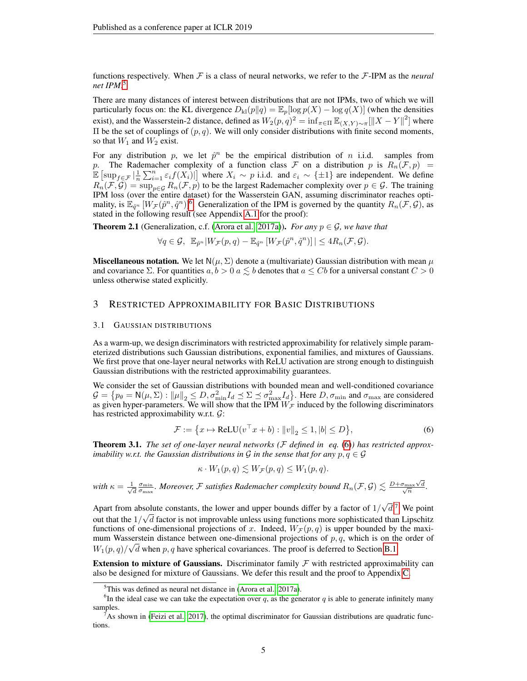functions respectively. When  $F$  is a class of neural networks, we refer to the  $F$ -IPM as the *neural net IPM*. [5](#page-4-1)

There are many distances of interest between distributions that are not IPMs, two of which we will particularly focus on: the KL divergence  $D_{kl}(p||q) = \mathbb{E}_p[\log p(X) - \log q(X)]$  (when the densities exist), and the Wasserstein-2 distance, defined as  $W_2(p,q)^2 = \inf_{\pi \in \Pi} \mathbb{E}_{(X,Y)\sim_{\pi}} [\|X-Y\|^2]$  where Π be the set of couplings of (p, q). We will only consider distributions with finite second moments, so that  $W_1$  and  $W_2$  exist.

For any distribution p, we let  $\hat{p}^n$  be the empirical distribution of n i.i.d. samples from p. The Rademacher complexity of a function class F on a distribution p is  $R_n(\mathcal{F}, p)$  =  $\mathbb{E} \left[ \sup_{f \in \mathcal{F}} \left| \frac{1}{n} \sum_{i=1}^n \varepsilon_i f(X_i) \right| \right]$  where  $X_i \sim p$  i.i.d. and  $\varepsilon_i \sim \{\pm 1\}$  are independent. We define  $R_n(\mathcal{F}, \mathcal{G}) = \sup_{p \in \mathcal{G}} R_n(\mathcal{F}, p)$  to be the largest Rademacher complexity over  $p \in \mathcal{G}$ . The training IPM loss (over the entire dataset) for the Wasserstein GAN, assuming discriminator reaches optimality, is  $\mathbb{E}_{\hat{q}^n}[W_{\mathcal{F}}(\hat{p}^n, \hat{q}^n)]^6$  $\mathbb{E}_{\hat{q}^n}[W_{\mathcal{F}}(\hat{p}^n, \hat{q}^n)]^6$ . Generalization of the IPM is governed by the quantity  $R_n(\mathcal{F}, \mathcal{G})$ , as stated in the following result (see Appendix [A.1](#page-12-0) for the proof):

<span id="page-4-5"></span>**Theorem 2.1** (Generalization, c.f. [\(Arora et al., 2017a\)](#page-10-0)). *For any*  $p \in \mathcal{G}$ *, we have that* 

$$
\forall q \in \mathcal{G}, \ \mathbb{E}_{\hat{p}^n} |W_{\mathcal{F}}(p,q) - \mathbb{E}_{\hat{q}^n} [W_{\mathcal{F}}(\hat{p}^n, \hat{q}^n)]| \leq 4R_n(\mathcal{F}, \mathcal{G}).
$$

**Miscellaneous notation.** We let  $N(\mu, \Sigma)$  denote a (multivariate) Gaussian distribution with mean  $\mu$ and covariance  $\Sigma$ . For quantities  $a, b > 0$   $a \leq b$  denotes that  $a \leq Cb$  for a universal constant  $C > 0$ unless otherwise stated explicitly.

# <span id="page-4-0"></span>3 RESTRICTED APPROXIMABILITY FOR BASIC DISTRIBUTIONS

## 3.1 GAUSSIAN DISTRIBUTIONS

As a warm-up, we design discriminators with restricted approximability for relatively simple parameterized distributions such Gaussian distributions, exponential families, and mixtures of Gaussians. We first prove that one-layer neural networks with ReLU activation are strong enough to distinguish Gaussian distributions with the restricted approximability guarantees.

We consider the set of Gaussian distributions with bounded mean and well-conditioned covariance  $\mathcal{G} = \{ p_\theta = \mathsf{N}(\mu, \Sigma) : ||\mu||_2 \leq D, \sigma_{\min}^2 I_d \leq \Sigma \leq \sigma_{\max}^2 I_d \}.$  Here  $D, \sigma_{\min}$  and  $\sigma_{\max}$  are considered as given hyper-parameters. We will show that the IPM  $W_{\mathcal{F}}$  induced by the following discriminators has restricted approximability w.r.t. G:

<span id="page-4-3"></span>
$$
\mathcal{F} := \left\{ x \mapsto \text{ReLU}(v^\top x + b) : ||v||_2 \le 1, |b| \le D \right\},\tag{6}
$$

<span id="page-4-6"></span>Theorem 3.1. *The set of one-layer neural networks (*F *defined in eq.* [\(6\)](#page-4-3)*) has restricted approximability w.r.t. the Gaussian distributions in* G *in the sense that for any*  $p, q \in \mathcal{G}$ 

$$
\kappa \cdot W_1(p,q) \lesssim W_{\mathcal{F}}(p,q) \leq W_1(p,q).
$$

*with*  $\kappa = \frac{1}{\sqrt{2}}$ d  $\frac{\sigma_{\min}}{\sigma_{\max}}$ . Moreover, F satisfies Rademacher complexity bound  $R_n(\mathcal{F}, \mathcal{G}) \lesssim \frac{D + \sigma_{\max} \sqrt{n}}{\sqrt{n}}$  $\frac{\sigma_{\max} \sqrt{d}}{\sqrt{n}}$ .

Apart from absolute constants, the lower and upper bounds differ by a factor of  $1/$ √ solute constants, the lower and upper bounds differ by a factor of  $1/\sqrt{d}$ .<sup>[7](#page-4-4)</sup> We point out that the  $1/\sqrt{d}$  factor is not improvable unless using functions more sophisticated than Lipschitz functions of one-dimensional projections of x. Indeed,  $W_{\mathcal{F}}(p,q)$  is upper bounded by the maximum Wasserstein distance between one-dimensional projections of  $p, q$ , which is on the order of  $W_1(p,q)/\sqrt{d}$  when p, q have spherical covariances. The proof is deferred to Section [B.1.](#page-12-1)

**Extension to mixture of Gaussians.** Discriminator family  $F$  with restricted approximability can also be designed for mixture of Gaussians. We defer this result and the proof to Appendix [C.](#page-15-0)

<span id="page-4-2"></span><span id="page-4-1"></span> $5$ This was defined as neural net distance in [\(Arora et al., 2017a\)](#page-10-0).

<sup>&</sup>lt;sup>6</sup>In the ideal case we can take the expectation over q, as the generator q is able to generate infinitely many samples.

<span id="page-4-4"></span>As shown in [\(Feizi et al., 2017\)](#page-10-13), the optimal discriminator for Gaussian distributions are quadratic functions.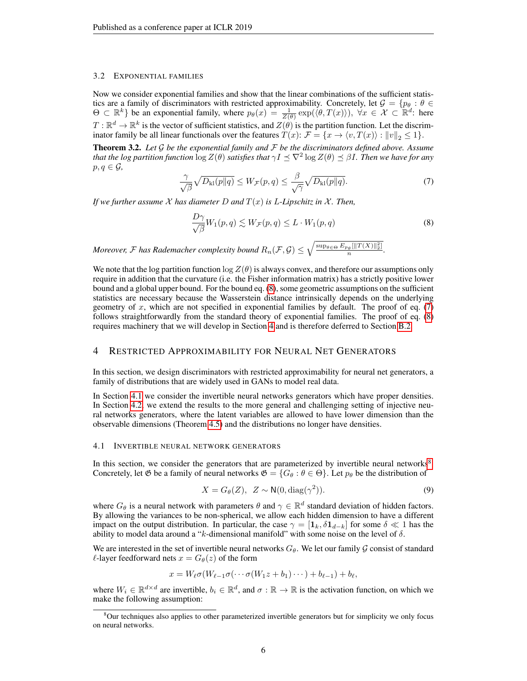#### 3.2 EXPONENTIAL FAMILIES

Now we consider exponential families and show that the linear combinations of the sufficient statistics are a family of discriminators with restricted approximability. Concretely, let  $\mathcal{G} = \{p_\theta : \theta \in$  $\Theta \subset \mathbb{R}^k$  be an exponential family, where  $p_\theta(x) = \frac{1}{Z(\theta)} \exp(\langle \theta, T(x) \rangle)$ ,  $\forall x \in \mathcal{X} \subset \mathbb{R}^d$ : here  $T: \mathbb{R}^d \to \mathbb{R}^k$  is the vector of sufficient statistics, and  $Z(\theta)$  is the partition function. Let the discriminator family be all linear functionals over the features  $\hat{T}(x)$ :  $\mathcal{F} = \{x \to \langle v, T(x) \rangle : ||v||_2 \leq 1\}.$ 

<span id="page-5-7"></span>Theorem 3.2. *Let* G *be the exponential family and* F *be the discriminators defined above. Assume that the log partition function*  $\log Z(\theta)$  *satisfies that*  $\gamma I \preceq \nabla^2 \log Z(\theta) \preceq \beta I$  *. Then we have for any*  $p, q \in \mathcal{G}$ ,

<span id="page-5-3"></span>
$$
\frac{\gamma}{\sqrt{\beta}}\sqrt{D_{\mathrm{kl}}(p\|q)} \le W_{\mathcal{F}}(p,q) \le \frac{\beta}{\sqrt{\gamma}}\sqrt{D_{\mathrm{kl}}(p\|q)}.\tag{7}
$$

*If we further assume* X *has diameter* D *and* T(x) *is* L*-Lipschitz in* X *. Then,*

<span id="page-5-2"></span>
$$
\frac{D\gamma}{\sqrt{\beta}}W_1(p,q) \lesssim W_{\mathcal{F}}(p,q) \le L \cdot W_1(p,q) \tag{8}
$$

*Moreover, F* has Rademacher complexity bound  $R_n(\mathcal{F}, \mathcal{G}) \leq \sqrt{\frac{\sup_{\theta \in \Theta} E_{p_\theta}[\|T(X)\|_2^2]}{n}}$  $\frac{\partial \theta \left[\left\|I\right\| \left(A\right)\right\|_2\right]}{n}$ .

We note that the log partition function  $\log Z(\theta)$  is always convex, and therefore our assumptions only require in addition that the curvature (i.e. the Fisher information matrix) has a strictly positive lower bound and a global upper bound. For the bound eq. [\(8\)](#page-5-2), some geometric assumptions on the sufficient statistics are necessary because the Wasserstein distance intrinsically depends on the underlying geometry of  $x$ , which are not specified in exponential families by default. The proof of eq.  $(7)$ follows straightforwardly from the standard theory of exponential families. The proof of eq. [\(8\)](#page-5-2) requires machinery that we will develop in Section [4](#page-5-0) and is therefore deferred to Section [B.2.](#page-14-0)

# <span id="page-5-0"></span>4 RESTRICTED APPROXIMABILITY FOR NEURAL NET GENERATORS

In this section, we design discriminators with restricted approximability for neural net generators, a family of distributions that are widely used in GANs to model real data.

In Section [4.1](#page-5-1) we consider the invertible neural networks generators which have proper densities. In Section [4.2,](#page-7-1) we extend the results to the more general and challenging setting of injective neural networks generators, where the latent variables are allowed to have lower dimension than the observable dimensions (Theorem [4.5\)](#page-7-0) and the distributions no longer have densities.

#### <span id="page-5-1"></span>4.1 INVERTIBLE NEURAL NETWORK GENERATORS

In this section, we consider the generators that are parameterized by invertible neural networks $8$ . Concretely, let  $\mathfrak G$  be a family of neural networks  $\mathfrak G = \{G_\theta : \theta \in \Theta\}$ . Let  $p_\theta$  be the distribution of

<span id="page-5-5"></span>
$$
X = G_{\theta}(Z), \ Z \sim \mathsf{N}(0, \text{diag}(\gamma^2)).
$$
\n(9)

where  $G_{\theta}$  is a neural network with parameters  $\theta$  and  $\gamma \in \mathbb{R}^d$  standard deviation of hidden factors. By allowing the variances to be non-spherical, we allow each hidden dimension to have a different impact on the output distribution. In particular, the case  $\gamma = [1_k, \delta 1_{d-k}]$  for some  $\delta \ll 1$  has the ability to model data around a "k-dimensional manifold" with some noise on the level of δ.

We are interested in the set of invertible neural networks  $G_{\theta}$ . We let our family  $\mathcal G$  consist of standard  $\ell$ -layer feedforward nets  $x = G_{\theta}(z)$  of the form

$$
x = W_{\ell} \sigma(W_{\ell-1} \sigma(\cdots \sigma(W_1 z + b_1) \cdots) + b_{\ell-1}) + b_{\ell},
$$

where  $W_i \in \mathbb{R}^{d \times d}$  are invertible,  $b_i \in \mathbb{R}^d$ , and  $\sigma : \mathbb{R} \to \mathbb{R}$  is the activation function, on which we make the following assumption:

<span id="page-5-6"></span><span id="page-5-4"></span><sup>8</sup>Our techniques also applies to other parameterized invertible generators but for simplicity we only focus on neural networks.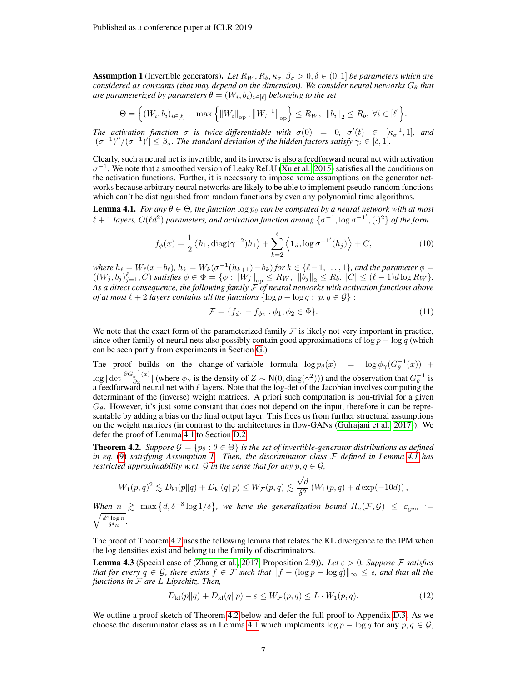**Assumption 1** (Invertible generators). Let  $R_W, R_b, \kappa_\sigma, \beta_\sigma > 0, \delta \in (0, 1]$  be parameters which are *considered as constants (that may depend on the dimension). We consider neural networks*  $G_{\theta}$  *that* are parameterized by parameters  $\theta = (W_i, b_i)_{i \in [\ell]}$  belonging to the set

$$
\Theta = \Big\{ (W_i, b_i)_{i \in [\ell]} : \max \Big\{ ||W_i||_{\text{op}}, ||W_i^{-1}||_{\text{op}} \Big\} \le R_W, ||b_i||_2 \le R_b, \ \forall i \in [\ell] \Big\}.
$$

*The activation function*  $\sigma$  *is twice-differentiable with*  $\sigma(0) = 0$ ,  $\sigma'(t) \in [\kappa_{\sigma}^{-1}, 1]$ , and  $|(\sigma^{-1})''/(\sigma^{-1})'| \leq \beta_{\sigma}$ . The standard deviation of the hidden factors satisfy  $\gamma_i \in [\delta, 1]$ .

Clearly, such a neural net is invertible, and its inverse is also a feedforward neural net with activation  $\sigma^{-1}$ . We note that a smoothed version of Leaky ReLU [\(Xu et al., 2015\)](#page-11-8) satisfies all the conditions on the activation functions. Further, it is necessary to impose some assumptions on the generator networks because arbitrary neural networks are likely to be able to implement pseudo-random functions which can't be distinguished from random functions by even any polynomial time algorithms.

<span id="page-6-2"></span>**Lemma 4.1.** *For any*  $\theta \in \Theta$ *, the function*  $\log p_{\theta}$  *can be computed by a neural network with at most*  $\ell + 1$  *layers,*  $O(\ell d^2)$  parameters, and activation function among  $\{\sigma^{-1}, \log \sigma^{-1'}, (\cdot)^2\}$  of the form

<span id="page-6-3"></span>
$$
f_{\phi}(x) = \frac{1}{2} \left\langle h_1, \text{diag}(\gamma^{-2}) h_1 \right\rangle + \sum_{k=2}^{\ell} \left\langle \mathbf{1}_d, \log \sigma^{-1'}(h_j) \right\rangle + C,\tag{10}
$$

*where*  $h_{\ell} = W_{\ell}(x - b_{\ell}), h_k = W_k(\sigma^{-1}(h_{k+1}) - b_k)$  *for*  $k \in {\ell - 1, ..., 1}$ *, and the parameter*  $\phi =$  $((W_j, b_j)_{j=1}^{\ell}, C)$  *satisfies*  $\phi \in \Phi = {\phi : ||W_j||}_{op} \le R_W, ||b_j||_2 \le R_b, |C| \le (\ell - 1)d \log R_W$ . *As a direct consequence, the following family* F *of neural networks with activation functions above of at most*  $\ell + 2$  *layers contains all the functions*  $\{\log p - \log q : p, q \in \mathcal{G}\}$ :

<span id="page-6-4"></span>
$$
\mathcal{F} = \{ f_{\phi_1} - f_{\phi_2} : \phi_1, \phi_2 \in \Phi \}. \tag{11}
$$

We note that the exact form of the parameterized family  $\mathcal F$  is likely not very important in practice, since other family of neural nets also possibly contain good approximations of  $\log p - \log q$  (which can be seen partly from experiments in Section [G.](#page-34-0))

The proof builds on the change-of-variable formula  $\log p_{\theta}(x) = \log \phi_{\gamma}(G_{\theta}^{-1}(x))$  +  $\log |\det \frac{\partial G_{\theta}^{-1}(x)}{\partial x}|$  (where  $\phi_{\gamma}$  is the density of  $Z \sim N(0, \text{diag}(\gamma^2))$ ) and the observation that  $G_{\theta}^{-1}$  is a feedforward neural net with  $\ell$  layers. Note that the log-det of the Jacobian involves computing the determinant of the (inverse) weight matrices. A priori such computation is non-trivial for a given  $G_{\theta}$ . However, it's just some constant that does not depend on the input, therefore it can be representable by adding a bias on the final output layer. This frees us from further structural assumptions on the weight matrices (in contrast to the architectures in flow-GANs [\(Gulrajani et al., 2017\)](#page-10-16)). We defer the proof of Lemma [4.1](#page-6-2) to Section [D.2.](#page-19-0)

<span id="page-6-1"></span>**Theorem 4.2.** *Suppose*  $\mathcal{G} = \{p_{\theta} : \theta \in \Theta\}$  *is the set of invertible-generator distributions as defined in eq.* [\(9\)](#page-5-5) *satisfying Assumption [1.](#page-5-6) Then, the discriminator class* F *defined in Lemma [4.1](#page-6-2) has restricted approximability w.r.t.*  $G$  *in the sense that for any*  $p, q \in G$ *,* 

$$
W_1(p,q)^2 \lesssim D_{\mathrm{kl}}(p\|q) + D_{\mathrm{kl}}(q\|p) \leq W_{\mathcal{F}}(p,q) \lesssim \frac{\sqrt{d}}{\delta^2} \left(W_1(p,q) + d \exp(-10d)\right),
$$

When  $n \geq \max\{d, \delta^{-8} \log 1/\delta\}$ , we have the generalization bound  $R_n(\mathcal{F}, \mathcal{G}) \leq \varepsilon_{\text{gen}} :=$  $\sqrt{\frac{d^4 \log n}{\delta^4 n}}$ .

The proof of Theorem [4.2](#page-6-1) uses the following lemma that relates the KL divergence to the IPM when the log densities exist and belong to the family of discriminators.

<span id="page-6-0"></span>**Lemma 4.3** (Special case of [\(Zhang et al., 2017,](#page-11-7) Proposition 2.9)). Let  $\varepsilon > 0$ . Suppose F satisfies *that for every*  $q \in \mathcal{G}$ *, there exists*  $f \in \mathcal{F}$  *such that*  $||f - (\log p - \log q)||_{\infty} \leq \epsilon$ *, and that all the functions in* F *are* L*-Lipschitz. Then,*

$$
D_{\mathrm{kl}}(p||q) + D_{\mathrm{kl}}(q||p) - \varepsilon \le W_{\mathcal{F}}(p,q) \le L \cdot W_1(p,q). \tag{12}
$$

We outline a proof sketch of Theorem [4.2](#page-6-1) below and defer the full proof to Appendix [D.3.](#page-20-0) As we choose the discriminator class as in Lemma [4.1](#page-6-2) which implements  $\log p - \log q$  for any  $p, q \in \mathcal{G}$ ,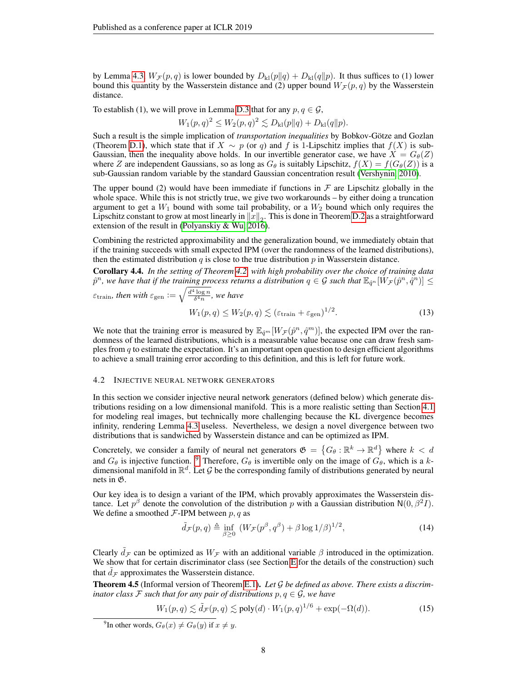by Lemma [4.3,](#page-6-0)  $W_{\mathcal{F}}(p,q)$  is lower bounded by  $D_{\rm kl}(p||q) + D_{\rm kl}(q||p)$ . It thus suffices to (1) lower bound this quantity by the Wasserstein distance and (2) upper bound  $W_{\mathcal{F}}(p,q)$  by the Wasserstein distance.

To establish (1), we will prove in Lemma [D.3](#page-20-1) that for any  $p, q \in \mathcal{G}$ ,

 $W_1(p,q)^2 \le W_2(p,q)^2 \lesssim D_{kl}(p||q) + D_{kl}(q||p).$ 

Such a result is the simple implication of *transportation inequalities* by Bobkov-Götze and Gozlan (Theorem [D.1\)](#page-17-0), which state that if  $X \sim p$  (or q) and f is 1-Lipschitz implies that  $f(X)$  is sub-Gaussian, then the inequality above holds. In our invertible generator case, we have  $X = G_{\theta}(Z)$ where Z are independent Gaussians, so as long as  $G_{\theta}$  is suitably Lipschitz,  $f(X) = f(G_{\theta}(Z))$  is a sub-Gaussian random variable by the standard Gaussian concentration result [\(Vershynin, 2010\)](#page-11-9).

The upper bound (2) would have been immediate if functions in  $\mathcal F$  are Lipschitz globally in the whole space. While this is not strictly true, we give two workarounds – by either doing a truncation argument to get a  $W_1$  bound with some tail probability, or a  $W_2$  bound which only requires the Lipschitz constant to grow at most linearly in  $\|x\|_2.$  This is done in Theorem [D.2](#page-18-0) as a straightforward extension of the result in [\(Polyanskiy & Wu, 2016\)](#page-11-10).

Combining the restricted approximability and the generalization bound, we immediately obtain that if the training succeeds with small expected IPM (over the randomness of the learned distributions), then the estimated distribution  $q$  is close to the true distribution  $p$  in Wasserstein distance.

Corollary 4.4. *In the setting of Theorem [4.2,](#page-6-1) with high probability over the choice of training data*  $\hat{p}^n$ , we have that if the training process returns a distribution  $q\in\mathcal{G}$  such that  $\mathbb{E}_{\hat{q}^n}[\check{W}_{\mathcal{F}}(\hat{p}^n,\hat{q}^n)]\leq\hat{p}$ 

$$
\varepsilon_{\text{train}}, \text{ then with } \varepsilon_{\text{gen}} := \sqrt{\frac{d^4 \log n}{\delta^4 n}}, \text{ we have}
$$
\n
$$
W_1(p, q) \le W_2(p, q) \lesssim (\varepsilon_{\text{train}} + \varepsilon_{\text{gen}})^{1/2}.
$$
\n
$$
(13)
$$

We note that the training error is measured by  $\mathbb{E}_{\hat{q}^m}[W_{\mathcal{F}}(\hat{p}^n, \hat{q}^m)]$ , the expected IPM over the randomness of the learned distributions, which is a measurable value because one can draw fresh samples from  $q$  to estimate the expectation. It's an important open question to design efficient algorithms to achieve a small training error according to this definition, and this is left for future work.

#### <span id="page-7-1"></span>4.2 INJECTIVE NEURAL NETWORK GENERATORS

In this section we consider injective neural network generators (defined below) which generate distributions residing on a low dimensional manifold. This is a more realistic setting than Section [4.1](#page-5-1) for modeling real images, but technically more challenging because the KL divergence becomes infinity, rendering Lemma [4.3](#page-6-0) useless. Nevertheless, we design a novel divergence between two distributions that is sandwiched by Wasserstein distance and can be optimized as IPM.

Concretely, we consider a family of neural net generators  $\mathfrak{G} = \{G_\theta : \mathbb{R}^k \to \mathbb{R}^d\}$  where  $k < d$ and  $G_{\theta}$  is injective function. <sup>[9](#page-7-2)</sup> Therefore,  $G_{\theta}$  is invertible only on the image of  $G_{\theta}$ , which is a kdimensional manifold in  $\mathbb{R}^d$ . Let G be the corresponding family of distributions generated by neural nets in G.

Our key idea is to design a variant of the IPM, which provably approximates the Wasserstein distance. Let  $p^{\beta}$  denote the convolution of the distribution p with a Gaussian distribution  $N(0, \beta^2 I)$ . We define a smoothed  $F$ -IPM between  $p, q$  as

$$
\tilde{d}_{\mathcal{F}}(p,q) \triangleq \inf_{\beta \ge 0} \left( W_{\mathcal{F}}(p^{\beta}, q^{\beta}) + \beta \log 1/\beta \right)^{1/2},\tag{14}
$$

Clearly  $\tilde{d}_{\mathcal{F}}$  can be optimized as  $W_{\mathcal{F}}$  with an additional variable  $\beta$  introduced in the optimization. We show that for certain discriminator class (see Section [E](#page-25-0) for the details of the construction) such that  $d_{\mathcal{F}}$  approximates the Wasserstein distance.

<span id="page-7-0"></span>Theorem 4.5 (Informal version of Theorem [E.1\)](#page-26-0). *Let* G *be defined as above. There exists a discriminator class* F *such that for any pair of distributions*  $p, q \in \mathcal{G}$ *, we have* 

$$
W_1(p,q) \lesssim \tilde{d}_{\mathcal{F}}(p,q) \lesssim \text{poly}(d) \cdot W_1(p,q)^{1/6} + \exp(-\Omega(d)).\tag{15}
$$

<span id="page-7-2"></span><sup>&</sup>lt;sup>9</sup>In other words,  $G_{\theta}(x) \neq G_{\theta}(y)$  if  $x \neq y$ .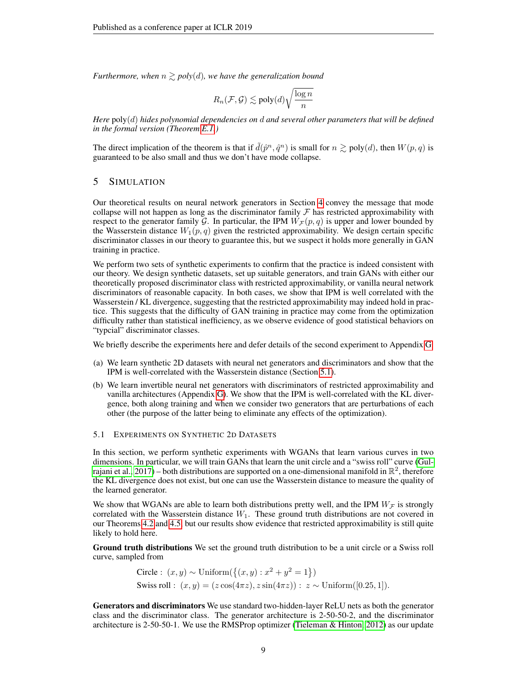*Furthermore, when*  $n \geq poly(d)$ *, we have the generalization bound* 

$$
R_n(\mathcal{F}, \mathcal{G}) \lesssim \text{poly}(d) \sqrt{\frac{\log n}{n}}
$$

*Here* poly(d) *hides polynomial dependencies on* d *and several other parameters that will be defined in the formal version (Theorem [E.1.](#page-26-0))*

The direct implication of the theorem is that if  $\tilde{d}(\hat{p}^n, \hat{q}^n)$  is small for  $n \geq \text{poly}(d)$ , then  $W(p, q)$  is guaranteed to be also small and thus we don't have mode collapse.

# <span id="page-8-0"></span>5 SIMULATION

Our theoretical results on neural network generators in Section [4](#page-5-0) convey the message that mode collapse will not happen as long as the discriminator family  $\mathcal F$  has restricted approximability with respect to the generator family G. In particular, the IPM  $W_{\mathcal{F}}(p,q)$  is upper and lower bounded by the Wasserstein distance  $W_1(p,q)$  given the restricted approximability. We design certain specific discriminator classes in our theory to guarantee this, but we suspect it holds more generally in GAN training in practice.

We perform two sets of synthetic experiments to confirm that the practice is indeed consistent with our theory. We design synthetic datasets, set up suitable generators, and train GANs with either our theoretically proposed discriminator class with restricted approximability, or vanilla neural network discriminators of reasonable capacity. In both cases, we show that IPM is well correlated with the Wasserstein / KL divergence, suggesting that the restricted approximability may indeed hold in practice. This suggests that the difficulty of GAN training in practice may come from the optimization difficulty rather than statistical inefficiency, as we observe evidence of good statistical behaviors on "typcial" discriminator classes.

We briefly describe the experiments here and defer details of the second experiment to Appendix [G.](#page-34-0)

- (a) We learn synthetic 2D datasets with neural net generators and discriminators and show that the IPM is well-correlated with the Wasserstein distance (Section [5.1\)](#page-8-1).
- (b) We learn invertible neural net generators with discriminators of restricted approximability and vanilla architectures (Appendix [G\)](#page-34-0). We show that the IPM is well-correlated with the KL divergence, both along training and when we consider two generators that are perturbations of each other (the purpose of the latter being to eliminate any effects of the optimization).

## <span id="page-8-1"></span>5.1 EXPERIMENTS ON SYNTHETIC 2D DATASETS

In this section, we perform synthetic experiments with WGANs that learn various curves in two dimensions. In particular, we will train GANs that learn the unit circle and a "swiss roll" curve [\(Gul](#page-10-16)[rajani et al., 2017\)](#page-10-16) – both distributions are supported on a one-dimensional manifold in  $\mathbb{R}^2$ , therefore the KL divergence does not exist, but one can use the Wasserstein distance to measure the quality of the learned generator.

We show that WGANs are able to learn both distributions pretty well, and the IPM  $W_{\mathcal{F}}$  is strongly correlated with the Wasserstein distance  $W_1$ . These ground truth distributions are not covered in our Theorems [4.2](#page-6-1) and [4.5,](#page-7-0) but our results show evidence that restricted approximability is still quite likely to hold here.

Ground truth distributions We set the ground truth distribution to be a unit circle or a Swiss roll curve, sampled from

Circle: 
$$
(x, y) \sim \text{Uniform}(\{(x, y) : x^2 + y^2 = 1\})
$$
  
Swiss roll:  $(x, y) = (z \cos(4\pi z), z \sin(4\pi z)) : z \sim \text{Uniform}([0.25, 1]).$ 

Generators and discriminators We use standard two-hidden-layer ReLU nets as both the generator class and the discriminator class. The generator architecture is 2-50-50-2, and the discriminator architecture is 2-50-50-1. We use the RMSProp optimizer [\(Tieleman & Hinton, 2012\)](#page-11-11) as our update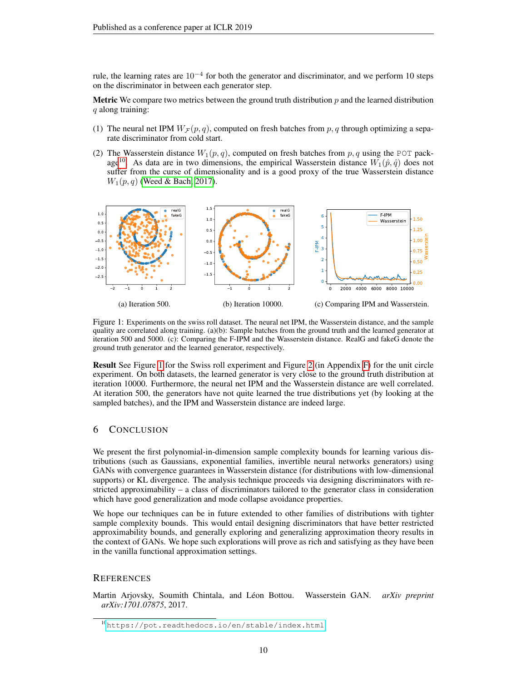rule, the learning rates are  $10^{-4}$  for both the generator and discriminator, and we perform 10 steps on the discriminator in between each generator step.

**Metric** We compare two metrics between the ground truth distribution  $p$  and the learned distribution q along training:

- (1) The neural net IPM  $W_F(p,q)$ , computed on fresh batches from p, q through optimizing a separate discriminator from cold start.
- (2) The Wasserstein distance  $W_1(p,q)$ , computed on fresh batches from p, q using the POT pack-age<sup>[10](#page-9-1)</sup>. As data are in two dimensions, the empirical Wasserstein distance  $W_1(\hat{p}, \hat{q})$  does not suffer from the curse of dimensionality and is a good proxy of the true Wasserstein distance  $W_1(p, q)$  [\(Weed & Bach, 2017\)](#page-11-12).

<span id="page-9-2"></span>

Figure 1: Experiments on the swiss roll dataset. The neural net IPM, the Wasserstein distance, and the sample quality are correlated along training. (a)(b): Sample batches from the ground truth and the learned generator at iteration 500 and 5000. (c): Comparing the F-IPM and the Wasserstein distance. RealG and fakeG denote the ground truth generator and the learned generator, respectively.

Result See Figure [1](#page-9-2) for the Swiss roll experiment and Figure [2](#page-34-1) (in Appendix [F\)](#page-34-2) for the unit circle experiment. On both datasets, the learned generator is very close to the ground truth distribution at iteration 10000. Furthermore, the neural net IPM and the Wasserstein distance are well correlated. At iteration 500, the generators have not quite learned the true distributions yet (by looking at the sampled batches), and the IPM and Wasserstein distance are indeed large.

# 6 CONCLUSION

We present the first polynomial-in-dimension sample complexity bounds for learning various distributions (such as Gaussians, exponential families, invertible neural networks generators) using GANs with convergence guarantees in Wasserstein distance (for distributions with low-dimensional supports) or KL divergence. The analysis technique proceeds via designing discriminators with restricted approximability – a class of discriminators tailored to the generator class in consideration which have good generalization and mode collapse avoidance properties.

We hope our techniques can be in future extended to other families of distributions with tighter sample complexity bounds. This would entail designing discriminators that have better restricted approximability bounds, and generally exploring and generalizing approximation theory results in the context of GANs. We hope such explorations will prove as rich and satisfying as they have been in the vanilla functional approximation settings.

# **REFERENCES**

<span id="page-9-0"></span>Martin Arjovsky, Soumith Chintala, and Leon Bottou. Wasserstein GAN. ´ *arXiv preprint arXiv:1701.07875*, 2017.

<span id="page-9-1"></span><sup>10</sup><https://pot.readthedocs.io/en/stable/index.html>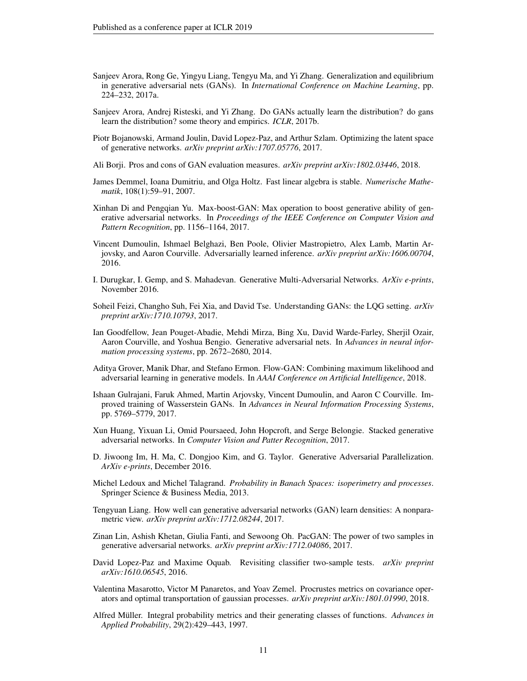- <span id="page-10-0"></span>Sanjeev Arora, Rong Ge, Yingyu Liang, Tengyu Ma, and Yi Zhang. Generalization and equilibrium in generative adversarial nets (GANs). In *International Conference on Machine Learning*, pp. 224–232, 2017a.
- <span id="page-10-5"></span>Sanjeev Arora, Andrej Risteski, and Yi Zhang. Do GANs actually learn the distribution? do gans learn the distribution? some theory and empirics. *ICLR*, 2017b.
- <span id="page-10-11"></span>Piotr Bojanowski, Armand Joulin, David Lopez-Paz, and Arthur Szlam. Optimizing the latent space of generative networks. *arXiv preprint arXiv:1707.05776*, 2017.
- <span id="page-10-9"></span>Ali Borji. Pros and cons of GAN evaluation measures. *arXiv preprint arXiv:1802.03446*, 2018.
- <span id="page-10-19"></span>James Demmel, Ioana Dumitriu, and Olga Holtz. Fast linear algebra is stable. *Numerische Mathematik*, 108(1):59–91, 2007.
- <span id="page-10-8"></span>Xinhan Di and Pengqian Yu. Max-boost-GAN: Max operation to boost generative ability of generative adversarial networks. In *Proceedings of the IEEE Conference on Computer Vision and Pattern Recognition*, pp. 1156–1164, 2017.
- <span id="page-10-6"></span>Vincent Dumoulin, Ishmael Belghazi, Ben Poole, Olivier Mastropietro, Alex Lamb, Martin Arjovsky, and Aaron Courville. Adversarially learned inference. *arXiv preprint arXiv:1606.00704*, 2016.
- <span id="page-10-4"></span>I. Durugkar, I. Gemp, and S. Mahadevan. Generative Multi-Adversarial Networks. *ArXiv e-prints*, November 2016.
- <span id="page-10-13"></span>Soheil Feizi, Changho Suh, Fei Xia, and David Tse. Understanding GANs: the LQG setting. *arXiv preprint arXiv:1710.10793*, 2017.
- <span id="page-10-1"></span>Ian Goodfellow, Jean Pouget-Abadie, Mehdi Mirza, Bing Xu, David Warde-Farley, Sherjil Ozair, Aaron Courville, and Yoshua Bengio. Generative adversarial nets. In *Advances in neural information processing systems*, pp. 2672–2680, 2014.
- <span id="page-10-15"></span>Aditya Grover, Manik Dhar, and Stefano Ermon. Flow-GAN: Combining maximum likelihood and adversarial learning in generative models. In *AAAI Conference on Artificial Intelligence*, 2018.
- <span id="page-10-16"></span>Ishaan Gulrajani, Faruk Ahmed, Martin Arjovsky, Vincent Dumoulin, and Aaron C Courville. Improved training of Wasserstein GANs. In *Advances in Neural Information Processing Systems*, pp. 5769–5779, 2017.
- <span id="page-10-2"></span>Xun Huang, Yixuan Li, Omid Poursaeed, John Hopcroft, and Serge Belongie. Stacked generative adversarial networks. In *Computer Vision and Patter Recognition*, 2017.
- <span id="page-10-3"></span>D. Jiwoong Im, H. Ma, C. Dongjoo Kim, and G. Taylor. Generative Adversarial Parallelization. *ArXiv e-prints*, December 2016.
- <span id="page-10-18"></span>Michel Ledoux and Michel Talagrand. *Probability in Banach Spaces: isoperimetry and processes*. Springer Science & Business Media, 2013.
- <span id="page-10-14"></span>Tengyuan Liang. How well can generative adversarial networks (GAN) learn densities: A nonparametric view. *arXiv preprint arXiv:1712.08244*, 2017.
- <span id="page-10-12"></span>Zinan Lin, Ashish Khetan, Giulia Fanti, and Sewoong Oh. PacGAN: The power of two samples in generative adversarial networks. *arXiv preprint arXiv:1712.04086*, 2017.
- <span id="page-10-10"></span>David Lopez-Paz and Maxime Oquab. Revisiting classifier two-sample tests. *arXiv preprint arXiv:1610.06545*, 2016.
- <span id="page-10-17"></span>Valentina Masarotto, Victor M Panaretos, and Yoav Zemel. Procrustes metrics on covariance operators and optimal transportation of gaussian processes. *arXiv preprint arXiv:1801.01990*, 2018.
- <span id="page-10-7"></span>Alfred Müller. Integral probability metrics and their generating classes of functions. Advances in *Applied Probability*, 29(2):429–443, 1997.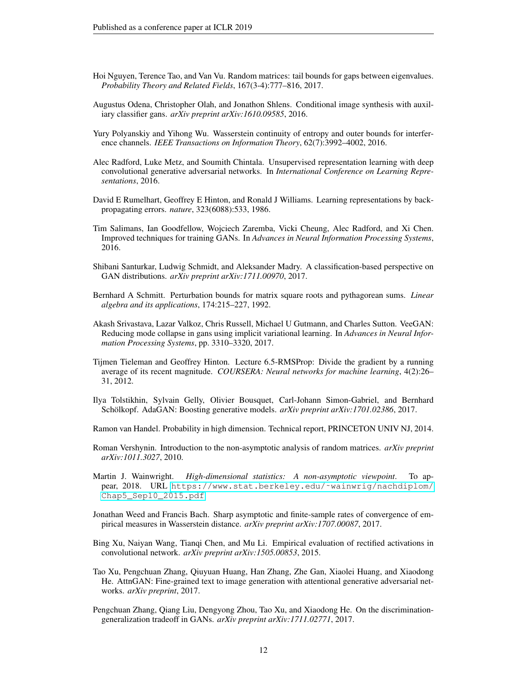- <span id="page-11-17"></span>Hoi Nguyen, Terence Tao, and Van Vu. Random matrices: tail bounds for gaps between eigenvalues. *Probability Theory and Related Fields*, 167(3-4):777–816, 2017.
- <span id="page-11-0"></span>Augustus Odena, Christopher Olah, and Jonathon Shlens. Conditional image synthesis with auxiliary classifier gans. *arXiv preprint arXiv:1610.09585*, 2016.
- <span id="page-11-10"></span>Yury Polyanskiy and Yihong Wu. Wasserstein continuity of entropy and outer bounds for interference channels. *IEEE Transactions on Information Theory*, 62(7):3992–4002, 2016.
- <span id="page-11-1"></span>Alec Radford, Luke Metz, and Soumith Chintala. Unsupervised representation learning with deep convolutional generative adversarial networks. In *International Conference on Learning Representations*, 2016.
- <span id="page-11-16"></span>David E Rumelhart, Geoffrey E Hinton, and Ronald J Williams. Learning representations by backpropagating errors. *nature*, 323(6088):533, 1986.
- <span id="page-11-3"></span>Tim Salimans, Ian Goodfellow, Wojciech Zaremba, Vicki Cheung, Alec Radford, and Xi Chen. Improved techniques for training GANs. In *Advances in Neural Information Processing Systems*, 2016.
- <span id="page-11-6"></span>Shibani Santurkar, Ludwig Schmidt, and Aleksander Madry. A classification-based perspective on GAN distributions. *arXiv preprint arXiv:1711.00970*, 2017.
- <span id="page-11-13"></span>Bernhard A Schmitt. Perturbation bounds for matrix square roots and pythagorean sums. *Linear algebra and its applications*, 174:215–227, 1992.
- <span id="page-11-5"></span>Akash Srivastava, Lazar Valkoz, Chris Russell, Michael U Gutmann, and Charles Sutton. VeeGAN: Reducing mode collapse in gans using implicit variational learning. In *Advances in Neural Information Processing Systems*, pp. 3310–3320, 2017.
- <span id="page-11-11"></span>Tijmen Tieleman and Geoffrey Hinton. Lecture 6.5-RMSProp: Divide the gradient by a running average of its recent magnitude. *COURSERA: Neural networks for machine learning*, 4(2):26– 31, 2012.
- <span id="page-11-2"></span>Ilya Tolstikhin, Sylvain Gelly, Olivier Bousquet, Carl-Johann Simon-Gabriel, and Bernhard Schölkopf. AdaGAN: Boosting generative models. *arXiv preprint arXiv:1701.02386*, 2017.
- <span id="page-11-14"></span>Ramon van Handel. Probability in high dimension. Technical report, PRINCETON UNIV NJ, 2014.
- <span id="page-11-9"></span>Roman Vershynin. Introduction to the non-asymptotic analysis of random matrices. *arXiv preprint arXiv:1011.3027*, 2010.
- <span id="page-11-15"></span>Martin J. Wainwright. *High-dimensional statistics: A non-asymptotic viewpoint*. To appear, 2018. URL [https://www.stat.berkeley.edu/˜wainwrig/nachdiplom/](https://www.stat.berkeley.edu/~wainwrig/nachdiplom/Chap5_Sep10_2015.pdf) [Chap5\\_Sep10\\_2015.pdf](https://www.stat.berkeley.edu/~wainwrig/nachdiplom/Chap5_Sep10_2015.pdf).
- <span id="page-11-12"></span>Jonathan Weed and Francis Bach. Sharp asymptotic and finite-sample rates of convergence of empirical measures in Wasserstein distance. *arXiv preprint arXiv:1707.00087*, 2017.
- <span id="page-11-8"></span>Bing Xu, Naiyan Wang, Tianqi Chen, and Mu Li. Empirical evaluation of rectified activations in convolutional network. *arXiv preprint arXiv:1505.00853*, 2015.
- <span id="page-11-4"></span>Tao Xu, Pengchuan Zhang, Qiuyuan Huang, Han Zhang, Zhe Gan, Xiaolei Huang, and Xiaodong He. AttnGAN: Fine-grained text to image generation with attentional generative adversarial networks. *arXiv preprint*, 2017.
- <span id="page-11-7"></span>Pengchuan Zhang, Qiang Liu, Dengyong Zhou, Tao Xu, and Xiaodong He. On the discriminationgeneralization tradeoff in GANs. *arXiv preprint arXiv:1711.02771*, 2017.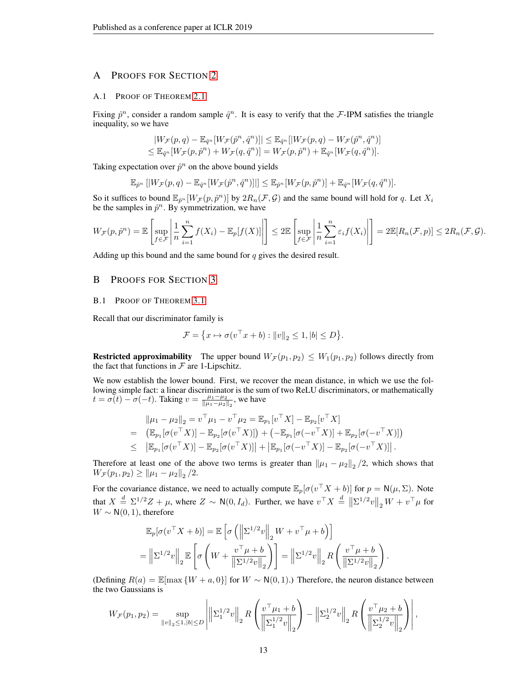# A PROOFS FOR SECTION [2](#page-3-0)

#### <span id="page-12-0"></span>A.1 PROOF OF THEOREM [2.1](#page-4-5)

Fixing  $\hat{p}^n$ , consider a random sample  $\hat{q}^n$ . It is easy to verify that the F-IPM satisfies the triangle inequality, so we have

$$
|W_{\mathcal{F}}(p,q) - \mathbb{E}_{\hat{q}^n}[W_{\mathcal{F}}(\hat{p}^n, \hat{q}^n)]| \leq \mathbb{E}_{\hat{q}^n}[|W_{\mathcal{F}}(p,q) - W_{\mathcal{F}}(\hat{p}^n, \hat{q}^n)] \leq \mathbb{E}_{\hat{q}^n}[W_{\mathcal{F}}(p, \hat{p}^n) + W_{\mathcal{F}}(q, \hat{q}^n)] = W_{\mathcal{F}}(p, \hat{p}^n) + \mathbb{E}_{\hat{q}^n}[W_{\mathcal{F}}(q, \hat{q}^n)].
$$

Taking expectation over  $\hat{p}^n$  on the above bound yields

$$
\mathbb{E}_{\hat{p}^n}\left[|W_{\mathcal{F}}(p,q)-\mathbb{E}_{\hat{q}^n}[W_{\mathcal{F}}(\hat{p}^n,\hat{q}^n)]|\right]\leq \mathbb{E}_{\hat{p}^n}[W_{\mathcal{F}}(p,\hat{p}^n)]+\mathbb{E}_{\hat{q}^n}[W_{\mathcal{F}}(q,\hat{q}^n)].
$$

So it suffices to bound  $\mathbb{E}_{\hat{p}^n}[W_{\mathcal{F}}(p,\hat{p}^n)]$  by  $2R_n(\mathcal{F},\mathcal{G})$  and the same bound will hold for q. Let  $X_i$ be the samples in  $\hat{p}^n$ . By symmetrization, we have

$$
W_{\mathcal{F}}(p,\hat{p}^n) = \mathbb{E}\left[\sup_{f \in \mathcal{F}}\left|\frac{1}{n}\sum_{i=1}^n f(X_i) - \mathbb{E}_p[f(X)]\right|\right] \leq 2\mathbb{E}\left[\sup_{f \in \mathcal{F}}\left|\frac{1}{n}\sum_{i=1}^n \varepsilon_i f(X_i)\right|\right] = 2\mathbb{E}[R_n(\mathcal{F},p)] \leq 2R_n(\mathcal{F},\mathcal{G}).
$$

Adding up this bound and the same bound for  $q$  gives the desired result.

# B PROOFS FOR SECTION [3](#page-4-0)

#### <span id="page-12-1"></span>B.1 PROOF OF THEOREM [3.1](#page-4-6)

Recall that our discriminator family is

$$
\mathcal{F} = \{x \mapsto \sigma(v^\top x + b) : ||v||_2 \le 1, |b| \le D\}.
$$

**Restricted approximability** The upper bound  $W_{\mathcal{F}}(p_1, p_2) \leq W_1(p_1, p_2)$  follows directly from the fact that functions in  $\mathcal F$  are 1-Lipschitz.

We now establish the lower bound. First, we recover the mean distance, in which we use the following simple fact: a linear discriminator is the sum of two ReLU discriminators, or mathematically  $t = \sigma(t) - \sigma(-t)$ . Taking  $v = \frac{\mu_1 - \mu_2}{\|\mu_1 - \mu_2\|_2}$ , we have

$$
\|\mu_1 - \mu_2\|_2 = v^\top \mu_1 - v^\top \mu_2 = \mathbb{E}_{p_1}[v^\top X] - \mathbb{E}_{p_2}[v^\top X] \n= (\mathbb{E}_{p_1}[\sigma(v^\top X)] - \mathbb{E}_{p_2}[\sigma(v^\top X)]) + (-\mathbb{E}_{p_1}[\sigma(-v^\top X)] + \mathbb{E}_{p_2}[\sigma(-v^\top X)]) \n\leq |\mathbb{E}_{p_1}[\sigma(v^\top X)] - \mathbb{E}_{p_2}[\sigma(v^\top X)]| + |\mathbb{E}_{p_1}[\sigma(-v^\top X)] - \mathbb{E}_{p_2}[\sigma(-v^\top X)]|.
$$

Therefore at least one of the above two terms is greater than  $\|\mu_1 - \mu_2\|_2/2$ , which shows that  $W_{\mathcal{F}}(p_1, p_2) \geq ||\mu_1 - \mu_2||_2/2.$ 

For the covariance distance, we need to actually compute  $\mathbb{E}_p[\sigma(v^{\top}X + b)]$  for  $p = \mathsf{N}(\mu, \Sigma)$ . Note that  $X \stackrel{d}{=} \Sigma^{1/2} Z + \mu$ , where  $Z \sim \mathsf{N}(0, I_d)$ . Further, we have  $v^{\top} X \stackrel{d}{=} ||\Sigma^{1/2} v||_2 W + v^{\top} \mu$  for  $W \sim N(0, 1)$ , therefore

$$
\mathbb{E}_p[\sigma(v^\top X + b)] = \mathbb{E}\left[\sigma\left(\left\|\Sigma^{1/2}v\right\|_2 W + v^\top \mu + b\right)\right]
$$
  

$$
= \left\|\Sigma^{1/2}v\right\|_2 \mathbb{E}\left[\sigma\left(W + \frac{v^\top \mu + b}{\left\|\Sigma^{1/2}v\right\|_2}\right)\right] = \left\|\Sigma^{1/2}v\right\|_2 R\left(\frac{v^\top \mu + b}{\left\|\Sigma^{1/2}v\right\|_2}\right).
$$

(Defining  $R(a) = \mathbb{E}[\max \{W + a, 0\}]$  for  $W \sim N(0, 1)$ .) Therefore, the neuron distance between the two Gaussians is

$$
W_{\mathcal{F}}(p_1, p_2) = \sup_{\|v\|_2 \le 1, |b| \le D} \left| \left\| \Sigma_1^{1/2} v \right\|_2 R \left( \frac{v^\top \mu_1 + b}{\left\| \Sigma_1^{1/2} v \right\|_2} \right) - \left\| \Sigma_2^{1/2} v \right\|_2 R \left( \frac{v^\top \mu_2 + b}{\left\| \Sigma_2^{1/2} v \right\|_2} \right) \right|,
$$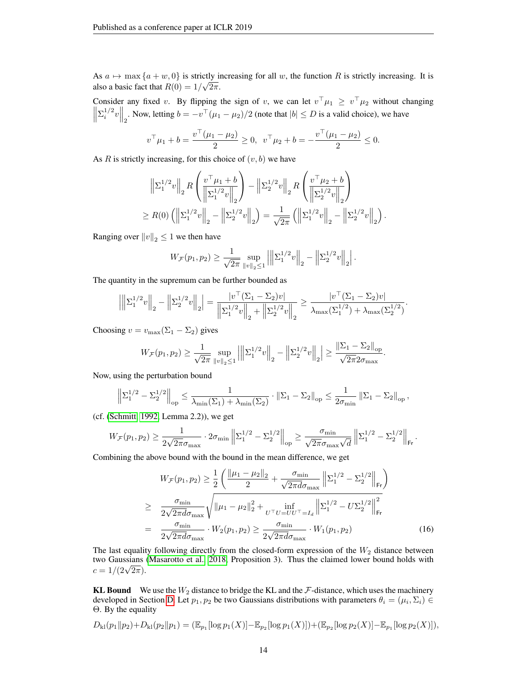As  $a \mapsto \max\{a + w, 0\}$  is strictly increasing for all w, the function R is strictly increasing. It is also a basic fact that  $R(0) = 1/\sqrt{2\pi}$ .

Consider any fixed v. By flipping the sign of v, we can let  $v^{\top} \mu_1 \geq v^{\top} \mu_2$  without changing  $\left\| \sum_{i=1}^{1/2} v \right\|_2$ . Now, letting  $b = -v^\top (\mu_1 - \mu_2)/2$  (note that  $|b| \le D$  is a valid choice), we have

$$
v^{\top} \mu_1 + b = \frac{v^{\top}(\mu_1 - \mu_2)}{2} \ge 0, \ v^{\top} \mu_2 + b = -\frac{v^{\top}(\mu_1 - \mu_2)}{2} \le 0.
$$

As  $R$  is strictly increasing, for this choice of  $(v, b)$  we have

$$
\left\| \Sigma_1^{1/2} v \right\|_2 R \left( \frac{v^\top \mu_1 + b}{\left\| \Sigma_1^{1/2} v \right\|_2} \right) - \left\| \Sigma_2^{1/2} v \right\|_2 R \left( \frac{v^\top \mu_2 + b}{\left\| \Sigma_2^{1/2} v \right\|_2} \right)
$$
  
\n
$$
\ge R(0) \left( \left\| \Sigma_1^{1/2} v \right\|_2 - \left\| \Sigma_2^{1/2} v \right\|_2 \right) = \frac{1}{\sqrt{2\pi}} \left( \left\| \Sigma_1^{1/2} v \right\|_2 - \left\| \Sigma_2^{1/2} v \right\|_2 \right).
$$

Ranging over  $||v||_2 \leq 1$  we then have

$$
W_{\mathcal{F}}(p_1, p_2) \ge \frac{1}{\sqrt{2\pi}} \sup_{\|v\|_2 \le 1} \left| \left\| \Sigma_1^{1/2} v \right\|_2 - \left\| \Sigma_2^{1/2} v \right\|_2 \right|.
$$

The quantity in the supremum can be further bounded as

$$
\left| \left\| \Sigma_1^{1/2} v \right\|_2 - \left\| \Sigma_2^{1/2} v \right\|_2 \right| = \frac{|v^\top (\Sigma_1 - \Sigma_2) v|}{\left\| \Sigma_1^{1/2} v \right\|_2 + \left\| \Sigma_2^{1/2} v \right\|_2} \ge \frac{|v^\top (\Sigma_1 - \Sigma_2) v|}{\lambda_{\max} (\Sigma_1^{1/2}) + \lambda_{\max} (\Sigma_2^{1/2})}.
$$

Choosing  $v = v_{\text{max}}(\Sigma_1 - \Sigma_2)$  gives

$$
W_{\mathcal{F}}(p_1, p_2) \ge \frac{1}{\sqrt{2\pi}} \sup_{\|v\|_2 \le 1} \left| \left\| \Sigma_1^{1/2} v \right\|_2 - \left\| \Sigma_2^{1/2} v \right\|_2 \right| \ge \frac{\left\| \Sigma_1 - \Sigma_2 \right\|_{\text{op}}}{\sqrt{2\pi} 2\sigma_{\text{max}}}.
$$

Now, using the perturbation bound

$$
\left\| \Sigma_1^{1/2} - \Sigma_2^{1/2} \right\|_{op} \le \frac{1}{\lambda_{\min}(\Sigma_1) + \lambda_{\min}(\Sigma_2)} \cdot \left\| \Sigma_1 - \Sigma_2 \right\|_{op} \le \frac{1}{2\sigma_{\min}} \left\| \Sigma_1 - \Sigma_2 \right\|_{op},
$$

(cf. [\(Schmitt, 1992,](#page-11-13) Lemma 2.2)), we get

$$
W_{\mathcal{F}}(p_1, p_2) \ge \frac{1}{2\sqrt{2\pi}\sigma_{\max}} \cdot 2\sigma_{\min} \left\| \Sigma_1^{1/2} - \Sigma_2^{1/2} \right\|_{\text{op}} \ge \frac{\sigma_{\min}}{\sqrt{2\pi}\sigma_{\max} \sqrt{d}} \left\| \Sigma_1^{1/2} - \Sigma_2^{1/2} \right\|_{\text{Fr}}.
$$

Combining the above bound with the bound in the mean difference, we get

<span id="page-13-0"></span>
$$
W_{\mathcal{F}}(p_1, p_2) \ge \frac{1}{2} \left( \frac{\|\mu_1 - \mu_2\|_2}{2} + \frac{\sigma_{\min}}{\sqrt{2\pi d \sigma_{\max}}} \left\| \Sigma_1^{1/2} - \Sigma_2^{1/2} \right\|_{\text{Fr}} \right)
$$
  
\n
$$
\ge \frac{\sigma_{\min}}{2\sqrt{2\pi d \sigma_{\max}}} \sqrt{\|\mu_1 - \mu_2\|_2^2 + \inf_{U^\top U = U U^\top = I_d} \left\| \Sigma_1^{1/2} - U \Sigma_2^{1/2} \right\|_{\text{Fr}}^2}
$$
  
\n
$$
= \frac{\sigma_{\min}}{2\sqrt{2\pi d \sigma_{\max}}} \cdot W_2(p_1, p_2) \ge \frac{\sigma_{\min}}{2\sqrt{2\pi d \sigma_{\max}}} \cdot W_1(p_1, p_2) \tag{16}
$$

The last equality following directly from the closed-form expression of the  $W<sub>2</sub>$  distance between two Gaussians [\(Masarotto et al., 2018,](#page-10-17) Proposition 3). Thus the claimed lower bound holds with two Gaussians<br>  $c = 1/(2\sqrt{2\pi}).$ 

KL Bound We use the  $W_2$  distance to bridge the KL and the  $\mathcal F$ -distance, which uses the machinery developed in Section [D.](#page-17-1) Let  $p_1, p_2$  be two Gaussians distributions with parameters  $\theta_i = (\mu_i, \Sigma_i) \in$ Θ. By the equality

$$
D_{\mathrm{kl}}(p_1 \| p_2) + D_{\mathrm{kl}}(p_2 \| p_1) = (\mathbb{E}_{p_1}[\log p_1(X)] - \mathbb{E}_{p_2}[\log p_1(X)]) + (\mathbb{E}_{p_2}[\log p_2(X)] - \mathbb{E}_{p_1}[\log p_2(X)]),
$$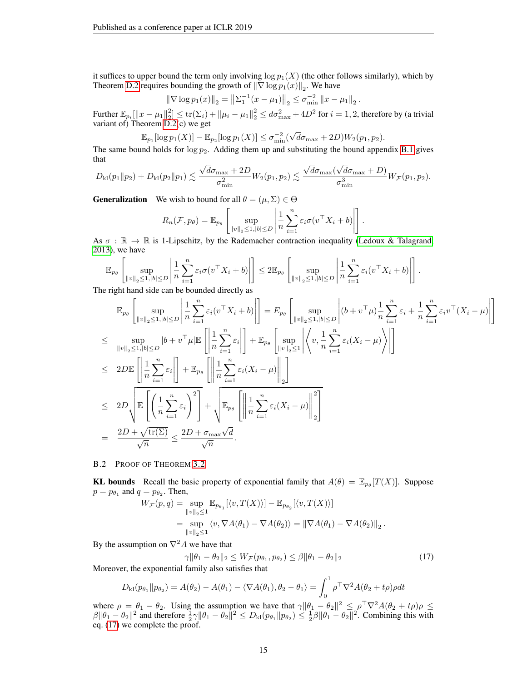it suffices to upper bound the term only involving  $\log p_1(X)$  (the other follows similarly), which by Theorem [D.2](#page-18-0) requires bounding the growth of  $\|\nabla \log p_1(x)\|_2$ . We have

$$
\|\nabla \log p_1(x)\|_2 = \left\|\Sigma_1^{-1}(x - \mu_1)\right\|_2 \le \sigma_{\min}^{-2} \|x - \mu_1\|_2.
$$

Further  $\mathbb{E}_{p_i}[\|x-\mu_1\|_2^2] \le \text{tr}(\Sigma_i) + \|\mu_i - \mu_1\|_2^2 \le d\sigma_{\max}^2 + 4D^2$  for  $i = 1, 2$ , therefore by (a trivial variant of) Theorem [D.2\(](#page-18-0)c) we get

$$
\mathbb{E}_{p_1}[\log p_1(X)] - \mathbb{E}_{p_2}[\log p_1(X)] \leq \sigma_{\min}^{-2}(\sqrt{d}\sigma_{\max} + 2D)W_2(p_1, p_2).
$$

The same bound holds for  $\log p_2$ . Adding them up and substituting the bound appendix [B.1](#page-13-0) gives that √ √ √

$$
D_{\mathrm{kl}}(p_1\|p_2)+D_{\mathrm{kl}}(p_2\|p_1)\lesssim \frac{\sqrt{d}\sigma_{\max}+2D}{\sigma_{\min}^2}W_2(p_1,p_2)\lesssim \frac{\sqrt{d}\sigma_{\max}(\sqrt{d}\sigma_{\max}+D)}{\sigma_{\min}^3}W_{\mathcal{F}}(p_1,p_2).
$$

**Generalization** We wish to bound for all  $\theta = (\mu, \Sigma) \in \Theta$ 

$$
R_n(\mathcal{F}, p_\theta) = \mathbb{E}_{p_\theta} \left[ \sup_{\|v\|_2 \le 1, |b| \le D} \left| \frac{1}{n} \sum_{i=1}^n \varepsilon_i \sigma(v^\top X_i + b) \right| \right].
$$

As  $\sigma : \mathbb{R} \to \mathbb{R}$  is 1-Lipschitz, by the Rademacher contraction inequality [\(Ledoux & Talagrand,](#page-10-18) [2013\)](#page-10-18), we have

$$
\mathbb{E}_{p_{\theta}}\left[\sup_{\|v\|_2\leq 1,|b|\leq D}\left|\frac{1}{n}\sum_{i=1}^n\varepsilon_i\sigma(v^\top X_i+b)\right|\right]\leq 2\mathbb{E}_{p_{\theta}}\left[\sup_{\|v\|_2\leq 1,|b|\leq D}\left|\frac{1}{n}\sum_{i=1}^n\varepsilon_i(v^\top X_i+b)\right|\right].
$$

The right hand side can be bounded directly as

$$
\mathbb{E}_{p_{\theta}}\left[\sup_{\|v\|_{2}\leq 1,\|b\|\leq D}\left|\frac{1}{n}\sum_{i=1}^{n}\varepsilon_{i}(v^{\top}X_{i}+b)\right|\right] = E_{p_{\theta}}\left[\sup_{\|v\|_{2}\leq 1,\|b\|\leq D}\left|(b+v^{\top}\mu)\frac{1}{n}\sum_{i=1}^{n}\varepsilon_{i} + \frac{1}{n}\sum_{i=1}^{n}\varepsilon_{i}v^{\top}(X_{i}-\mu)\right|\right]
$$
\n
$$
\leq \sup_{\|v\|_{2}\leq 1,\|b\|\leq D}|b+v^{\top}\mu|\mathbb{E}\left[\left|\frac{1}{n}\sum_{i=1}^{n}\varepsilon_{i}\right|\right] + \mathbb{E}_{p_{\theta}}\left[\sup_{\|v\|_{2}\leq 1}\left|\left(v,\frac{1}{n}\sum_{i=1}^{n}\varepsilon_{i}(X_{i}-\mu)\right)\right|\right]
$$
\n
$$
\leq 2D\mathbb{E}\left[\left|\frac{1}{n}\sum_{i=1}^{n}\varepsilon_{i}\right|\right] + \mathbb{E}_{p_{\theta}}\left[\left\|\frac{1}{n}\sum_{i=1}^{n}\varepsilon_{i}(X_{i}-\mu)\right\|_{2}\right]
$$
\n
$$
\leq 2D\left(\mathbb{E}\left[\left(\frac{1}{n}\sum_{i=1}^{n}\varepsilon_{i}\right)^{2}\right] + \sqrt{\mathbb{E}_{p_{\theta}}\left[\left\|\frac{1}{n}\sum_{i=1}^{n}\varepsilon_{i}(X_{i}-\mu)\right\|_{2}\right]}
$$
\n
$$
= \frac{2D+\sqrt{\text{tr}(\Sigma)}}{\sqrt{n}} \leq \frac{2D+\sigma_{\text{max}}\sqrt{d}}{\sqrt{n}}.
$$

## <span id="page-14-0"></span>B.2 PROOF OF THEOREM [3.2](#page-5-7)

**KL bounds** Recall the basic property of exponential family that  $A(\theta) = \mathbb{E}_{p_{\theta}}[T(X)]$ . Suppose  $p = p_{\theta_1}$  and  $q = p_{\theta_2}$ . Then,

$$
W_{\mathcal{F}}(p,q) = \sup_{\|v\|_2 \le 1} \mathbb{E}_{p_{\theta_1}}[\langle v, T(X) \rangle] - \mathbb{E}_{p_{\theta_2}}[\langle v, T(X) \rangle]
$$
  
= 
$$
\sup_{\|v\|_2 \le 1} \langle v, \nabla A(\theta_1) - \nabla A(\theta_2) \rangle = \|\nabla A(\theta_1) - \nabla A(\theta_2)\|_2.
$$

By the assumption on  $\nabla^2 A$  we have that

<span id="page-14-1"></span>
$$
\gamma \|\theta_1 - \theta_2\|_2 \le W_{\mathcal{F}}(p_{\theta_1}, p_{\theta_2}) \le \beta \|\theta_1 - \theta_2\|_2 \tag{17}
$$

Moreover, the exponential family also satisfies that

$$
D_{kl}(p_{\theta_1} \| p_{\theta_2}) = A(\theta_2) - A(\theta_1) - \langle \nabla A(\theta_1), \theta_2 - \theta_1 \rangle = \int_0^1 \rho^{\top} \nabla^2 A(\theta_2 + t\rho) \rho dt
$$

where  $\rho = \theta_1 - \theta_2$ . Using the assumption we have that  $\gamma \|\theta_1 - \theta_2\|^2 \leq \rho^{\top} \nabla^2 A(\theta_2 + t \rho) \rho \leq$  $\beta \|\theta_1 - \theta_2\|^2$  and therefore  $\frac{1}{2}\gamma \|\theta_1 - \theta_2\|^2 \le D_{kl}(p_{\theta_1} \| p_{\theta_2}) \le \frac{1}{2}\beta \|\theta_1 - \theta_2\|^2$ . Combining this with eq. [\(17\)](#page-14-1) we complete the proof.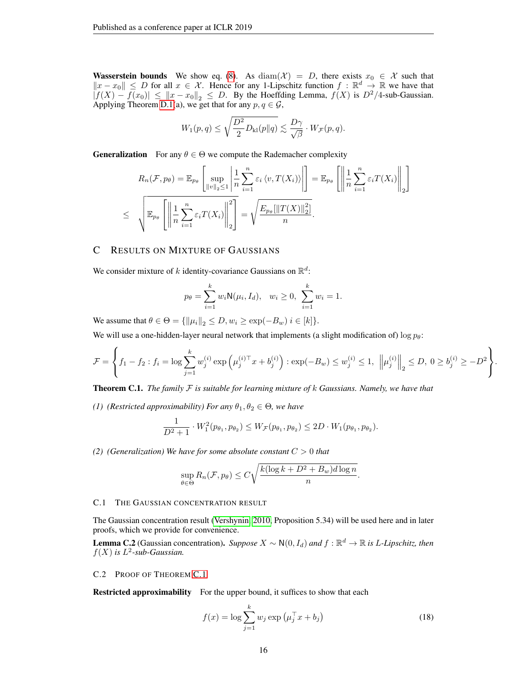**Wasserstein bounds** We show eq. [\(8\)](#page-5-2). As diam( $\mathcal{X}$ ) = D, there exists  $x_0 \in \mathcal{X}$  such that  $||x-x_0|| \leq D$  for all  $x \in \mathcal{X}$ . Hence for any 1-Lipschitz function  $f : \mathbb{R}^d \to \mathbb{R}$  we have that  $|f(X) - f(x_0)| \leq ||x - x_0||_2 \leq D$ . By the Hoeffding Lemma,  $f(X)$  is  $D^2/4$ -sub-Gaussian. Applying Theorem [D.1\(](#page-17-0)a), we get that for any  $p, q \in \mathcal{G}$ ,

$$
W_1(p,q) \leq \sqrt{\frac{D^2}{2}D_{\rm kl}(p\|q)} \lesssim \frac{D\gamma}{\sqrt{\beta}} \cdot W_{\mathcal{F}}(p,q).
$$

**Generalization** For any  $\theta \in \Theta$  we compute the Rademacher complexity

$$
R_n(\mathcal{F}, p_\theta) = \mathbb{E}_{p_\theta} \left[ \sup_{\|v\|_2 \le 1} \left| \frac{1}{n} \sum_{i=1}^n \varepsilon_i \langle v, T(X_i) \rangle \right| \right] = \mathbb{E}_{p_\theta} \left[ \left\| \frac{1}{n} \sum_{i=1}^n \varepsilon_i T(X_i) \right\|_2 \right]
$$
  

$$
\le \sqrt{\mathbb{E}_{p_\theta} \left[ \left\| \frac{1}{n} \sum_{i=1}^n \varepsilon_i T(X_i) \right\|_2^2 \right]} = \sqrt{\frac{E_{p_\theta} [\|T(X)\|_2^2]}{n}}.
$$

# <span id="page-15-0"></span>C RESULTS ON MIXTURE OF GAUSSIANS

We consider mixture of k identity-covariance Gaussians on  $\mathbb{R}^d$ :

$$
p_{\theta} = \sum_{i=1}^{k} w_i \mathsf{N}(\mu_i, I_d), \quad w_i \ge 0, \sum_{i=1}^{k} w_i = 1.
$$

We assume that  $\theta \in \Theta = {\|\|\mu_i\|_2 \le D, w_i \ge \exp(-B_w) i \in [k]}.$ 

We will use a one-hidden-layer neural network that implements (a slight modification of)  $\log p_{\theta}$ :

$$
\mathcal{F} = \left\{ f_1 - f_2 : f_i = \log \sum_{j=1}^k w_j^{(i)} \exp \left( \mu_j^{(i) \top} x + b_j^{(i)} \right) : \exp(-B_w) \le w_j^{(i)} \le 1, \, \, \left\| \mu_j^{(i)} \right\|_2 \le D, \, 0 \ge b_j^{(i)} \ge -D^2 \right\}.
$$

<span id="page-15-1"></span>Theorem C.1. *The family* F *is suitable for learning mixture of* k *Gaussians. Namely, we have that*

*(1) (Restricted approximability) For any*  $\theta_1, \theta_2 \in \Theta$ *, we have* 

$$
\frac{1}{D^2+1} \cdot W_1^2(p_{\theta_1}, p_{\theta_2}) \le W_{\mathcal{F}}(p_{\theta_1}, p_{\theta_2}) \le 2D \cdot W_1(p_{\theta_1}, p_{\theta_2}).
$$

*(2) (Generalization) We have for some absolute constant* C > 0 *that*

$$
\sup_{\theta \in \Theta} R_n(\mathcal{F}, p_\theta) \le C \sqrt{\frac{k(\log k + D^2 + B_w)d\log n}{n}}.
$$

# C.1 THE GAUSSIAN CONCENTRATION RESULT

The Gaussian concentration result [\(Vershynin, 2010,](#page-11-9) Proposition 5.34) will be used here and in later proofs, which we provide for convenience.

<span id="page-15-2"></span>**Lemma C.2** (Gaussian concentration). *Suppose*  $X \sim N(0, I_d)$  and  $f : \mathbb{R}^d \to \mathbb{R}$  is *L*-Lipschitz, then  $f(X)$  is  $L^2$ -sub-Gaussian.

### C.2 PROOF OF THEOREM [C.1](#page-15-1)

Restricted approximability For the upper bound, it suffices to show that each

<span id="page-15-3"></span>
$$
f(x) = \log \sum_{j=1}^{k} w_j \exp \left( \mu_j^{\top} x + b_j \right)
$$
 (18)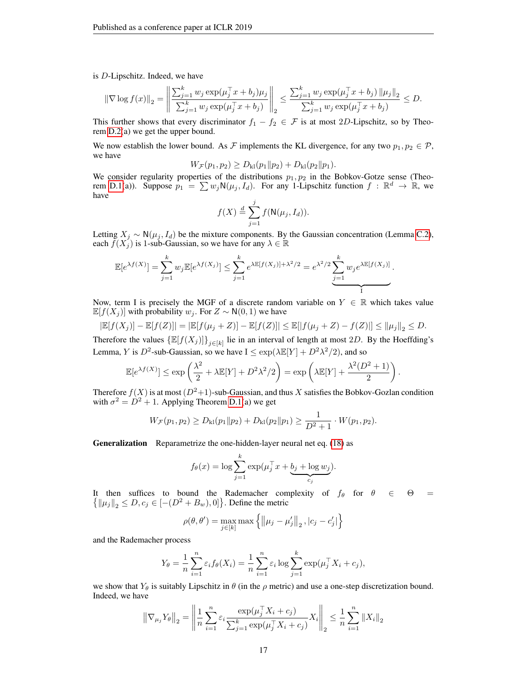is D-Lipschitz. Indeed, we have

$$
\|\nabla \log f(x)\|_2 = \left\|\frac{\sum_{j=1}^k w_j \exp(\mu_j^\top x + b_j)\mu_j}{\sum_{j=1}^k w_j \exp(\mu_j^\top x + b_j)}\right\|_2 \le \frac{\sum_{j=1}^k w_j \exp(\mu_j^\top x + b_j) \|\mu_j\|_2}{\sum_{j=1}^k w_j \exp(\mu_j^\top x + b_j)} \le D.
$$

This further shows that every discriminator  $f_1 - f_2 \in \mathcal{F}$  is at most 2D-Lipschitz, so by Theorem [D.2\(](#page-18-0)a) we get the upper bound.

We now establish the lower bound. As F implements the KL divergence, for any two  $p_1, p_2 \in \mathcal{P}$ , we have

$$
W_{\mathcal{F}}(p_1, p_2) \ge D_{kl}(p_1 \| p_2) + D_{kl}(p_2 \| p_1).
$$

We consider regularity properties of the distributions  $p_1, p_2$  in the Bobkov-Gotze sense (Theo-rem [D.1\(](#page-17-0)a)). Suppose  $p_1 = \sum w_j N(\mu_j, I_d)$ . For any 1-Lipschitz function  $f : \mathbb{R}^d \to \mathbb{R}$ , we have

$$
f(X) \stackrel{d}{=} \sum_{j=1}^{j} f(\mathsf{N}(\mu_j, I_d)).
$$

Letting  $X_j \sim N(\mu_j, I_d)$  be the mixture components. By the Gaussian concentration (Lemma [C.2\)](#page-15-2), each  $\bar{f}(X_j)$  is 1-sub-Gaussian, so we have for any  $\lambda \in \mathbb{R}$ 

$$
\mathbb{E}[e^{\lambda f(X)}] = \sum_{j=1}^k w_j \mathbb{E}[e^{\lambda f(X_j)}] \le \sum_{j=1}^k e^{\lambda \mathbb{E}[f(X_j)] + \lambda^2/2} = e^{\lambda^2/2} \underbrace{\sum_{j=1}^k w_j e^{\lambda \mathbb{E}[f(X_j)]}}_{\text{I}}.
$$

Now, term I is precisely the MGF of a discrete random variable on  $Y \in \mathbb{R}$  which takes value  $\mathbb{E}[f(X_j)]$  with probability  $w_j$ . For  $Z \sim N(0, 1)$  we have

$$
|\mathbb{E}[f(X_j)] - \mathbb{E}[f(Z)]| = |\mathbb{E}[f(\mu_j + Z)] - \mathbb{E}[f(Z)]| \le \mathbb{E}[|f(\mu_j + Z) - f(Z)|] \le \|\mu_j\|_2 \le D.
$$

Therefore the values  $\{\mathbb{E}[f(X_j)]\}_{j\in[k]}$  lie in an interval of length at most 2D. By the Hoeffding's Lemma, Y is  $D^2$ -sub-Gaussian, so we have  $I \leq \exp(\lambda \mathbb{E}[Y] + D^2 \lambda^2/2)$ , and so

$$
\mathbb{E}[e^{\lambda f(X)}] \le \exp\left(\frac{\lambda^2}{2} + \lambda \mathbb{E}[Y] + D^2 \lambda^2 / 2\right) = \exp\left(\lambda \mathbb{E}[Y] + \frac{\lambda^2 (D^2 + 1)}{2}\right).
$$

Therefore  $f(X)$  is at most  $(D^2+1)$ -sub-Gaussian, and thus X satisfies the Bobkov-Gozlan condition with  $\sigma^2 = D^2 + 1$ . Applying Theorem [D.1\(](#page-17-0)a) we get

$$
W_{\mathcal{F}}(p_1, p_2) \ge D_{kl}(p_1 \| p_2) + D_{kl}(p_2 \| p_1) \ge \frac{1}{D^2 + 1} \cdot W(p_1, p_2).
$$

Generalization Reparametrize the one-hidden-layer neural net eq. [\(18\)](#page-15-3) as

$$
f_{\theta}(x) = \log \sum_{j=1}^{k} \exp(\mu_j^{\top} x + \underbrace{b_j + \log w_j}_{c_j}).
$$

It then suffices to bound the Rademacher complexity of  $f_{\theta}$  for  $\theta \in \Theta$  =  $\{ {\| \mu_j \|}_2 \le D, c_j \in [ -(D^2 + B_w), 0 ] \}.$  Define the metric

$$
\rho(\theta, \theta') = \max_{j \in [k]} \max \left\{ ||\mu_j - \mu'_j||_2, |c_j - c'_j| \right\}
$$

and the Rademacher process

$$
Y_{\theta} = \frac{1}{n} \sum_{i=1}^{n} \varepsilon_i f_{\theta}(X_i) = \frac{1}{n} \sum_{i=1}^{n} \varepsilon_i \log \sum_{j=1}^{k} \exp(\mu_j^{\top} X_i + c_j),
$$

we show that  $Y_{\theta}$  is suitably Lipschitz in  $\theta$  (in the  $\rho$  metric) and use a one-step discretization bound. Indeed, we have

$$
\left\|\nabla_{\mu_j} Y_{\theta}\right\|_2 = \left\|\frac{1}{n}\sum_{i=1}^n \varepsilon_i \frac{\exp(\mu_j^{\top} X_i + c_j)}{\sum_{j=1}^k \exp(\mu_j^{\top} X_i + c_j)} X_i\right\|_2 \le \frac{1}{n}\sum_{i=1}^n \|X_i\|_2
$$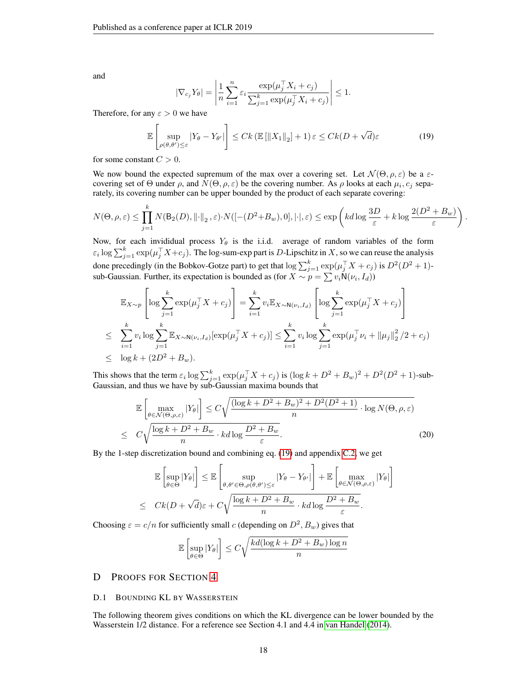and

$$
|\nabla_{c_j} Y_{\theta}| = \left| \frac{1}{n} \sum_{i=1}^n \varepsilon_i \frac{\exp(\mu_j^\top X_i + c_j)}{\sum_{j=1}^k \exp(\mu_j^\top X_i + c_j)} \right| \le 1.
$$

Therefore, for any  $\varepsilon > 0$  we have

<span id="page-17-2"></span>
$$
\mathbb{E}\left[\sup_{\rho(\theta,\theta')\leq\varepsilon}|Y_{\theta}-Y_{\theta'}|\right] \leq Ck\left(\mathbb{E}\left[\|X_1\|_2\right]+1\right)\varepsilon \leq Ck(D+\sqrt{d})\varepsilon\tag{19}
$$

for some constant  $C > 0$ .

We now bound the expected supremum of the max over a covering set. Let  $\mathcal{N}(\Theta, \rho, \varepsilon)$  be a  $\varepsilon$ covering set of  $\Theta$  under  $\rho$ , and  $N(\Theta, \rho, \varepsilon)$  be the covering number. As  $\rho$  looks at each  $\mu_i, c_j$  separately, its covering number can be upper bounded by the product of each separate covering:

$$
N(\Theta,\rho,\varepsilon) \leq \prod_{j=1}^k N(\mathsf{B}_2(D),\lVert \cdot \rVert_2,\varepsilon) \cdot N([- (D^2+B_w),0],\lvert \cdot \rvert,\varepsilon) \leq \exp\left(kd\log\frac{3D}{\varepsilon}+k\log\frac{2(D^2+B_w)}{\varepsilon}\right).
$$

Now, for each invididual process  $Y_{\theta}$  is the i.i.d. average of random variables of the form  $\varepsilon_i\log\sum_{j=1}^k \exp(\mu_j^\top X+c_j)$ . The log-sum-exp part is  $D$ -Lipschitz in  $X$ , so we can reuse the analysis done precedingly (in the Bobkov-Gotze part) to get that  $\log \sum_{j=1}^{k} \exp(\mu_j^\top X + c_j)$  is  $D^2(D^2 + 1)$ sub-Gaussian. Further, its expectation is bounded as (for  $X \sim p = \sum v_i \mathsf{N}(\nu_i, I_d)$ )

$$
\mathbb{E}_{X \sim p} \left[ \log \sum_{j=1}^{k} \exp(\mu_j^{\top} X + c_j) \right] = \sum_{i=1}^{k} v_i \mathbb{E}_{X \sim \mathsf{N}(\nu_i, I_d)} \left[ \log \sum_{j=1}^{k} \exp(\mu_j^{\top} X + c_j) \right]
$$
  
\n
$$
\leq \sum_{i=1}^{k} v_i \log \sum_{j=1}^{k} \mathbb{E}_{X \sim \mathsf{N}(\nu_i, I_d)} [\exp(\mu_j^{\top} X + c_j)] \leq \sum_{i=1}^{k} v_i \log \sum_{j=1}^{k} \exp(\mu_j^{\top} \nu_i + ||\mu_j||_2^2 / 2 + c_j)
$$
  
\n
$$
\leq \log k + (2D^2 + B_w).
$$

This shows that the term  $\varepsilon_i \log \sum_{j=1}^k \exp(\mu_j^\top X + c_j)$  is  $(\log k + D^2 + B_w)^2 + D^2(D^2 + 1)$ -sub-Gaussian, and thus we have by sub-Gaussian maxima bounds that

<span id="page-17-3"></span>
$$
\mathbb{E}\left[\max_{\theta \in \mathcal{N}(\Theta,\rho,\varepsilon)}|Y_{\theta}|\right] \leq C\sqrt{\frac{(\log k + D^2 + B_w)^2 + D^2(D^2 + 1)}{n} \cdot \log N(\Theta,\rho,\varepsilon)}}{\log N(\Theta,\rho,\varepsilon)}\right]
$$
\n
$$
\leq C\sqrt{\frac{\log k + D^2 + B_w}{n} \cdot kd \log \frac{D^2 + B_w}{\varepsilon}}.\tag{20}
$$

By the 1-step discretization bound and combining eq. [\(19\)](#page-17-2) and appendix [C.2,](#page-17-3) we get

$$
\mathbb{E}\left[\sup_{\theta\in\Theta}|Y_{\theta}|\right] \leq \mathbb{E}\left[\sup_{\theta,\theta'\in\Theta,\rho(\theta,\theta')\leq\varepsilon}|Y_{\theta}-Y_{\theta'}|\right] + \mathbb{E}\left[\max_{\theta\in\mathcal{N}(\Theta,\rho,\varepsilon)}|Y_{\theta}|\right]
$$
  

$$
\leq Ck(D+\sqrt{d})\varepsilon + C\sqrt{\frac{\log k+D^2+B_w}{n}\cdot kd\log\frac{D^2+B_w}{\varepsilon}}.
$$

Choosing  $\varepsilon = c/n$  for sufficiently small c (depending on  $D^2$ ,  $B_w$ ) gives that

$$
\mathbb{E}\left[\sup_{\theta \in \Theta} |Y_{\theta}|\right] \le C\sqrt{\frac{kd(\log k + D^2 + B_w)\log n}{n}}
$$

# <span id="page-17-1"></span>D PROOFS FOR SECTION [4](#page-5-0)

#### D.1 BOUNDING KL BY WASSERSTEIN

<span id="page-17-0"></span>The following theorem gives conditions on which the KL divergence can be lower bounded by the Wasserstein 1/2 distance. For a reference see Section 4.1 and 4.4 in [van Handel](#page-11-14) [\(2014\)](#page-11-14).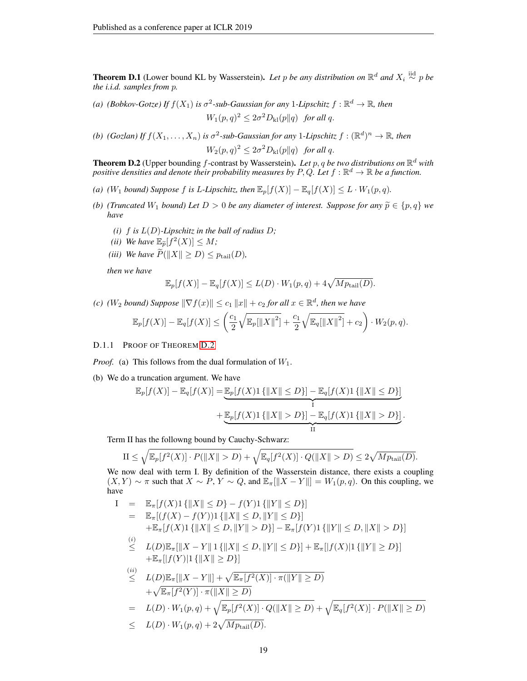**Theorem D.1** (Lower bound KL by Wasserstein). Let p be any distribution on  $\mathbb{R}^d$  and  $X_i \stackrel{\text{iid}}{\sim} p$  be *the i.i.d. samples from* p*.*

- *(a) (Bobkov-Gotze)* If  $f(X_1)$  *is*  $\sigma^2$ -sub-Gaussian for any 1-Lipschitz  $f : \mathbb{R}^d \to \mathbb{R}$ , then  $W_1(p,q)^2 \leq 2\sigma^2 D_{kl}(p||q)$  *for all q.*
- *(b)*  $(Gozlan)$  *If*  $f(X_1, ..., X_n)$  *is*  $\sigma^2$ -sub-Gaussian for any 1-Lipschitz  $f : (\mathbb{R}^d)^n \to \mathbb{R}$ , then

 $W_2(p,q)^2 \leq 2\sigma^2 D_{kl}(p||q)$  *for all q.* 

<span id="page-18-0"></span>**Theorem D.2** (Upper bounding f-contrast by Wasserstein). Let p, q be two distributions on  $\mathbb{R}^d$  with positive densities and denote their probability measures by  $P, Q$ . Let  $f : \mathbb{R}^d \to \mathbb{R}$  be a function.

- *(a) (W<sub>1</sub> bound)* Suppose *f is* L-Lipschitz, then  $\mathbb{E}_p[f(X)] \mathbb{E}_q[f(X)] \leq L \cdot W_1(p,q)$ .
- *(b) (Truncated*  $W_1$  *bound)* Let  $D > 0$  *be any diameter of interest. Suppose for any*  $\tilde{p} \in \{p, q\}$  *we have*
	- *(i)*  $f$  *is*  $L(D)$ *-Lipschitz in the ball of radius*  $D$ ;
	- *(ii) We have*  $\mathbb{E}_{\widetilde{p}}[f^2(X)] \leq M$ *;*
	- *(iii) We have*  $\widetilde{P}(\|X\| \geq D) \leq p_{\text{tail}}(D)$ *,*

*then we have*

$$
\mathbb{E}_p[f(X)] - \mathbb{E}_q[f(X)] \le L(D) \cdot W_1(p,q) + 4\sqrt{Mp_{\text{tail}}(D)}.
$$

*(c) (W<sub>2</sub> bound)* Suppose  $\|\nabla f(x)\| \le c_1 \|x\| + c_2$  for all  $x \in \mathbb{R}^d$ , then we have

$$
\mathbb{E}_p[f(X)] - \mathbb{E}_q[f(X)] \le \left(\frac{c_1}{2}\sqrt{\mathbb{E}_p[\|X\|^2]} + \frac{c_1}{2}\sqrt{\mathbb{E}_q[\|X\|^2]} + c_2\right) \cdot W_2(p,q).
$$

# D.1.1 PROOF OF THEOREM [D.2](#page-18-0)

*Proof.* (a) This follows from the dual formulation of  $W_1$ .

(b) We do a truncation argument. We have

$$
\mathbb{E}_p[f(X)] - \mathbb{E}_q[f(X)] = \underbrace{\mathbb{E}_p[f(X)1\{|X\| \le D\}] - \mathbb{E}_q[f(X)1\{|X\| \le D\}]}_{\text{I}} + \underbrace{\mathbb{E}_p[f(X)1\{|X\| > D\}] - \mathbb{E}_q[f(X)1\{|X\| > D\}]}_{\text{II}}.
$$

Term II has the followng bound by Cauchy-Schwarz:

$$
\text{II} \le \sqrt{\mathbb{E}_p[f^2(X)] \cdot P(\|X\| > D)} + \sqrt{\mathbb{E}_q[f^2(X)] \cdot Q(\|X\| > D)} \le 2\sqrt{Mp_{\text{tail}}(D)}.
$$

We now deal with term I. By definition of the Wasserstein distance, there exists a coupling  $(X, Y) \sim \pi$  such that  $X \sim P$ ,  $Y \sim Q$ , and  $\mathbb{E}_{\pi}[\|X - Y\|] = W_1(p, q)$ . On this coupling, we have

$$
I = \mathbb{E}_{\pi}[f(X)1\{||X|| \leq D\} - f(Y)1\{||Y|| \leq D\}]
$$
  
\n
$$
= \mathbb{E}_{\pi}[(f(X) - f(Y))]1\{||X|| \leq D, ||Y|| \leq D\}]
$$
  
\n
$$
+ \mathbb{E}_{\pi}[f(X)1\{||X|| \leq D, ||Y|| > D\}] - \mathbb{E}_{\pi}[f(Y)1\{||Y|| \leq D, ||X|| > D\}]
$$
  
\n(i) 
$$
L(D)\mathbb{E}_{\pi}[||X - Y||1\{||X|| \leq D, ||Y|| \leq D\}] + \mathbb{E}_{\pi}[|f(X)|1\{||Y|| \geq D\}]
$$
  
\n(ii) 
$$
L(D)\mathbb{E}_{\pi}[||X - Y||] + \sqrt{\mathbb{E}_{\pi}[f^{2}(X)] \cdot \pi(||Y|| \geq D)}
$$
  
\n(iii) 
$$
+ \sqrt{\mathbb{E}_{\pi}[f^{2}(Y)] \cdot \pi(||X|| \geq D)}
$$
  
\n
$$
+ \sqrt{\mathbb{E}_{\pi}[f^{2}(Y)] \cdot \pi(||X|| \geq D)}
$$
  
\n
$$
= L(D) \cdot W_{1}(p,q) + \sqrt{\mathbb{E}_{p}[f^{2}(X)] \cdot Q(||X|| \geq D)} + \sqrt{\mathbb{E}_{q}[f^{2}(X)] \cdot P(||X|| \geq D)}
$$
  
\n
$$
\leq L(D) \cdot W_{1}(p,q) + 2\sqrt{Mp_{\text{tail}(D)}}.
$$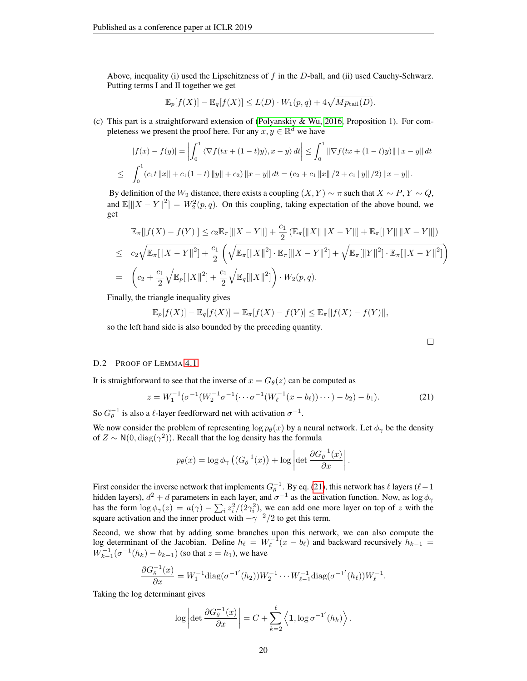Above, inequality (i) used the Lipschitzness of  $f$  in the  $D$ -ball, and (ii) used Cauchy-Schwarz. Putting terms I and II together we get

$$
\mathbb{E}_p[f(X)] - \mathbb{E}_q[f(X)] \le L(D) \cdot W_1(p,q) + 4\sqrt{Mp_{\text{tail}}(D)}.
$$

(c) This part is a straightforward extension of [\(Polyanskiy & Wu, 2016,](#page-11-10) Proposition 1). For completeness we present the proof here. For any  $x, y \in \mathbb{R}^d$  we have

$$
|f(x) - f(y)| = \left| \int_0^1 \left\langle \nabla f(tx + (1-t)y), x - y \right\rangle dt \right| \leq \int_0^1 \left\| \nabla f(tx + (1-t)y) \right\| \left\| x - y \right\| dt
$$
  

$$
\leq \int_0^1 (c_1 t \left\| x \right\| + c_1 (1-t) \left\| y \right\| + c_2) \left\| x - y \right\| dt = (c_2 + c_1 \left\| x \right\| / 2 + c_1 \left\| y \right\| / 2) \left\| x - y \right\|.
$$

By definition of the  $W_2$  distance, there exists a coupling  $(X, Y) \sim \pi$  such that  $X \sim P$ ,  $Y \sim Q$ , and  $\mathbb{E}[\|X - Y\|^2] = W_2^2(p, q)$ . On this coupling, taking expectation of the above bound, we get

$$
\mathbb{E}_{\pi}[|f(X) - f(Y)|] \leq c_2 \mathbb{E}_{\pi}[||X - Y||] + \frac{c_1}{2} (\mathbb{E}_{\pi}[||X|| ||X - Y||] + \mathbb{E}_{\pi}[||Y|| ||X - Y||])
$$
  
\n
$$
\leq c_2 \sqrt{\mathbb{E}_{\pi}[||X - Y||^2]} + \frac{c_1}{2} \left( \sqrt{\mathbb{E}_{\pi}[||X||^2] \cdot \mathbb{E}_{\pi}[||X - Y||^2]} + \sqrt{\mathbb{E}_{\pi}[||Y||^2] \cdot \mathbb{E}_{\pi}[||X - Y||^2]} \right)
$$
  
\n
$$
= \left( c_2 + \frac{c_1}{2} \sqrt{\mathbb{E}_{p}[||X||^2]} + \frac{c_1}{2} \sqrt{\mathbb{E}_{q}[||X||^2]} \right) \cdot W_2(p, q).
$$

Finally, the triangle inequality gives

$$
\mathbb{E}_p[f(X)] - \mathbb{E}_q[f(X)] = \mathbb{E}_\pi[f(X) - f(Y)] \le \mathbb{E}_\pi[|f(X) - f(Y)|],
$$

so the left hand side is also bounded by the preceding quantity.

# <span id="page-19-0"></span>D.2 PROOF OF LEMMA [4.1](#page-6-2)

It is straightforward to see that the inverse of  $x = G_{\theta}(z)$  can be computed as

<span id="page-19-1"></span>
$$
z = W_1^{-1}(\sigma^{-1}(W_2^{-1}\sigma^{-1}(\cdots \sigma^{-1}(W_\ell^{-1}(x - b_\ell))\cdots) - b_2) - b_1).
$$
 (21)

So  $G_{\theta}^{-1}$  is also a  $\ell$ -layer feedforward net with activation  $\sigma^{-1}$ .

We now consider the problem of representing  $\log p_{\theta}(x)$  by a neural network. Let  $\phi_{\gamma}$  be the density of  $Z \sim N(0, \text{diag}(\gamma^2))$ . Recall that the log density has the formula

$$
p_{\theta}(x) = \log \phi_{\gamma} \left( \left( G_{\theta}^{-1}(x) \right) + \log \left| \det \frac{\partial G_{\theta}^{-1}(x)}{\partial x} \right|.
$$

First consider the inverse network that implements  $G_{\theta}^{-1}$ . By eq. [\(21\)](#page-19-1), this network has  $\ell$  layers ( $\ell-1$ hidden layers),  $d^2 + d$  parameters in each layer, and  $\sigma^{-1}$  as the activation function. Now, as  $\log \phi_{\gamma}$ has the form  $\log \phi_{\gamma}(z) = a(\gamma) - \sum_i z_i^2/(2\gamma_i^2)$ , we can add one more layer on top of z with the square activation and the inner product with  $-\gamma^{-2}/2$  to get this term.

Second, we show that by adding some branches upon this network, we can also compute the log determinant of the Jacobian. Define  $h_\ell = W_\ell^{-1}(x - b_\ell)$  and backward recursively  $h_{k-1} =$  $W_{k-1}^{-1}(\sigma^{-1}(h_k) - b_{k-1})$  (so that  $z = h_1$ ), we have

$$
\frac{\partial G_{\theta}^{-1}(x)}{\partial x} = W_1^{-1} \text{diag}(\sigma^{-1'}(h_2)) W_2^{-1} \cdots W_{\ell-1}^{-1} \text{diag}(\sigma^{-1'}(h_{\ell})) W_{\ell}^{-1}.
$$

Taking the log determinant gives

$$
\log \left| \det \frac{\partial G_{\theta}^{-1}(x)}{\partial x} \right| = C + \sum_{k=2}^{\ell} \left\langle \mathbf{1}, \log \sigma^{-1}(h_k) \right\rangle.
$$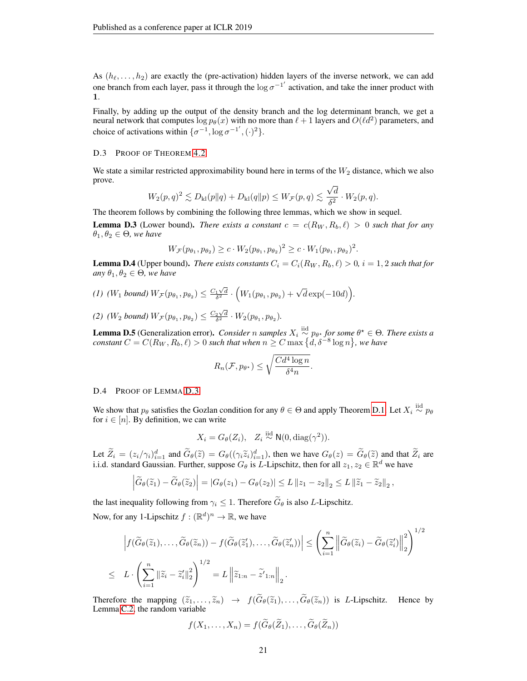As  $(h_{\ell}, \ldots, h_2)$  are exactly the (pre-activation) hidden layers of the inverse network, we can add one branch from each layer, pass it through the  $\log \sigma^{-1}$  activation, and take the inner product with 1.

Finally, by adding up the output of the density branch and the log determinant branch, we get a neural network that computes  $\log p_{\theta}(x)$  with no more than  $\ell + 1$  layers and  $O(\ell d^2)$  parameters, and choice of activations within  $\{\sigma^{-1}, \log \sigma^{-1}, (\cdot)^2\}.$ 

#### <span id="page-20-0"></span>D.3 PROOF OF THEOREM [4.2](#page-6-1)

We state a similar restricted approximability bound here in terms of the  $W_2$  distance, which we also prove. √

$$
W_2(p,q)^2 \lesssim D_{\mathrm{kl}}(p\|q) + D_{\mathrm{kl}}(q\|p) \leq W_{\mathcal{F}}(p,q) \lesssim \frac{\sqrt{d}}{\delta^2} \cdot W_2(p,q).
$$

The theorem follows by combining the following three lemmas, which we show in sequel.

<span id="page-20-1"></span>**Lemma D.3** (Lower bound). *There exists a constant*  $c = c(R_W, R_b, \ell) > 0$  *such that for any*  $\theta_1, \theta_2 \in \Theta$ *, we have* 

$$
W_{\mathcal{F}}(p_{\theta_1}, p_{\theta_2}) \geq c \cdot W_2(p_{\theta_1}, p_{\theta_2})^2 \geq c \cdot W_1(p_{\theta_1}, p_{\theta_2})^2.
$$

<span id="page-20-2"></span>**Lemma D.4** (Upper bound). *There exists constants*  $C_i = C_i(R_W, R_b, \ell) > 0$ ,  $i = 1, 2$  *such that for any*  $\theta_1, \theta_2 \in \Theta$ *, we have* 

$$
(1) \ (W_1 \ bound) \ W_{\mathcal{F}}(p_{\theta_1}, p_{\theta_2}) \leq \frac{C_1\sqrt{d}}{\delta^2} \cdot \Big(W_1(p_{\theta_1}, p_{\theta_2}) + \sqrt{d}\exp(-10d)\Big).
$$

(2)  $(W_2 \text{ bound}) W_{\mathcal{F}}(p_{\theta_1}, p_{\theta_2}) \leq \frac{C_2 \sqrt{d}}{\delta^2} \cdot W_2(p_{\theta_1}, p_{\theta_2}).$ 

<span id="page-20-3"></span>**Lemma D.5** (Generalization error). *Consider* n samples  $X_i \overset{\text{iid}}{\sim} p_{\theta^*}$  for some  $\theta^* \in \Theta$ . There exists a  $constant$   $C = C(R_W, R_b, \ell) > 0$  such that when  $n \geq C \max{\left\{ \tilde{d}, \delta^{-8} \log{n} \right\}},$  we have

$$
R_n(\mathcal{F}, p_{\theta^*}) \le \sqrt{\frac{Cd^4\log n}{\delta^4 n}}.
$$

#### D.4 PROOF OF LEMMA [D.3](#page-20-1)

We show that  $p_\theta$  satisfies the Gozlan condition for any  $\theta \in \Theta$  and apply Theorem [D.1.](#page-17-0) Let  $X_i \stackrel{\text{iid}}{\sim} p_\theta$ for  $i \in [n]$ . By definition, we can write

$$
X_i = G_{\theta}(Z_i), \quad Z_i \stackrel{\text{iid}}{\sim} \mathsf{N}(0, \text{diag}(\gamma^2)).
$$

Let  $\tilde{Z}_i = (z_i/\gamma_i)_{i=1}^d$  and  $\tilde{G}_{\theta}(\tilde{z}) = G_{\theta}((\gamma_i \tilde{z}_i)_{i=1}^d)$ , then we have  $G_{\theta}(z) = \tilde{G}_{\theta}(\tilde{z})$  and that  $\tilde{Z}_i$  are i.i.d. standard Gaussian. Further, suppose  $G_{\theta}$  is *L*-Lipschitz, then for all

$$
\left|\widetilde{G}_{\theta}(\widetilde{z}_{1})-\widetilde{G}_{\theta}(\widetilde{z}_{2})\right| = \left|G_{\theta}(z_{1})-G_{\theta}(z_{2})\right| \leq L\left\|z_{1}-z_{2}\right\|_{2} \leq L\left\|\widetilde{z}_{1}-\widetilde{z}_{2}\right\|_{2},
$$

the last inequality following from  $\gamma_i \leq 1$ . Therefore  $\widetilde{G}_{\theta}$  is also L-Lipschitz. Now, for any 1-Lipschitz  $f: (\mathbb{R}^d)^n \to \mathbb{R}$ , we have

$$
\left| f(\widetilde{G}_{\theta}(\widetilde{z}_{1}), \ldots, \widetilde{G}_{\theta}(\widetilde{z}_{n})) - f(\widetilde{G}_{\theta}(\widetilde{z}_{1}'), \ldots, \widetilde{G}_{\theta}(\widetilde{z}_{n}')) \right| \leq \left( \sum_{i=1}^{n} \left\| \widetilde{G}_{\theta}(\widetilde{z}_{i}) - \widetilde{G}_{\theta}(\widetilde{z}_{i}') \right\|_{2}^{2} \right)^{1/2}
$$
  

$$
\leq L \cdot \left( \sum_{i=1}^{n} \left\| \widetilde{z}_{i} - \widetilde{z}_{i}' \right\|_{2}^{2} \right)^{1/2} = L \left\| \widetilde{z}_{1:n} - \widetilde{z}_{1:n} \right\|_{2}.
$$

Therefore the mapping  $(\tilde{z}_1, \ldots, \tilde{z}_n) \rightarrow f(\tilde{G}_{\theta}(\tilde{z}_1), \ldots, \tilde{G}_{\theta}(\tilde{z}_n))$  is L-Lipschitz. Hence by Lemma [C.2,](#page-15-2) the random variable

$$
f(X_1,\ldots,X_n)=f(G_{\theta}(Z_1),\ldots,G_{\theta}(Z_n))
$$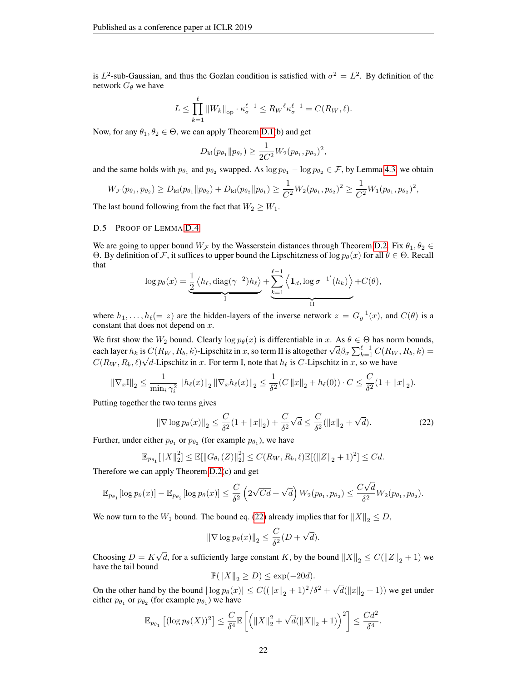is  $L^2$ -sub-Gaussian, and thus the Gozlan condition is satisfied with  $\sigma^2 = L^2$ . By definition of the network  $G_{\theta}$  we have

$$
L \le \prod_{k=1}^{\ell} \|W_k\|_{\text{op}} \cdot \kappa_{\sigma}^{\ell-1} \le R_W{}^{\ell} \kappa_{\sigma}^{\ell-1} = C(R_W, \ell).
$$

Now, for any  $\theta_1, \theta_2 \in \Theta$ , we can apply Theorem [D.1\(](#page-17-0)b) and get

$$
D_{\mathrm{kl}}(p_{\theta_1} \| p_{\theta_2}) \ge \frac{1}{2C^2} W_2(p_{\theta_1}, p_{\theta_2})^2,
$$

and the same holds with  $p_{\theta_1}$  and  $p_{\theta_2}$  swapped. As  $\log p_{\theta_1} - \log p_{\theta_2} \in \mathcal{F}$ , by Lemma [4.3,](#page-6-0) we obtain

$$
W_{\mathcal{F}}(p_{\theta_1}, p_{\theta_2}) \ge D_{\mathrm{kl}}(p_{\theta_1} \| p_{\theta_2}) + D_{\mathrm{kl}}(p_{\theta_2} \| p_{\theta_1}) \ge \frac{1}{C^2} W_2(p_{\theta_1}, p_{\theta_2})^2 \ge \frac{1}{C^2} W_1(p_{\theta_1}, p_{\theta_2})^2,
$$

The last bound following from the fact that  $W_2 \geq W_1$ .

### D.5 PROOF OF LEMMA [D.4](#page-20-2)

We are going to upper bound  $W_F$  by the Wasserstein distances through Theorem [D.2.](#page-18-0) Fix  $\theta_1, \theta_2 \in$ Θ. By definition of F, it suffices to upper bound the Lipschitzness of  $\log p_{\theta}(x)$  for all  $\theta \in \Theta$ . Recall that

$$
\log p_{\theta}(x) = \underbrace{\frac{1}{2} \left\langle h_{\ell}, \text{diag}(\gamma^{-2}) h_{\ell} \right\rangle}_{I} + \underbrace{\sum_{k=1}^{\ell-1} \left\langle \mathbf{1}_d, \log \sigma^{-1}(h_k) \right\rangle}_{II} + C(\theta),
$$

where  $h_1, \ldots, h_\ell (= z)$  are the hidden-layers of the inverse network  $z = G_\theta^{-1}(x)$ , and  $C(\theta)$  is a constant that does not depend on  $x$ .

We first show the  $W_2$  bound. Clearly  $\log p_\theta(x)$  is differentiable in x. As  $\theta \in \Theta$  has norm bounds, we first show the  $W_2$  bound. Clearly log  $p_{\theta}(x)$  is differentiable in x. As  $\theta \in \Theta$  has norm bounds,<br>each layer  $h_k$  is  $C(R_W, R_b, k)$ -Lipschitz in x, so term II is altogether  $\sqrt{d\beta_{\sigma}}\sum_{k=1}^{\ell-1}C(R_W, R_b, k)$  =  $C(R_W, R_b, \ell) \sqrt{d}$ -Lipschitz in x. For term I, note that  $h_\ell$  is C-Lipschitz in x, so we have

$$
\|\nabla_x I\|_2 \le \frac{1}{\min_i \gamma_i^2} \left\|h_\ell(x)\right\|_2 \left\|\nabla_x h_\ell(x)\right\|_2 \le \frac{1}{\delta^2} (C \left\|x\right\|_2 + h_\ell(0)) \cdot C \le \frac{C}{\delta^2} (1 + \left\|x\right\|_2).
$$

Putting together the two terms gives

<span id="page-21-0"></span>
$$
\|\nabla \log p_{\theta}(x)\|_{2} \le \frac{C}{\delta^{2}}(1 + \|x\|_{2}) + \frac{C}{\delta^{2}}\sqrt{d} \le \frac{C}{\delta^{2}}(\|x\|_{2} + \sqrt{d}).
$$
\n(22)

Further, under either  $p_{\theta_1}$  or  $p_{\theta_2}$  (for example  $p_{\theta_1}$ ), we have

$$
\mathbb{E}_{p_{\theta_1}}[||X||_2^2] \le \mathbb{E}[||G_{\theta_1}(Z)||_2^2] \le C(R_W, R_b, \ell) \mathbb{E}[(||Z||_2 + 1)^2] \le Cd.
$$

Therefore we can apply Theorem [D.2\(](#page-18-0)c) and get

$$
\mathbb{E}_{p_{\theta_1}}[\log p_{\theta}(x)] - \mathbb{E}_{p_{\theta_2}}[\log p_{\theta}(x)] \leq \frac{C}{\delta^2} \left(2\sqrt{Cd} + \sqrt{d}\right) W_2(p_{\theta_1}, p_{\theta_2}) \leq \frac{C\sqrt{d}}{\delta^2} W_2(p_{\theta_1}, p_{\theta_2}).
$$

We now turn to the  $W_1$  bound. The bound eq. [\(22\)](#page-21-0) already implies that for  $||X||_2 \le D$ ,

$$
\|\nabla \log p_{\theta}(x)\|_{2} \leq \frac{C}{\delta^{2}}(D + \sqrt{d}).
$$

Choosing  $D = K$ √ d, for a sufficiently large constant K, by the bound  $||X||_2 \leq C(||Z||_2 + 1)$  we have the tail bound

$$
\mathbb{P}(\|X\|_2 \ge D) \le \exp(-20d).
$$

On the other hand by the bound  $|\log p_{\theta}(x)| \leq C((||x||_2 + 1)^2/\delta^2 + \sqrt{\frac{2}{\delta}})$  $d(\|x\|_2 + 1)$ ) we get under either  $p_{\theta_1}$  or  $p_{\theta_2}$  (for example  $p_{\theta_1}$ ) we have

$$
\mathbb{E}_{p_{\theta_1}} \left[ (\log p_{\theta}(X))^2 \right] \leq \frac{C}{\delta^4} \mathbb{E} \left[ \left( \|X\|_2^2 + \sqrt{d} (\|X\|_2 + 1) \right)^2 \right] \leq \frac{Cd^2}{\delta^4}.
$$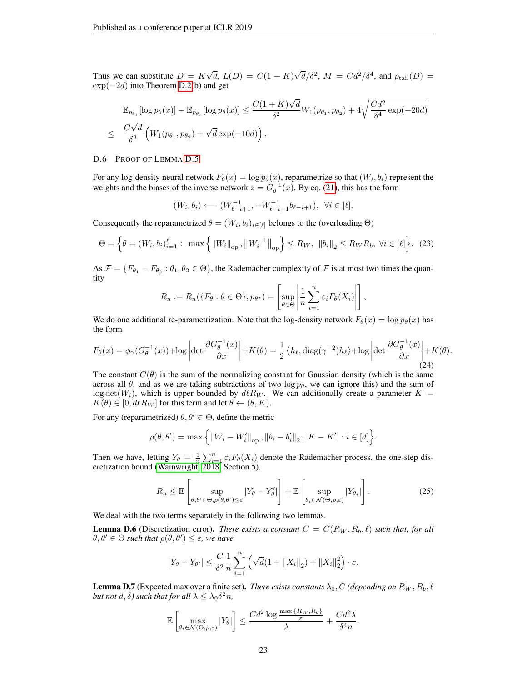Thus we can substitute  $D = K$ √  $d, L(D) = C(1 + K)$  $\sqrt{d}/\delta^2$ ,  $M = C d^2/\delta^4$ , and  $p_{\text{tail}}(D) =$ exp(−2d) into Theorem [D.2\(](#page-18-0)b) and get

$$
\mathbb{E}_{p_{\theta_1}}[\log p_{\theta}(x)] - \mathbb{E}_{p_{\theta_2}}[\log p_{\theta}(x)] \le \frac{C(1+K)\sqrt{d}}{\delta^2} W_1(p_{\theta_1}, p_{\theta_2}) + 4\sqrt{\frac{Cd^2}{\delta^4}} \exp(-20d)
$$
  

$$
\le \frac{C\sqrt{d}}{\delta^2} \left(W_1(p_{\theta_1}, p_{\theta_2}) + \sqrt{d} \exp(-10d)\right).
$$

#### D.6 PROOF OF LEMMA [D.5](#page-20-3)

For any log-density neural network  $F_{\theta}(x) = \log p_{\theta}(x)$ , reparametrize so that  $(W_i, b_i)$  represent the weights and the biases of the inverse network  $z = G_{\theta}^{-1}(x)$ . By eq. [\(21\)](#page-19-1), this has the form

$$
(W_i, b_i) \longleftarrow (W_{\ell-i+1}^{-1}, -W_{\ell-i+1}^{-1}b_{\ell-i+1}), \ \ \forall i \in [\ell].
$$

Consequently the reparametrized  $\theta = (W_i, b_i)_{i \in [\ell]}$  belongs to the (overloading  $\Theta$ )

$$
\Theta = \left\{ \theta = (W_i, b_i)_{i=1}^{\ell} : \max \left\{ \|W_i\|_{\text{op}}, \left\|W_i^{-1}\right\|_{\text{op}} \right\} \le R_W, \|\|b_i\|_2 \le R_W R_b, \ \forall i \in [\ell] \right\}.
$$
 (23)

As  $\mathcal{F} = \{F_{\theta_1} - F_{\theta_2} : \theta_1, \theta_2 \in \Theta\}$ , the Rademacher complexity of  $\mathcal F$  is at most two times the quantity

$$
R_n := R_n(\lbrace F_{\theta} : \theta \in \Theta \rbrace, p_{\theta^*}) = \left[\sup_{\theta \in \Theta} \left| \frac{1}{n} \sum_{i=1}^n \varepsilon_i F_{\theta}(X_i) \right| \right],
$$

We do one additional re-parametrization. Note that the log-density network  $F_{\theta}(x) = \log p_{\theta}(x)$  has the form

$$
F_{\theta}(x) = \phi_{\gamma}(G_{\theta}^{-1}(x)) + \log \left| \det \frac{\partial G_{\theta}^{-1}(x)}{\partial x} \right| + K(\theta) = \frac{1}{2} \left\langle h_{\ell}, \text{diag}(\gamma^{-2}) h_{\ell} \right\rangle + \log \left| \det \frac{\partial G_{\theta}^{-1}(x)}{\partial x} \right| + K(\theta).
$$
\n(24)

The constant  $C(\theta)$  is the sum of the normalizing constant for Gaussian density (which is the same across all  $\theta$ , and as we are taking subtractions of two log  $p_{\theta}$ , we can ignore this) and the sum of  $\log \det(W_i)$ , which is upper bounded by  $d\ell R_W$ . We can additionally create a parameter  $K =$  $K(\theta) \in [0, d\ell R_W]$  for this term and let  $\theta \leftarrow (\theta, K)$ .

For any (reparametrized)  $\theta, \theta' \in \Theta$ , define the metric

$$
\rho(\theta, \theta') = \max \left\{ ||W_i - W'_i||_{op}, ||b_i - b'_i||_2, |K - K'| : i \in [d] \right\}.
$$

Then we have, letting  $Y_{\theta} = \frac{1}{n} \sum_{i=1}^{n} \varepsilon_i F_{\theta}(X_i)$  denote the Rademacher process, the one-step discretization bound [\(Wainwright, 2018,](#page-11-15) Section 5).

<span id="page-22-0"></span>
$$
R_n \leq \mathbb{E}\left[\sup_{\theta,\theta' \in \Theta, \rho(\theta,\theta') \leq \varepsilon} |Y_{\theta} - Y_{\theta}'| \right] + \mathbb{E}\left[\sup_{\theta_i \in \mathcal{N}(\Theta,\rho,\varepsilon)} |Y_{\theta_i}| \right].
$$
 (25)

We deal with the two terms separately in the following two lemmas.

<span id="page-22-1"></span>**Lemma D.6** (Discretization error). *There exists a constant*  $C = C(R_W, R_b, \ell)$  *such that, for all*  $\theta, \theta' \in \Theta$  such that  $\rho(\theta, \theta') \leq \varepsilon$ , we have

$$
|Y_{\theta} - Y_{\theta'}| \leq \frac{C}{\delta^2} \frac{1}{n} \sum_{i=1}^n \left( \sqrt{d} (1 + \|X_i\|_2) + \|X_i\|_2^2 \right) \cdot \varepsilon.
$$

<span id="page-22-2"></span>**Lemma D.7** (Expected max over a finite set). *There exists constants*  $\lambda_0$ , C *(depending on*  $R_W$ ,  $R_b$ ,  $\ell$ *but not*  $d, \delta$ *) such that for all*  $\lambda \leq \lambda_0 \delta^2 n$ ,

$$
\mathbb{E}\left[\max_{\theta_i \in \mathcal{N}(\Theta,\rho,\varepsilon)}|Y_{\theta}|\right] \leq \frac{Cd^2\log\frac{\max\{R_W,R_b\}}{\varepsilon}}{\lambda} + \frac{Cd^2\lambda}{\delta^4 n}.
$$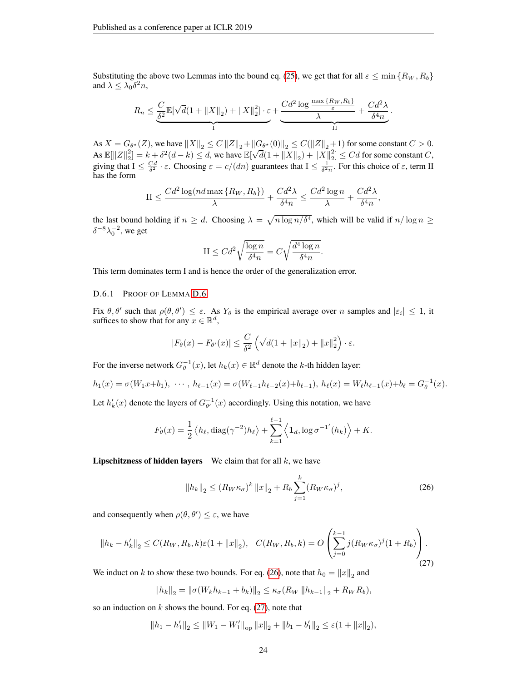Substituting the above two Lemmas into the bound eq. [\(25\)](#page-22-0), we get that for all  $\varepsilon \leq \min\{R_W, R_b\}$ and  $\lambda \leq \lambda_0 \delta^2 n$ ,

$$
R_n \leq \underbrace{\frac{C}{\delta^2} \mathbb{E}[\sqrt{d}(1 + \|X\|_2) + \|X\|_2^2] \cdot \varepsilon}_{\text{I}} + \underbrace{\frac{Cd^2 \log \frac{\max \{R_W, R_b\}}{\varepsilon}}{\lambda} + \frac{Cd^2 \lambda}{\delta^4 n}}_{\text{II}}.
$$

As  $X = G_{\theta^*}(Z)$ , we have  $||X||_2 \le C ||Z||_2 + ||G_{\theta^*}(0)||_2 \le C(||Z||_2 + 1)$  for some constant  $C > 0$ . As  $\mathbb{E}[\|Z\|_2^2] = k + \delta^2(d-k) \le d$ , we have  $\mathbb{E}[\sqrt{d}(1 + \|X\|_2) + \|X\|_2^2] \le Cd$  for some constant  $C$ , giving that  $I \leq \frac{Cd}{\delta^2} \cdot \varepsilon$ . Choosing  $\varepsilon = c/(dn)$  guarantees that  $I \leq \frac{1}{\delta^2 n}$ . For this choice of  $\varepsilon$ , term II has the form

$$
II \le \frac{Cd^2\log(nd \max\{R_W, R_b\})}{\lambda} + \frac{Cd^2\lambda}{\delta^4 n} \le \frac{Cd^2\log n}{\lambda} + \frac{Cd^2\lambda}{\delta^4 n},
$$

the last bound holding if  $n \geq d$ . Choosing  $\lambda = \sqrt{n \log n/\delta^4}$ , which will be valid if  $n/\log n \geq$  $\delta^{-8} \lambda_0^{-2}$ , we get

$$
\mathcal{II} \leq C d^2 \sqrt{\frac{\log n}{\delta^4 n}} = C \sqrt{\frac{d^4 \log n}{\delta^4 n}}.
$$

This term dominates term I and is hence the order of the generalization error.

## D.6.1 PROOF OF LEMMA [D.6](#page-22-1)

Fix  $\theta$ ,  $\theta'$  such that  $\rho(\theta, \theta') \leq \varepsilon$ . As  $Y_{\theta}$  is the empirical average over n samples and  $|\varepsilon_i| \leq 1$ , it suffices to show that for any  $\overline{x} \in \mathbb{R}^d$ ,

$$
|F_{\theta}(x) - F_{\theta'}(x)| \le \frac{C}{\delta^2} \left( \sqrt{d} (1 + ||x||_2) + ||x||_2^2 \right) \cdot \varepsilon.
$$

For the inverse network  $G_{\theta}^{-1}(x)$ , let  $h_k(x) \in \mathbb{R}^d$  denote the k-th hidden layer:

$$
h_1(x) = \sigma(W_1x + b_1), \cdots, h_{\ell-1}(x) = \sigma(W_{\ell-1}h_{\ell-2}(x) + b_{\ell-1}), h_{\ell}(x) = W_{\ell}h_{\ell-1}(x) + b_{\ell} = G_{\theta}^{-1}(x).
$$

Let  $h'_k(x)$  denote the layers of  $G_{\theta'}^{-1}(x)$  accordingly. Using this notation, we have

$$
F_{\theta}(x) = \frac{1}{2} \langle h_{\ell}, \text{diag}(\gamma^{-2}) h_{\ell} \rangle + \sum_{k=1}^{\ell-1} \langle \mathbf{1}_d, \log \sigma^{-1'}(h_k) \rangle + K.
$$

**Lipschitzness of hidden layers** We claim that for all  $k$ , we have

<span id="page-23-0"></span>
$$
||h_k||_2 \le (R_W \kappa_\sigma)^k ||x||_2 + R_b \sum_{j=1}^k (R_W \kappa_\sigma)^j,
$$
 (26)

and consequently when  $\rho(\theta, \theta') \leq \varepsilon$ , we have

<span id="page-23-1"></span>
$$
||h_k - h'_k||_2 \le C(R_W, R_b, k)\varepsilon(1 + ||x||_2), \quad C(R_W, R_b, k) = O\left(\sum_{j=0}^{k-1} j(R_W \kappa_\sigma)^j (1 + R_b)\right).
$$
\n(27)

We induct on k to show these two bounds. For eq. [\(26\)](#page-23-0), note that  $h_0 = ||x||_2$  and

$$
||h_k||_2 = ||\sigma(W_k h_{k-1} + b_k)||_2 \le \kappa \sigma(R_W ||h_{k-1}||_2 + R_W R_b),
$$

so an induction on  $k$  shows the bound. For eq. [\(27\)](#page-23-1), note that

$$
||h_1 - h'_1||_2 \le ||W_1 - W'_1||_{op} ||x||_2 + ||b_1 - b'_1||_2 \le \varepsilon (1 + ||x||_2),
$$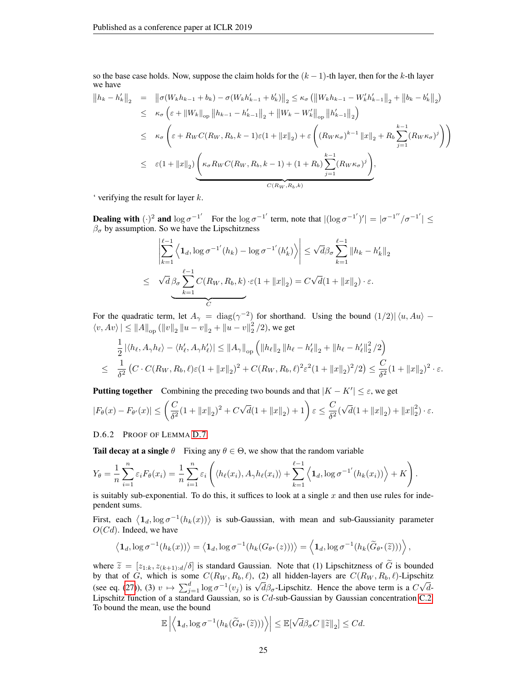so the base case holds. Now, suppose the claim holds for the  $(k-1)$ -th layer, then for the k-th layer we have

$$
||h_{k} - h'_{k}||_{2} = ||\sigma(W_{k}h_{k-1} + b_{k}) - \sigma(W_{k}h'_{k-1} + b'_{k})||_{2} \leq \kappa_{\sigma} (||W_{k}h_{k-1} - W'_{k}h'_{k-1}||_{2} + ||b_{k} - b'_{k}||_{2})
$$
  
\n
$$
\leq \kappa_{\sigma} \left(\varepsilon + ||W_{k}||_{op} ||h_{k-1} - h'_{k-1}||_{2} + ||W_{k} - W'_{k}||_{op} ||h'_{k-1}||_{2}\right)
$$
  
\n
$$
\leq \kappa_{\sigma} \left(\varepsilon + R_{W}C(R_{W}, R_{b}, k-1)\varepsilon(1 + ||x||_{2}) + \varepsilon \left( (R_{W}\kappa_{\sigma})^{k-1} ||x||_{2} + R_{b} \sum_{j=1}^{k-1} (R_{W}\kappa_{\sigma})^{j} \right) \right)
$$
  
\n
$$
\leq \varepsilon(1 + ||x||_{2}) \left( \kappa_{\sigma} R_{W}C(R_{W}, R_{b}, k-1) + (1 + R_{b}) \sum_{j=1}^{k-1} (R_{W}\kappa_{\sigma})^{j} \right),
$$
  
\n
$$
\frac{C(R_{W}, R_{b}, k)}{C(R_{W}, R_{b}, k)}
$$

' verifying the result for layer  $k$ .

**Dealing with**  $(\cdot)^2$  and  $\log \sigma^{-1'}$  For the  $\log \sigma^{-1'}$  term, note that  $|(\log \sigma^{-1'})'| = |\sigma^{-1''}/\sigma^{-1'}| \le$  $\beta_{\sigma}$  by assumption. So we have the Lipschitzness

$$
\left| \sum_{k=1}^{\ell-1} \left\langle \mathbf{1}_d, \log \sigma^{-1'}(h_k) - \log \sigma^{-1'}(h'_k) \right\rangle \right| \leq \sqrt{d} \beta \sigma \sum_{k=1}^{\ell-1} ||h_k - h'_k||_2
$$
  

$$
\leq \sqrt{d} \beta \sigma \sum_{k=1}^{\ell-1} C(R_W, R_b, k) \cdot \varepsilon (1 + ||x||_2) = C \sqrt{d} (1 + ||x||_2) \cdot \varepsilon.
$$

For the quadratic term, let  $A_{\gamma} = \text{diag}(\gamma^{-2})$  for shorthand. Using the bound  $(1/2)|\langle u, Au \rangle \langle v, Av \rangle \le ||A||_{op} (||v||_2 ||u - v||_2 + ||u - v||_2^2 / 2)$ , we get

$$
\frac{1}{2} |\langle h_{\ell}, A_{\gamma} h_{\ell} \rangle - \langle h'_{\ell}, A_{\gamma} h'_{\ell} \rangle| \le ||A_{\gamma}||_{op} \left( ||h_{\ell}||_2 ||h_{\ell} - h'_{\ell}||_2 + ||h_{\ell} - h'_{\ell}||_2^2 / 2 \right)
$$
\n
$$
\leq \frac{1}{\delta^2} \left( C \cdot C(R_W, R_b, \ell) \varepsilon (1 + ||x||_2)^2 + C(R_W, R_b, \ell)^2 \varepsilon^2 (1 + ||x||_2)^2 / 2 \right) \leq \frac{C}{\delta^2} (1 + ||x||_2)^2 \cdot \varepsilon.
$$

**Putting together** Combining the preceding two bounds and that  $|K - K'| \leq \varepsilon$ , we get

$$
|F_{\theta}(x) - F_{\theta'}(x)| \le \left(\frac{C}{\delta^2} (1 + \|x\|_2)^2 + C\sqrt{d}(1 + \|x\|_2) + 1\right) \varepsilon \le \frac{C}{\delta^2} (\sqrt{d}(1 + \|x\|_2) + \|x\|_2^2) \cdot \varepsilon.
$$

D.6.2 PROOF OF LEMMA [D.7](#page-22-2)

**Tail decay at a single**  $\theta$  Fixing any  $\theta \in \Theta$ , we show that the random variable

$$
Y_{\theta} = \frac{1}{n} \sum_{i=1}^{n} \varepsilon_{i} F_{\theta}(x_{i}) = \frac{1}{n} \sum_{i=1}^{n} \varepsilon_{i} \left( \langle h_{\ell}(x_{i}), A_{\gamma} h_{\ell}(x_{i}) \rangle + \sum_{k=1}^{\ell-1} \langle \mathbf{1}_{d}, \log \sigma^{-1}(h_{k}(x_{i})) \rangle + K \right).
$$

is suitably sub-exponential. To do this, it suffices to look at a single  $x$  and then use rules for independent sums.

First, each  $\langle 1_d, \log \sigma^{-1}(h_k(x)) \rangle$  is sub-Gaussian, with mean and sub-Gaussianity parameter  $O(Cd)$ . Indeed, we have

$$
\left\langle \mathbf{1}_d, \log \sigma^{-1}(h_k(x)) \right\rangle = \left\langle \mathbf{1}_d, \log \sigma^{-1}(h_k(G_{\theta^*}(z))) \right\rangle = \left\langle \mathbf{1}_d, \log \sigma^{-1}(h_k(\widetilde{G}_{\theta^*}(\widetilde{z}))) \right\rangle,
$$

where  $\tilde{z} = [z_{1:k}, z_{(k+1):d}/\delta]$  is standard Gaussian. Note that (1) Lipschitzness of  $\tilde{G}$  is bounded by that of G, which is some  $C(R_W, R_b, \ell)$ , (2) all hidden-layers are  $C(R_W, R_b, \ell)$ -Lipschitz by that of G, which is some  $C(h_W, h_b, \ell)$ , (2) an inducti-layers are  $C(h_W, h_b, \ell)$ -Lipstonic (see eq. [\(27\)](#page-23-1)), (3)  $v \mapsto \sum_{j=1}^d \log \sigma^{-1}(v_j)$  is  $\sqrt{d} \beta_\sigma$ -Lipschitz. Hence the above term is a C √  $d$ -Lipschitz function of a standard Gaussian, so is Cd-sub-Gaussian by Gaussian concentration [C.2.](#page-15-2) To bound the mean, use the bound

$$
\mathbb{E}\left|\left\langle\mathbf{1}_d,\log \sigma^{-1}(h_k(\widetilde{G}_{\theta^\star}(\widetilde{z})))\right\rangle\right| \leq \mathbb{E}[\sqrt{d}\beta_{\sigma}C\left\|\widetilde{z}\right\|_2] \leq Cd.
$$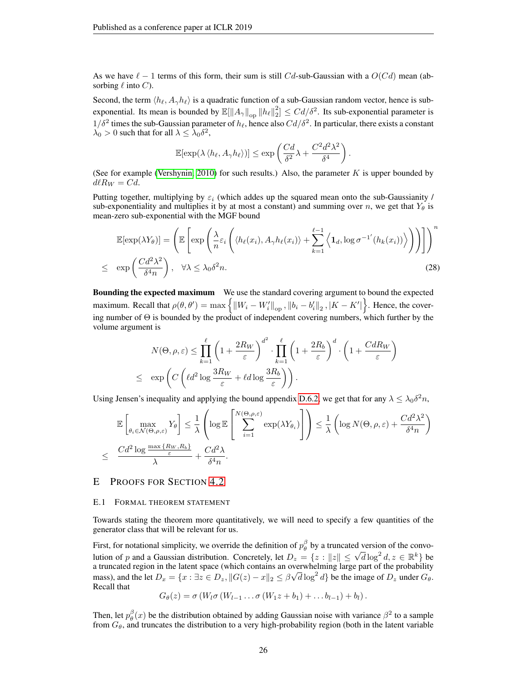As we have  $\ell - 1$  terms of this form, their sum is still Cd-sub-Gaussian with a  $O(Cd)$  mean (absorbing  $\ell$  into  $C$ ).

Second, the term  $\langle h_\ell, A_\gamma h_\ell \rangle$  is a quadratic function of a sub-Gaussian random vector, hence is subexponential. Its mean is bounded by  $\mathbb{E}[\|A_\gamma\|_\text{op}\|h_\ell\|_2^2] \le Cd/\delta^2$ . Its sub-exponential parameter is  $1/\delta^2$  times the sub-Gaussian parameter of  $h_\ell$ , hence also  $Cd/\delta^2$ . In particular, there exists a constant  $\lambda_0 > 0$  such that for all  $\lambda \leq \lambda_0 \delta^2$ ,

$$
\mathbb{E}[\exp(\lambda \langle h_{\ell}, A_{\gamma} h_{\ell} \rangle)] \le \exp\left(\frac{Cd}{\delta^2} \lambda + \frac{C^2 d^2 \lambda^2}{\delta^4}\right)
$$

.

(See for example [\(Vershynin, 2010\)](#page-11-9) for such results.) Also, the parameter  $K$  is upper bounded by  $d\ell R_W = Cd$ .

Putting together, multiplying by  $\varepsilon_i$  (which addes up the squared mean onto the sub-Gaussianity / sub-exponentiality and multiplies it by at most a constant) and summing over n, we get that  $Y_{\theta}$  is mean-zero sub-exponential with the MGF bound

<span id="page-25-1"></span>
$$
\mathbb{E}[\exp(\lambda Y_{\theta})] = \left( \mathbb{E}\left[\exp\left(\frac{\lambda}{n}\varepsilon_{i}\left(\langle h_{\ell}(x_{i}), A_{\gamma}h_{\ell}(x_{i})\rangle + \sum_{k=1}^{\ell-1} \left\langle \mathbf{1}_{d}, \log \sigma^{-1}(h_{k}(x_{i}))\right\rangle\right)\right)\right] \right)^{n}
$$
  
 
$$
\leq \exp\left(\frac{Cd^{2}\lambda^{2}}{\delta^{4}n}\right), \quad \forall \lambda \leq \lambda_{0}\delta^{2}n.
$$
 (28)

**Bounding the expected maximum** We use the standard covering argument to bound the expected maximum. Recall that  $\rho(\theta, \theta') = \max \left\{ ||W_i - W_i'||_{op}, ||b_i - b_i'||_2, |K - K'|\right\}$ . Hence, the covering number of Θ is bounded by the product of independent covering numbers, which further by the volume argument is

$$
N(\Theta, \rho, \varepsilon) \le \prod_{k=1}^{\ell} \left( 1 + \frac{2R_W}{\varepsilon} \right)^{d^2} \cdot \prod_{k=1}^{\ell} \left( 1 + \frac{2R_b}{\varepsilon} \right)^d \cdot \left( 1 + \frac{CdR_W}{\varepsilon} \right)
$$
  

$$
\le \exp\left( C\left( \ell d^2 \log \frac{3R_W}{\varepsilon} + \ell d \log \frac{3R_b}{\varepsilon} \right) \right).
$$

Using Jensen's inequality and applying the bound appendix [D.6.2,](#page-25-1) we get that for any  $\lambda \leq \lambda_0 \delta^2 n$ ,

$$
\mathbb{E}\left[\max_{\theta_i \in \mathcal{N}(\Theta,\rho,\varepsilon)} Y_{\theta}\right] \leq \frac{1}{\lambda} \left(\log \mathbb{E}\left[\sum_{i=1}^{N(\Theta,\rho,\varepsilon)} \exp(\lambda Y_{\theta_i})\right]\right) \leq \frac{1}{\lambda} \left(\log N(\Theta,\rho,\varepsilon) + \frac{Cd^2\lambda^2}{\delta^4 n}\right)
$$
  

$$
\leq \frac{Cd^2\log\frac{\max\{R_W,R_b\}}{\varepsilon}}{\lambda} + \frac{Cd^2\lambda}{\delta^4 n}.
$$

# <span id="page-25-0"></span>E PROOFS FOR SECTION [4.2](#page-7-1)

## E.1 FORMAL THEOREM STATEMENT

Towards stating the theorem more quantitatively, we will need to specify a few quantities of the generator class that will be relevant for us.

First, for notational simplicity, we override the definition of  $p_\theta^{\beta}$  by a truncated version of the convo-First, for notational simplicity, we overfuse the definition of  $p_{\theta}$  by a truncated version of the convolution of p and a Gaussian distribution. Concretely, let  $D_z = \{z : ||z|| \le \sqrt{d} \log^2 d, z \in \mathbb{R}^k\}$  be a truncated region in the latent space (which contains an overwhelming large part of the probability mass), and the let  $D_x = \{x : \exists z \in D_z, ||G(z) - x||_2 \le \beta \sqrt{d} \log^2 d\}$  be the image of  $D_z$  under  $G_\theta$ . Recall that

$$
G_{\theta}(z) = \sigma(W_l \sigma(W_{l-1} \ldots \sigma(W_1 z + b_1) + \ldots b_{l-1}) + b_l).
$$

Then, let  $p_{\theta}^{\beta}(x)$  be the distribution obtained by adding Gaussian noise with variance  $\beta^2$  to a sample from  $G_{\theta}$ , and truncates the distribution to a very high-probability region (both in the latent variable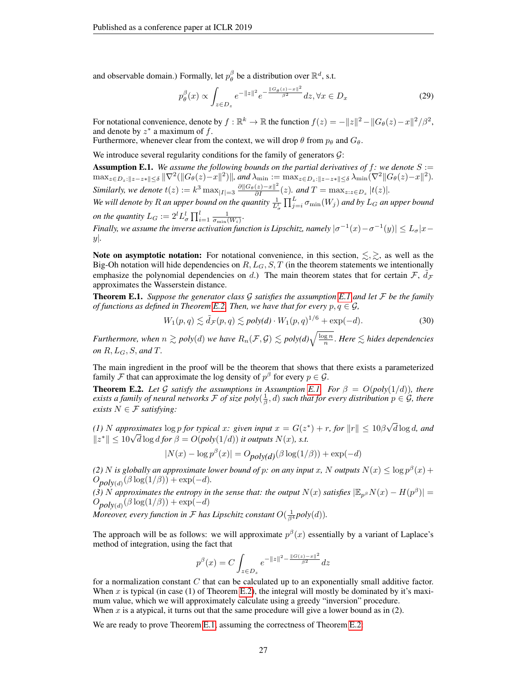and observable domain.) Formally, let  $p_{\theta}^{\beta}$  be a distribution over  $\mathbb{R}^{d}$ , s.t.

$$
p_{\theta}^{\beta}(x) \propto \int_{z \in D_z} e^{-\|z\|^2} e^{-\frac{\|\mathcal{G}_{\theta}(z) - x\|^2}{\beta^2}} dz, \forall x \in D_x
$$
 (29)

For notational convenience, denote by  $f : \mathbb{R}^k \to \mathbb{R}$  the function  $f(z) = -||z||^2 - ||G_\theta(z) - x||^2/\beta^2$ , and denote by  $z^*$  a maximum of f.

Furthermore, whenever clear from the context, we will drop  $\theta$  from  $p_{\theta}$  and  $G_{\theta}$ .

We introduce several regularity conditions for the family of generators  $G$ :

<span id="page-26-1"></span>**Assumption E.1.** *We assume the following bounds on the partial derivatives of f: we denote*  $S :=$  $\max_{z \in D_z: ||z-z|| \leq \delta} ||\nabla^2(||G_\theta(z)-x||^2) ||$ , and  $\lambda_{\min} := \max_{z \in D_z: ||z-z|| \leq \delta} \lambda_{\min}(\nabla^2 ||G_\theta(z)-x||^2)$ . *Similarly, we denote*  $t(z) := k^3 \max_{|I| = 3} \frac{\partial ||G_{\theta}(z) - x||^2}{\partial I}(z)$ *. and*  $T = \max_{z: z \in D_z} |t(z)|$ *.* 

We will denote by  $R$  an upper bound on the quantity  $\frac{1}{L_{\sigma}^l}\prod_{j=i}^L\sigma_{\min}(W_j)$  and by  $L_G$  an upper bound *on the quantity*  $L_G := 2^l L^l_{\sigma} \prod_{i=1}^l \frac{1}{\sigma_{\min}(W_i)}$ .

*Finally, we assume the inverse activation function is Lipschitz, namely*  $|\sigma^{-1}(x) - \sigma^{-1}(y)| \leq L_{\sigma}|x - y|$ y|*.*

Note on asymptotic notation: For notational convenience, in this section,  $\lesssim, \gtrsim$ , as well as the Big-Oh notation will hide dependencies on  $R, L_G, S, T$  (in the theorem statements we intentionally emphasize the polynomial dependencies on d.) The main theorem states that for certain  $\mathcal{F}, \, d\mathcal{F}$ approximates the Wasserstein distance.

<span id="page-26-0"></span>Theorem E.1. *Suppose the generator class* G *satisfies the assumption [E.1](#page-26-1) and let* F *be the family of functions as defined in Theorem [E.2.](#page-26-2) Then, we have that for every*  $p, q \in \mathcal{G}$ *,* 

$$
W_1(p,q) \lesssim \tilde{d}_{\mathcal{F}}(p,q) \lesssim \text{poly}(d) \cdot W_1(p,q)^{1/6} + \exp(-d). \tag{30}
$$

*Furthermore, when*  $n \gtrsim poly(d)$  *we have*  $R_n(\mathcal{F}, \mathcal{G}) \lesssim poly(d) \sqrt{\frac{\log n}{n}}$ . *Here*  $\lesssim$  *hides dependencies on* R, LG, S, *and* T*.*

The main ingredient in the proof will be the theorem that shows that there exists a parameterized family F that can approximate the log density of  $p^{\beta}$  for every  $p \in \mathcal{G}$ .

<span id="page-26-2"></span>**Theorem E.2.** Let G satisfy the assumptions in Assumption [E.1.](#page-26-1) For  $\beta = O(poly(1/d))$ , there *exists a family of neural networks*  $F$  *of size poly* $(\frac{1}{\beta}, d)$  *such that for every distribution*  $p \in G$ *, there exists*  $N \in \mathcal{F}$  *satisfying:* 

*(1) N approximates*  $\log p$  *for typical x: given input*  $x = G(z^*) + r$ *, for*  $||r|| \leq 10\beta$ √ d log d*, and* (1) *N* approximates  $\log p$  for typical *x*: given input  $x = G(z)$ <br> $||z^*|| \le 10\sqrt{d} \log d$  for  $\beta = O(\text{poly}(1/d))$  it outputs  $N(x)$ , s.t.

$$
|N(x) - \log p^{\beta}(x)| = O_{poly(d)}(\beta \log(1/\beta)) + \exp(-d)
$$

(2) N is globally an approximate lower bound of p: on any input x, N outputs  $N(x) \leq \log p^{\beta}(x) +$  $O_{poly(d)}(\beta \log(1/\beta)) + \exp(-d)$ .

*(3)* N approximates the entropy in the sense that: the output  $N(x)$  satisfies  $|\mathbb{E}_{p^{\beta}}N(x) - H(p^{\beta})|$  =  $O_{poly(d)}(\beta \log(1/\beta)) + \exp(-d)$ 

*Moreover, every function in*  ${\cal F}$  *has Lipschitz constant*  $O(\frac{1}{\beta^4}poly(d)).$ 

The approach will be as follows: we will approximate  $p^{\beta}(x)$  essentially by a variant of Laplace's method of integration, using the fact that

$$
p^{\beta}(x) = C \int_{z \in D_z} e^{-\|z\|^2 - \frac{\|G(z) - x\|^2}{\beta^2}} dz
$$

for a normalization constant  $C$  that can be calculated up to an exponentially small additive factor. When x is typical (in case  $(1)$  of Theorem [E.2\)](#page-26-2), the integral will mostly be dominated by it's maximum value, which we will approximately calculate using a greedy "inversion" procedure. When  $x$  is a atypical, it turns out that the same procedure will give a lower bound as in  $(2)$ .

We are ready to prove Theorem [E.1,](#page-26-0) assuming the correctness of Theorem [E.2:](#page-26-2)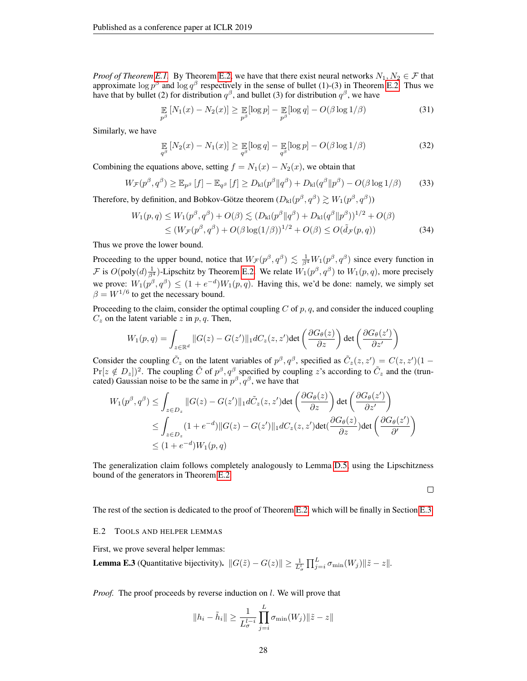*Proof of Theorem [E.1.](#page-26-0)* By Theorem [E.2,](#page-26-2) we have that there exist neural networks  $N_1, N_2 \in \mathcal{F}$  that approximate  $\log p^{\beta}$  and  $\log q^{\beta}$  respectively in the sense of bullet (1)-(3) in Theorem [E.2.](#page-26-2) Thus we have that by bullet (2) for distribution  $q^{\beta}$ , and bullet (3) for distribution  $q^{\beta}$ , we have

$$
\mathop{\mathbb{E}}_{p^{\beta}}\left[N_1(x) - N_2(x)\right] \ge \mathop{\mathbb{E}}_{p^{\beta}}[\log p] - \mathop{\mathbb{E}}_{p^{\beta}}[\log q] - O(\beta \log 1/\beta)
$$
\n(31)

Similarly, we have

$$
\mathop{\mathbb{E}}_{q^{\beta}}\left[N_2(x) - N_1(x)\right] \geq \mathop{\mathbb{E}}_{q^{\beta}}[\log q] - \mathop{\mathbb{E}}_{q^{\beta}}[\log p] - O(\beta \log 1/\beta)
$$
\n(32)

Combining the equations above, setting  $f = N_1(x) - N_2(x)$ , we obtain that

$$
W_{\mathcal{F}}(p^{\beta}, q^{\beta}) \geq \mathbb{E}_{p^{\beta}}\left[f\right] - \mathbb{E}_{q^{\beta}}\left[f\right] \geq D_{\mathrm{kl}}(p^{\beta} \|q^{\beta}) + D_{\mathrm{kl}}(q^{\beta} \|p^{\beta}) - O(\beta \log 1/\beta) \tag{33}
$$

Therefore, by definition, and Bobkov-Götze theorem  $(D_{kl}(p^{\beta}, q^{\beta}) \gtrsim W_1(p^{\beta}, q^{\beta}))$ 

$$
W_1(p,q) \le W_1(p^{\beta}, q^{\beta}) + O(\beta) \lesssim (D_{kl}(p^{\beta} || q^{\beta}) + D_{kl}(q^{\beta} || p^{\beta}))^{1/2} + O(\beta)
$$
  
 
$$
\le (W_{\mathcal{F}}(p^{\beta}, q^{\beta}) + O(\beta \log(1/\beta))^{1/2} + O(\beta) \le O(\tilde{d}_{\mathcal{F}}(p, q))
$$
(34)

Thus we prove the lower bound.

Proceeding to the upper bound, notice that  $W_{\mathcal{F}}(p^{\beta}, q^{\beta}) \lesssim \frac{1}{\beta^4} W_1(p^{\beta}, q^{\beta})$  since every function in *F* is  $O(\text{poly}(d) \frac{1}{\beta^4})$ -Lipschitz by Theorem [E.2.](#page-26-2) We relate  $W_1(p^{\beta}, q^{\beta})$  to  $W_1(p, q)$ , more precisely we prove:  $W_1(p^{\beta}, q^{\beta}) \leq (1 + e^{-d})W_1(p, q)$ . Having this, we'd be done: namely, we simply set  $\beta = W^{1/6}$  to get the necessary bound.

Proceeding to the claim, consider the optimal coupling C of  $p, q$ , and consider the induced coupling  $C_z$  on the latent variable z in p, q. Then,

$$
W_1(p,q) = \int_{z \in \mathbb{R}^d} ||G(z) - G(z')||_1 dC_z(z, z') \det \left( \frac{\partial G_{\theta}(z)}{\partial z} \right) \det \left( \frac{\partial G_{\theta}(z')}{\partial z'} \right)
$$

Consider the coupling  $\tilde{C}_z$  on the latent variables of  $p^{\beta}, q^{\beta}$ , specified as  $\tilde{C}_z(z, z') = C(z, z')(1 - z')$  $Pr[z \notin D_z]$ <sup>2</sup>. The coupling  $\tilde{C}$  of  $p^{\beta}$ ,  $q^{\beta}$  specified by coupling z's according to  $\tilde{C}_z$  and the (truncated) Gaussian noise to be the same in  $p^{\beta}, q^{\beta}$ , we have that

$$
W_1(p^{\beta}, q^{\beta}) \le \int_{z \in D_z} ||G(z) - G(z')||_1 d\tilde{C}_z(z, z') \det\left(\frac{\partial G_{\theta}(z)}{\partial z}\right) \det\left(\frac{\partial G_{\theta}(z')}{\partial z'}\right)
$$
  
\n
$$
\le \int_{z \in D_z} (1 + e^{-d}) ||G(z) - G(z')||_1 dC_z(z, z') \det\left(\frac{\partial G_{\theta}(z)}{\partial z}\right) \det\left(\frac{\partial G_{\theta}(z')}{\partial z'}\right)
$$
  
\n
$$
\le (1 + e^{-d}) W_1(p, q)
$$

The generalization claim follows completely analogously to Lemma [D.5,](#page-20-3) using the Lipschitzness bound of the generators in Theorem [E.2.](#page-26-2)

$$
\Box
$$

The rest of the section is dedicated to the proof of Theorem [E.2,](#page-26-2) which will be finally in Section [E.3.](#page-29-0)

#### E.2 TOOLS AND HELPER LEMMAS

First, we prove several helper lemmas:

<span id="page-27-0"></span>**Lemma E.3** (Quantitative bijectivity). 
$$
||G(\tilde{z}) - G(z)|| \ge \frac{1}{L_{\sigma}^l} \prod_{j=i}^L \sigma_{\min}(W_j) ||\tilde{z} - z||
$$
.

*Proof.* The proof proceeds by reverse induction on l. We will prove that

$$
||h_i - \tilde{h}_i|| \ge \frac{1}{L_{\sigma}^{l-i}} \prod_{j=i}^{L} \sigma_{\min}(W_j) ||\tilde{z} - z||
$$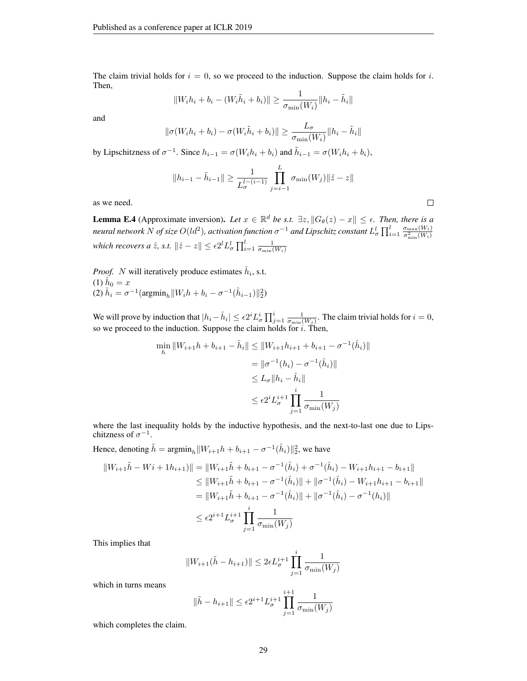The claim trivial holds for  $i = 0$ , so we proceed to the induction. Suppose the claim holds for i. Then,

$$
||W_i h_i + b_i - (W_i \tilde{h}_i + b_i)|| \ge \frac{1}{\sigma_{\min}(W_i)} ||h_i - \tilde{h}_i||
$$

and

$$
\|\sigma(W_i h_i + b_i) - \sigma(W_i \tilde{h}_i + b_i)\| \ge \frac{L_{\sigma}}{\sigma_{\min}(W_i)} \|h_i - \tilde{h}_i\|
$$

by Lipschitzness of  $\sigma^{-1}$ . Since  $h_{i-1} = \sigma(W_i h_i + b_i)$  and  $\tilde{h}_{i-1} = \sigma(W_i h_i + b_i)$ ,

$$
||h_{i-1} - \tilde{h}_{i-1}|| \ge \frac{1}{L_{\sigma}^{l-(i-1)}} \prod_{j=i-1}^{L} \sigma_{\min}(W_j) ||\tilde{z} - z||
$$

 $\Box$ 

as we need.

<span id="page-28-0"></span>**Lemma E.4** (Approximate inversion). Let  $x \in \mathbb{R}^d$  be s.t.  $\exists z, \|G_\theta(z) - x\| \leq \epsilon$ . Then, there is a *neural network N of size*  $O(d^2)$ *, activation function*  $\sigma^{-1}$  *and Lipschitz constant*  $L^l_\sigma\prod_{i=1}^l\frac{\sigma_{\max}(W_i)}{\sigma_{\min}^2(W_i)}$ which recovers a  $\hat{z}$ , s.t.  $\|\hat{z}-z\| \leq \epsilon 2^l L_{\sigma}^l \prod_{i=1}^l \frac{1}{\sigma_{\min}(W_i)}$ 

*Proof.* N will iteratively produce estimates  $\hat{h}_i$ , s.t. (1)  $\hat{h}_0 = x$ (2)  $\hat{h}_i = \sigma^{-1}(\text{argmin}_h ||W_i h + b_i - \sigma^{-1}(\hat{h}_{i-1})||_2^2)$ 

We will prove by induction that  $|h_i - \hat{h}_i| \le \epsilon 2^i L^i_\sigma \prod_{j=1}^i \frac{1}{\sigma_{\min}(W_j)}$ . The claim trivial holds for  $i = 0$ , so we proceed to the induction. Suppose the claim holds for  $i$ . Then,

$$
\min_{h} \|W_{i+1}h + b_{i+1} - \hat{h}_i\| \le \|W_{i+1}h_{i+1} + b_{i+1} - \sigma^{-1}(\hat{h}_i)\|
$$
  

$$
= \|\sigma^{-1}(h_i) - \sigma^{-1}(\hat{h}_i)\|
$$
  

$$
\le L_{\sigma} \|h_i - \hat{h}_i\|
$$
  

$$
\le \epsilon 2^i L_{\sigma}^{i+1} \prod_{j=1}^i \frac{1}{\sigma_{\min}(W_j)}
$$

where the last inequality holds by the inductive hypothesis, and the next-to-last one due to Lipschitzness of  $\sigma^{-1}$ .

Hence, denoting  $\tilde{h} = \operatorname{argmin}_{h} ||W_{i+1}h + b_{i+1} - \sigma^{-1}(\hat{h}_i)||_2^2$ , we have

$$
||W_{i+1}\tilde{h} - Wi + 1h_{i+1})|| = ||W_{i+1}\tilde{h} + b_{i+1} - \sigma^{-1}(\hat{h}_i) + \sigma^{-1}(\hat{h}_i) - W_{i+1}h_{i+1} - b_{i+1}||
$$
  
\n
$$
\leq ||W_{i+1}\tilde{h} + b_{i+1} - \sigma^{-1}(\hat{h}_i)|| + ||\sigma^{-1}(\hat{h}_i) - W_{i+1}h_{i+1} - b_{i+1}||
$$
  
\n
$$
= ||W_{i+1}\tilde{h} + b_{i+1} - \sigma^{-1}(\hat{h}_i)|| + ||\sigma^{-1}(\hat{h}_i) - \sigma^{-1}(h_i)||
$$
  
\n
$$
\leq \epsilon 2^{i+1} L_{\sigma}^{i+1} \prod_{j=1}^{i} \frac{1}{\sigma_{\min}(W_j)}
$$

This implies that

$$
||W_{i+1}(\tilde{h} - h_{i+1})|| \le 2\epsilon L_{\sigma}^{i+1} \prod_{j=1}^{i} \frac{1}{\sigma_{\min}(W_j)}
$$

which in turns means

$$
\|\tilde{h} - h_{i+1}\| \le \epsilon 2^{i+1} L_{\sigma}^{i+1} \prod_{j=1}^{i+1} \frac{1}{\sigma_{\min}(W_j)}
$$

which completes the claim.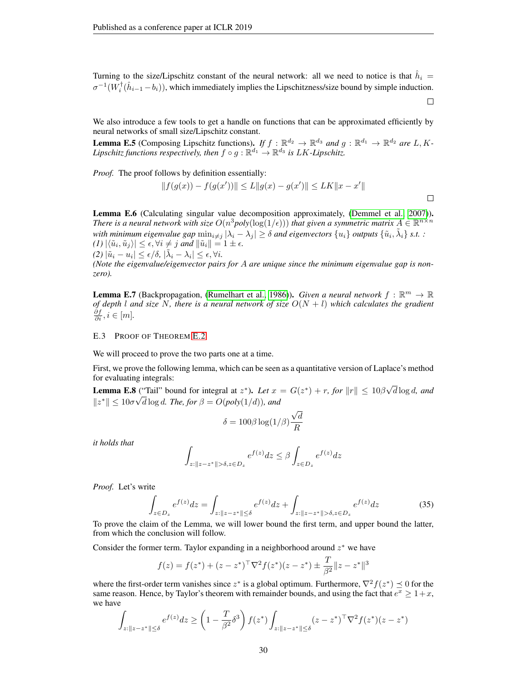Turning to the size/Lipschitz constant of the neural network: all we need to notice is that  $\hat{h}_i =$  $\sigma^{-1}(W_i^{\dagger}(\hat{h}_{i-1}-b_i))$ , which immediately implies the Lipschitzness/size bound by simple induction.

We also introduce a few tools to get a handle on functions that can be approximated efficiently by neural networks of small size/Lipschitz constant.

<span id="page-29-5"></span>**Lemma E.5** (Composing Lipschitz functions). *If*  $f : \mathbb{R}^{d_2} \to \mathbb{R}^{d_3}$  and  $g : \mathbb{R}^{d_1} \to \mathbb{R}^{d_2}$  are L, K-Lipschitz functions respectively, then  $f \circ g : \mathbb{R}^{d_1} \to \mathbb{R}^{d_3}$  is LK-Lipschitz.

*Proof.* The proof follows by definition essentially:

$$
||f(g(x)) - f(g(x'))|| \le L||g(x) - g(x')|| \le LK||x - x'||
$$

 $\Box$ 

<span id="page-29-3"></span>Lemma E.6 (Calculating singular value decomposition approximately, [\(Demmel et al., 2007\)](#page-10-19)). *There is a neural network with size*  $O(n^3poly(\log(1/\epsilon)))$  *that given a symmetric matrix*  $A \in \mathbb{R}^{n \times n}$ with minimum eigenvalue gap  $\min_{i \neq j} |\lambda_i - \lambda_j| \geq \delta$  and eigenvectors  $\{u_i\}$  outputs  $\{\tilde{u}_i, \tilde{\lambda}_i\}$  s.t. :  $\langle (I) | \langle \tilde{u}_i, \tilde{u}_j \rangle | \leq \epsilon, \forall i \neq j \text{ and } ||\tilde{u}_i|| = 1 \pm \epsilon.$  $(2) |\tilde{u}_i - u_i| \leq \epsilon/\delta, |\tilde{\lambda}_i - \lambda_i| \leq \epsilon, \forall i.$ 

*(Note the eigenvalue/eigenvector pairs for* A *are unique since the minimum eigenvalue gap is nonzero).*

<span id="page-29-2"></span>**Lemma E.7** (Backpropagation, [\(Rumelhart et al., 1986\)](#page-11-16)). *Given a neural network*  $f : \mathbb{R}^m \to \mathbb{R}$ *of depth* l and size N, there is a neural network of size  $O(N + l)$  which calculates the gradient  $\frac{\partial f}{\partial i}, i \in [m]$ .

## <span id="page-29-0"></span>E.3 PROOF OF THEOREM [E.2](#page-26-2)

We will proceed to prove the two parts one at a time.

First, we prove the following lemma, which can be seen as a quantitative version of Laplace's method for evaluating integrals: √

<span id="page-29-4"></span>**Lemma E.8** ("Tail" bound for integral at  $z^*$ ). Let  $x = G(z^*) + r$ , for  $||r|| \le 10\beta$ d ("Tail" bound for integral at  $z^*$ ). Let  $x = G(z^*) + r$ , for  $||r|| \leq 10\beta\sqrt{d \log d}$ , and  $||z^*|| \leq 10\sigma\sqrt{d}\log d$ . The, for  $\beta = O(poly(1/d))$ , and

$$
\delta = 100\beta \log(1/\beta) \frac{\sqrt{d}}{R}
$$

*it holds that*

$$
\int_{z:\|z-z^*\|>\delta, z\in D_z} e^{f(z)}dz \leq \beta \int_{z\in D_z} e^{f(z)}dz
$$

*Proof.* Let's write

<span id="page-29-1"></span>
$$
\int_{z \in D_z} e^{f(z)} dz = \int_{z : \|z - z^*\| \le \delta} e^{f(z)} dz + \int_{z : \|z - z^*\| > \delta, z \in D_z} e^{f(z)} dz \tag{35}
$$

To prove the claim of the Lemma, we will lower bound the first term, and upper bound the latter, from which the conclusion will follow.

Consider the former term. Taylor expanding in a neighborhood around  $z^*$  we have

$$
f(z) = f(z^*) + (z - z^*)^\top \nabla^2 f(z^*)(z - z^*) \pm \frac{T}{\beta^2} ||z - z^*||^3
$$

where the first-order term vanishes since  $z^*$  is a global optimum. Furthermore,  $\nabla^2 f(z^*) \preceq 0$  for the same reason. Hence, by Taylor's theorem with remainder bounds, and using the fact that  $e^x \geq 1+x$ , we have

$$
\int_{z:||z-z^*|| \leq \delta} e^{f(z)} dz \geq \left(1 - \frac{T}{\beta^2} \delta^3\right) f(z^*) \int_{z:||z-z^*|| \leq \delta} (z - z^*)^\top \nabla^2 f(z^*)(z - z^*)
$$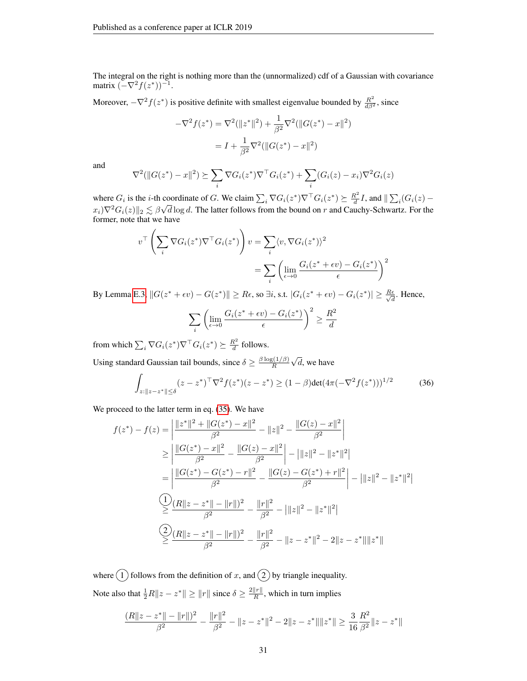The integral on the right is nothing more than the (unnormalized) cdf of a Gaussian with covariance matrix  $(-\nabla^2 f(z^*))^{-1}$ .

Moreover,  $-\nabla^2 f(z^*)$  is positive definite with smallest eigenvalue bounded by  $\frac{R^2}{d\beta^2}$ , since

$$
-\nabla^2 f(z^*) = \nabla^2 (\|z^*\|^2) + \frac{1}{\beta^2} \nabla^2 (\|G(z^*) - x\|^2)
$$

$$
= I + \frac{1}{\beta^2} \nabla^2 (\|G(z^*) - x\|^2)
$$

and

$$
\nabla^2(||G(z^*)-x||^2) \succeq \sum_i \nabla G_i(z^*) \nabla^{\top} G_i(z^*) + \sum_i (G_i(z)-x_i) \nabla^2 G_i(z)
$$

where  $G_i$  is the *i*-th coordinate of G. We claim  $\sum_i \nabla G_i(z^*) \nabla^{\top} G_i(z^*) \succeq \frac{R^2}{d}$ coordinate of G. We claim  $\sum_i \nabla G_i(z^*) \nabla^{\top} G_i(z^*) \succeq \frac{R^2}{d} I$ , and  $\|\sum_i (G_i(z) - \overline{G_i})\|$  $x_i) \nabla^2 G_i(z) \|_2 \lesssim \beta \sqrt{d} \log d$ . The latter follows from the bound on r and Cauchy-Schwartz. For the former, note that we have

$$
v^{\top} \left( \sum_{i} \nabla G_{i}(z^{*}) \nabla^{\top} G_{i}(z^{*}) \right) v = \sum_{i} \langle v, \nabla G_{i}(z^{*}) \rangle^{2}
$$

$$
= \sum_{i} \left( \lim_{\epsilon \to 0} \frac{G_{i}(z^{*} + \epsilon v) - G_{i}(z^{*})}{\epsilon} \right)^{2}
$$

By Lemma [E.3,](#page-27-0)  $||G(z^* + \epsilon v) - G(z^*)|| \geq R\epsilon$ , so  $\exists i$ , s.t.  $|G_i(z^* + \epsilon v) - G_i(z^*)| \geq \frac{R\epsilon}{\sqrt{A}}$  $\frac{e}{d}$ . Hence,

$$
\sum_{i} \left( \lim_{\epsilon \to 0} \frac{G_i(z^* + \epsilon v) - G_i(z^*)}{\epsilon} \right)^2 \ge \frac{R^2}{d}
$$

from which  $\sum_i \nabla G_i(z^*) \nabla^\top G_i(z^*) \succeq \frac{R^2}{d}$  $\frac{d}{d}$  follows.

Using standard Gaussian tail bounds, since  $\delta \geq \frac{\beta \log(1/\beta)}{B}$ R √  $d$ , we have

<span id="page-30-0"></span>
$$
\int_{z:\|z-z^*\| \le \delta} (z-z^*)^\top \nabla^2 f(z^*)(z-z^*) \ge (1-\beta) \det(4\pi(-\nabla^2 f(z^*)))^{1/2}
$$
 (36)

We proceed to the latter term in eq.  $(35)$ . We have

$$
f(z^*) - f(z) = \left| \frac{\|z^*\|^2 + \|G(z^*) - x\|^2}{\beta^2} - \|z\|^2 - \frac{\|G(z) - x\|^2}{\beta^2} \right|
$$
  
\n
$$
\geq \left| \frac{\|G(z^*) - x\|^2}{\beta^2} - \frac{\|G(z) - x\|^2}{\beta^2} \right| - \left| \|z\|^2 - \|z^*\|^2 \right|
$$
  
\n
$$
= \left| \frac{\|G(z^*) - G(z^*) - r\|^2}{\beta^2} - \frac{\|G(z) - G(z^*) + r\|^2}{\beta^2} \right| - \left| \|z\|^2 - \|z^*\|^2 \right|
$$
  
\n
$$
\frac{Q}{\beta} \frac{(R\|z - z^*\| - \|r\|)^2}{\beta^2} - \frac{\|r\|^2}{\beta^2} - \left| \|z\|^2 - \|z^*\|^2 \right|
$$
  
\n
$$
\frac{Q}{\beta} \frac{(R\|z - z^*\| - \|r\|)^2}{\beta^2} - \frac{\|r\|^2}{\beta^2} - \|z - z^*\|^2 - 2\|z - z^*\| \|z^*\|
$$

where  $(1)$  follows from the definition of x, and  $(2)$  by triangle inequality. Note also that  $\frac{1}{2}R||z - z^*|| \ge ||r||$  since  $\delta \ge \frac{2||r||}{R}$  $\frac{||T||}{R}$ , which in turn implies

$$
\frac{(R\|z-z^*\|-\|r\|)^2}{\beta^2}-\frac{\|r\|^2}{\beta^2}-\|z-z^*\|^2-2\|z-z^*\|\|z^*\|\geq \frac{3}{16}\frac{R^2}{\beta^2}\|z-z^*\|
$$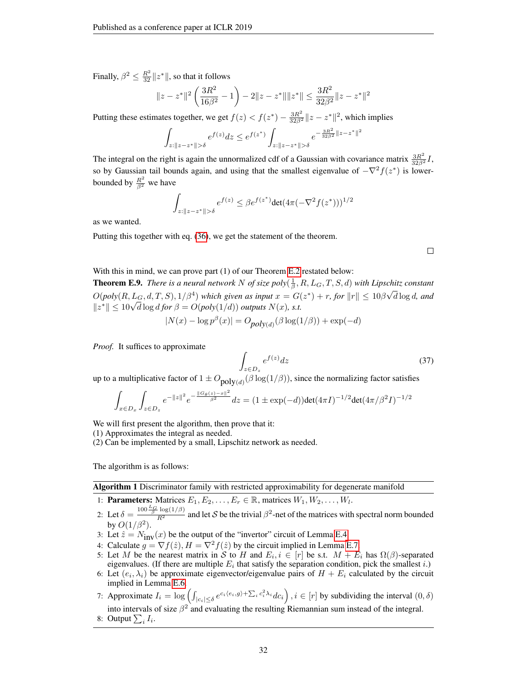Finally,  $\beta^2 \leq \frac{R^2}{32} \|z^*\|$ , so that it follows

$$
||z - z^*||^2 \left(\frac{3R^2}{16\beta^2} - 1\right) - 2||z - z^*|| ||z^*|| \le \frac{3R^2}{32\beta^2} ||z - z^*||^2
$$

Putting these estimates together, we get  $f(z) < f(z^*) - \frac{3R^2}{32\beta^2} ||z - z^*||^2$ , which implies

$$
\int_{z:\|z-z^*\|>\delta} e^{f(z)}dz \le e^{f(z^*)} \int_{z:\|z-z^*\|>\delta} e^{-\frac{3R^2}{32\beta^2}\|z-z^*\|}
$$

The integral on the right is again the unnormalized cdf of a Gaussian with covariance matrix  $\frac{3R^2}{32\beta^2}I$ , so by Gaussian tail bounds again, and using that the smallest eigenvalue of  $-\nabla^2 f(z^*)$  is lowerbounded by  $\frac{R^2}{\beta^2}$  we have

$$
\int_{z:||z-z^*||>\delta} e^{f(z)} \le \beta e^{f(z^*)} \det(4\pi(-\nabla^2 f(z^*)))^{1/2}
$$

as we wanted.

Putting this together with eq. [\(36\)](#page-30-0), we get the statement of the theorem.

 $\Box$ 

## With this in mind, we can prove part (1) of our Theorem [E.2](#page-26-2) restated below:

<span id="page-31-1"></span>**Theorem E.9.** There is a neural network N of size  $poly(\frac{1}{\beta}, R, L_G, T, S, d)$  with Lipschitz constant  $O(\text{poly}(R, L_G, d, T, S), 1/\beta^4)$  which given as input  $x = G(z^*) + r$ , for  $||r|| \leq 10\beta$ √ d log d*, and*  $O(\text{poly}(K, L_G, a, 1, S), 1/\beta^*)$  which given as input  $x = G(\lvert z^* \rvert \leq 10\sqrt{d} \log d$  for  $\beta = O(\text{poly}(1/d))$  outputs  $N(x)$ , s.t.

$$
|N(x) - \log p^{\beta}(x)| = O_{poly(d)}(\beta \log(1/\beta)) + \exp(-d)
$$

*Proof.* It suffices to approximate

<span id="page-31-0"></span>
$$
\int_{z \in D_z} e^{f(z)} dz \tag{37}
$$

2

up to a multiplicative factor of  $1 \pm O_{\text{poly}(d)}(\beta \log(1/\beta))$ , since the normalizing factor satisfies

Z

$$
\int_{x \in D_x} \int_{z \in D_z} e^{-\|z\|^2} e^{-\frac{\|\mathcal{G}_{\theta}(z) - x\|^2}{\beta^2}} dz = (1 \pm \exp(-d)) \det(4\pi I)^{-1/2} \det(4\pi/\beta^2 I)^{-1/2}
$$

We will first present the algorithm, then prove that it:

- (1) Approximates the integral as needed.
- (2) Can be implemented by a small, Lipschitz network as needed.

The algorithm is as follows:

Algorithm 1 Discriminator family with restricted approximability for degenerate manifold

- 1: **Parameters:** Matrices  $E_1, E_2, \ldots, E_r \in \mathbb{R}$ , matrices  $W_1, W_2, \ldots, W_l$ .
- 2: Let  $\delta = \frac{100 \frac{L_G}{\beta} \log(1/\beta)}{R^2}$  and let S be the trivial  $\beta^2$ -net of the matrices with spectral norm bounded by  $O(1/\beta^2)$ .
- 3: Let  $\hat{z} = N_{\text{inv}}(x)$  be the output of the "invertor" circuit of Lemma [E.4.](#page-28-0)
- 4: Calculate  $g = \nabla f(\hat{z}), H = \nabla^2 f(\hat{z})$  by the circuit implied in Lemma [E.7.](#page-29-2)
- 5: Let M be the nearest matrix in S to H and  $E_i, i \in [r]$  be s.t.  $M + E_i$  has  $\Omega(\beta)$ -separated eigenvalues. (If there are multiple  $E_i$  that satisfy the separation condition, pick the smallest *i*.)
- 6: Let  $(e_i, \lambda_i)$  be approximate eigenvector/eigenvalue pairs of  $H + E_i$  calculated by the circuit implied in Lemma [E.6.](#page-29-3)
- 7: Approximate  $I_i = \log \left( \int_{|c_i| \le \delta} e^{c_i \langle e_i, g \rangle + \sum_i c_i^2 \lambda_i} dc_i \right)$ ,  $i \in [r]$  by subdividing the interval  $(0, \delta)$
- into intervals of size  $\beta^2$  and evaluating the resulting Riemannian sum instead of the integral. 8: Output  $\sum_i I_i$ .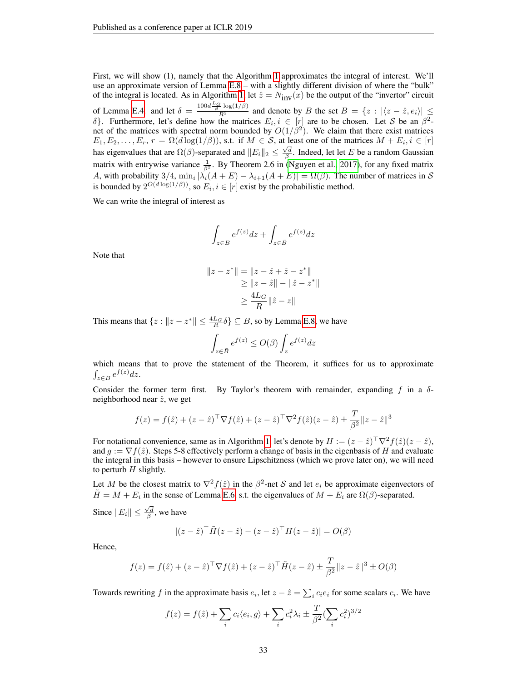First, we will show (1), namely that the Algorithm [1](#page-31-0) approximates the integral of interest. We'll use an approximate version of Lemma [E.8](#page-29-4) – with a slightly different division of where the "bulk" of the integral is located. As in Algorithm [1,](#page-31-0) let  $\hat{z} = N_{\text{inv}}(x)$  be the output of the "invertor" circuit of Lemma [E.4.](#page-28-0) and let  $\delta = \frac{100d \frac{L_G}{\beta} \log(1/\beta)}{R^2}$  and denote by B the set  $B = \{z : |\langle z - \hat{z}, e_i \rangle| \leq$ δ}. Furthermore, let's define how the matrices  $E_i, i \in [r]$  are to be chosen. Let S be an  $\beta^2$ net of the matrices with spectral norm bounded by  $O(1/\beta^2)$ . We claim that there exist matrices  $E_1, E_2, \ldots, E_r$ ,  $r = \Omega(d \log(1/\beta))$ , s.t. if  $M \in S$ , at least one of the matrices  $M + E_i$ ,  $i \in [r]$ has eigenvalues that are  $\Omega(\beta)$ -separated and  $||E_i||_2 \le \frac{\sqrt{d}}{\beta}$ . Indeed, let let E be a random Gaussian matrix with entrywise variance  $\frac{1}{\beta^2}$ . By Theorem 2.6 in [\(Nguyen et al., 2017\)](#page-11-17), for any fixed matrix A, with probability 3/4,  $\min_i |\lambda_i(A+E) - \lambda_{i+1}(A+E)| = \Omega(\beta)$ . The number of matrices in S is bounded by  $2^{O(d \log(1/\beta))}$ , so  $E_i, i \in [r]$  exist by the probabilistic method.

We can write the integral of interest as

$$
\int_{z\in B} e^{f(z)}dz + \int_{z\in \bar B} e^{f(z)}dz
$$

Note that

$$
||z - z^*|| = ||z - \hat{z} + \hat{z} - z^*||
$$
  
\n
$$
\ge ||z - \hat{z}|| - ||\hat{z} - z^*||
$$
  
\n
$$
\ge \frac{4L_G}{R} ||\hat{z} - z||
$$

This means that  $\{z : ||z - z^*|| \leq \frac{4L_G}{R} \delta\} \subseteq B$ , so by Lemma [E.8,](#page-29-4) we have

$$
\int_{z \in B} e^{f(z)} \le O(\beta) \int_{z} e^{f(z)} dz
$$

which means that to prove the statement of the Theorem, it suffices for us to approximate  $\int_{z\in B} e^{f(z)}dz.$ 

Consider the former term first. By Taylor's theorem with remainder, expanding f in a  $\delta$ neighborhood near  $\hat{z}$ , we get

$$
f(z) = f(\hat{z}) + (z - \hat{z})^{\top} \nabla f(\hat{z}) + (z - \hat{z})^{\top} \nabla^{2} f(\hat{z}) (z - \hat{z}) \pm \frac{T}{\beta^{2}} ||z - \hat{z}||^{3}
$$

For notational convenience, same as in Algorithm [1,](#page-31-0) let's denote by  $H := (z - \hat{z})^\top \nabla^2 f(\hat{z})(z - \hat{z})$ , and  $g := \nabla f(\hat{z})$ . Steps 5-8 effectively perform a change of basis in the eigenbasis of H and evaluate the integral in this basis – however to ensure Lipschitzness (which we prove later on), we will need to perturb  $H$  slightly.

Let M be the closest matrix to  $\nabla^2 f(\hat{z})$  in the  $\beta^2$ -net S and let  $e_i$  be approximate eigenvectors of  $\tilde{H} = M + E_i$  in the sense of Lemma [E.6,](#page-29-3) s.t. the eigenvalues of  $M + E_i$  are  $\Omega(\beta)$ -separated.

Since  $||E_i|| \leq \frac{\sqrt{d}}{\beta}$ , we have

$$
|(z-\hat{z})^\top \tilde{H}(z-\hat{z}) - (z-\hat{z})^\top H(z-\hat{z})| = O(\beta)
$$

Hence,

$$
f(z) = f(\hat{z}) + (z - \hat{z})^{\top} \nabla f(\hat{z}) + (z - \hat{z})^{\top} \tilde{H}(z - \hat{z}) \pm \frac{T}{\beta^2} \|z - \hat{z}\|^3 \pm O(\beta)
$$

Towards rewriting f in the approximate basis  $e_i$ , let  $z - \hat{z} = \sum_i c_i e_i$  for some scalars  $c_i$ . We have

$$
f(z) = f(\hat{z}) + \sum_{i} c_i \langle e_i, g \rangle + \sum_{i} c_i^2 \lambda_i \pm \frac{T}{\beta^2} (\sum_{i} c_i^2)^{3/2}
$$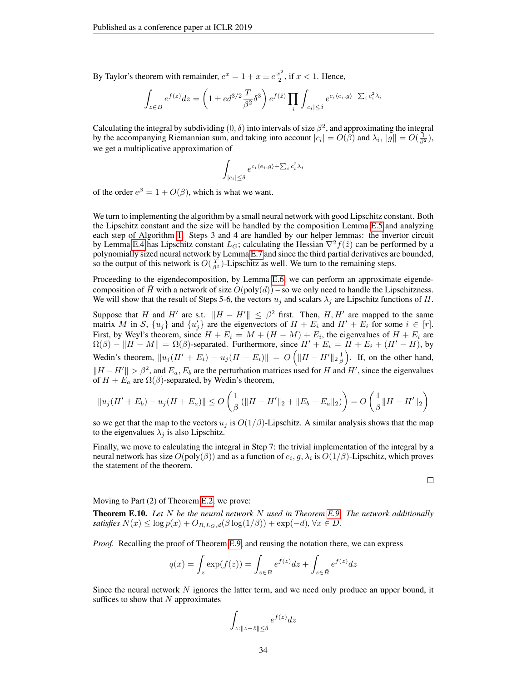By Taylor's theorem with remainder,  $e^x = 1 + x \pm e^{\frac{x^2}{2}}$  $\frac{x^2}{2}$ , if  $x < 1$ . Hence,

$$
\int_{z\in B} e^{f(z)}dz = \left(1\pm ed^{3/2}\frac{T}{\beta^2}\delta^3\right)e^{f(\hat{z})}\prod_i\int_{|c_i|\leq \delta} e^{c_i\langle e_i,g\rangle + \sum_i c_i^2\lambda_i}.
$$

Calculating the integral by subdividing  $(0, \delta)$  into intervals of size  $\beta^2$ , and approximating the integral by the accompanying Riemannian sum, and taking into account  $|c_i| = O(\tilde{\beta})$  and  $\lambda_i, ||g|| = O(\frac{1}{\beta^2})$ , we get a multiplicative approximation of

$$
\int_{|c_i| \le \delta} e^{c_i \langle e_i, g \rangle + \sum_i c_i^2 \lambda_i}
$$

of the order  $e^{\beta} = 1 + O(\beta)$ , which is what we want.

We turn to implementing the algorithm by a small neural network with good Lipschitz constant. Both the Lipschitz constant and the size will be handled by the composition Lemma [E.5](#page-29-5) and analyzing each step of Algorithm [1.](#page-31-0) Steps 3 and 4 are handled by our helper lemmas: the invertor circuit by Lemma [E.4](#page-28-0) has Lipschitz constant  $L_G$ ; calculating the Hessian  $\nabla^2 f(\hat{z})$  can be performed by a polynomially sized neural network by Lemma [E.7](#page-29-2) and since the third partial derivatives are bounded, so the output of this network is  $O(\frac{T}{\beta^2})$ -Lipschitz as well. We turn to the remaining steps.

Proceeding to the eigendecomposition, by Lemma [E.6,](#page-29-3) we can perform an approximate eigendecomposition of H with a network of size  $O(poly(d))$  – so we only need to handle the Lipschitzness. We will show that the result of Steps 5-6, the vectors  $u_j$  and scalars  $\lambda_j$  are Lipschitz functions of H.

Suppose that H and H' are s.t.  $\|H - H'\| \leq \beta^2$  first. Then, H, H' are mapped to the same matrix M in S,  $\{u_j\}$  and  $\{u'_j\}$  are the eigenvectors of  $H + E_i$  and  $H' + E_i$  for some  $i \in [r]$ . First, by Weyl's theorem, since  $H + E_i = M + (H - M) + E_i$ , the eigenvalues of  $H + E_i$  are  $\Omega(\beta) - ||H - M|| = \Omega(\beta)$ -separated. Furthermore, since  $H' + E_i = H + E_i + (H' - H)$ , by Wedin's theorem,  $\|u_j(H' + E_i) - u_j(H + E_i)\| = O\left(\|H - H'\|_2 \frac{1}{\beta}\right)$ . If, on the other hand,  $||H - H'|| > \beta^2$ , and  $E_a$ ,  $E_b$  are the perturbation matrices used for H and H', since the eigenvalues of  $H + E_a$  are  $\Omega(\beta)$ -separated, by Wedin's theorem,

$$
||u_j(H' + E_b) - u_j(H + E_a)|| \le O\left(\frac{1}{\beta} (||H - H'||_2 + ||E_b - E_a||_2) \right) = O\left(\frac{1}{\beta} ||H - H'||_2\right)
$$

so we get that the map to the vectors  $u_j$  is  $O(1/\beta)$ -Lipschitz. A similar analysis shows that the map to the eigenvalues  $\lambda_i$  is also Lipschitz.

Finally, we move to calculating the integral in Step 7: the trivial implementation of the integral by a neural network has size  $O(\text{poly}(\beta))$  and as a function of  $e_i, g, \lambda_i$  is  $O(1/\beta)$ -Lipschitz, which proves the statement of the theorem.

 $\Box$ 

Moving to Part (2) of Theorem [E.2,](#page-26-2) we prove:

Theorem E.10. *Let* N *be the neural network* N *used in Theorem [E.9.](#page-31-1) The network additionally satisfies*  $N(x) \leq \log p(x) + O_{R,L_G,d}(\beta \log(1/\beta)) + \exp(-d)$ ,  $\forall x \in D$ .

*Proof.* Recalling the proof of Theorem [E.9,](#page-31-1) and reusing the notation there, we can express

$$
q(x) = \int_{z} \exp(f(z)) = \int_{z \in B} e^{f(z)} dz + \int_{z \in \bar{B}} e^{f(z)} dz
$$

Since the neural network  $N$  ignores the latter term, and we need only produce an upper bound, it suffices to show that  $N$  approximates

$$
\int_{z:\|z-\hat{z}\|\leq \delta} e^{f(z)} dz
$$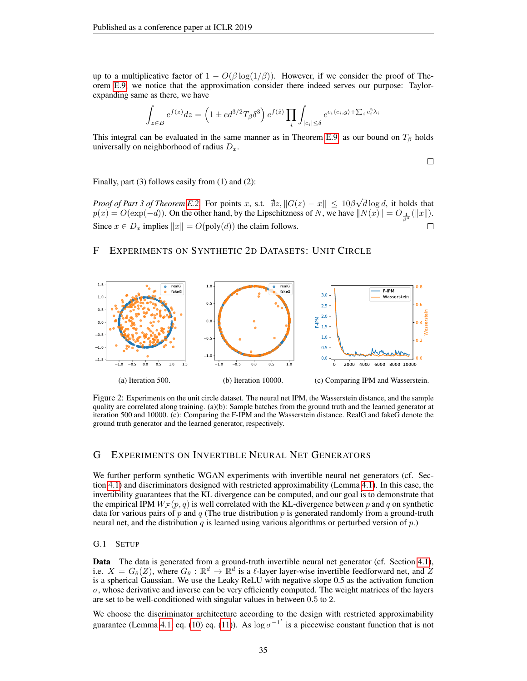up to a multiplicative factor of  $1 - O(\beta \log(1/\beta))$ . However, if we consider the proof of Theorem [E.9,](#page-31-1) we notice that the approximation consider there indeed serves our purpose: Taylorexpanding same as there, we have

$$
\int_{z \in B} e^{f(z)} dz = \left(1 \pm ed^{3/2}T_{\beta} \delta^3\right) e^{f(\hat{z})} \prod_i \int_{|c_i| \leq \delta} e^{c_i \langle e_i, g \rangle + \sum_i c_i^2 \lambda_i}
$$

This integral can be evaluated in the same manner as in Theorem [E.9,](#page-31-1) as our bound on  $T_\beta$  holds universally on neighborhood of radius  $D_x$ .

 $\Box$ 

Finally, part (3) follows easily from (1) and (2):

*Proof of Part 3 of Theorem [E.2.](#page-26-2)* For points x, s.t.  $\exists z, ||G(z) - x|| \leq 10\beta\sqrt{2}$  $d \log d$ , it holds that  $p(x) = O(\exp(-d))$ . On the other hand, by the Lipschitzness of N, we have  $||N(x)|| = O_{\frac{1}{\beta^4}}(||x||)$ . Since  $x \in D_x$  implies  $||x|| = O(poly(d))$  the claim follows.  $\Box$ 

# <span id="page-34-2"></span>F EXPERIMENTS ON SYNTHETIC 2D DATASETS: UNIT CIRCLE

<span id="page-34-1"></span>

Figure 2: Experiments on the unit circle dataset. The neural net IPM, the Wasserstein distance, and the sample quality are correlated along training. (a)(b): Sample batches from the ground truth and the learned generator at iteration 500 and 10000. (c): Comparing the F-IPM and the Wasserstein distance. RealG and fakeG denote the ground truth generator and the learned generator, respectively.

## <span id="page-34-0"></span>G EXPERIMENTS ON INVERTIBLE NEURAL NET GENERATORS

We further perform synthetic WGAN experiments with invertible neural net generators (cf. Section [4.1\)](#page-5-1) and discriminators designed with restricted approximability (Lemma [4.1\)](#page-6-2). In this case, the invertibility guarantees that the KL divergence can be computed, and our goal is to demonstrate that the empirical IPM  $W_{\mathcal{F}}(p,q)$  is well correlated with the KL-divergence between p and q on synthetic data for various pairs of  $p$  and  $q$  (The true distribution  $p$  is generated randomly from a ground-truth neural net, and the distribution q is learned using various algorithms or perturbed version of  $p$ .)

#### G.1 SETUP

Data The data is generated from a ground-truth invertible neural net generator (cf. Section [4.1\)](#page-5-1), i.e.  $X = G_{\theta}(Z)$ , where  $G_{\theta}: \mathbb{R}^d \to \mathbb{R}^d$  is a  $\ell$ -layer layer-wise invertible feedforward net, and  $Z$ is a spherical Gaussian. We use the Leaky ReLU with negative slope 0.5 as the activation function  $\sigma$ , whose derivative and inverse can be very efficiently computed. The weight matrices of the layers are set to be well-conditioned with singular values in between 0.5 to 2.

We choose the discriminator architecture according to the design with restricted approximability guarantee (Lemma [4.1,](#page-6-2) eq. [\(10\)](#page-6-3) eq. [\(11\)](#page-6-4)). As  $\log \sigma^{-1}$  is a piecewise constant function that is not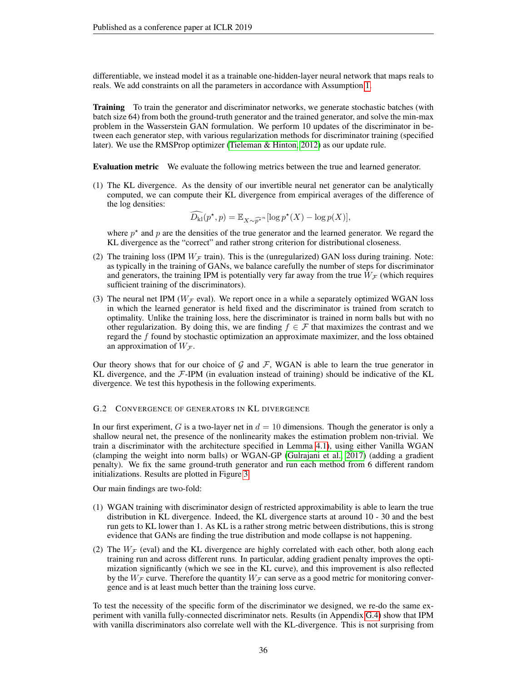differentiable, we instead model it as a trainable one-hidden-layer neural network that maps reals to reals. We add constraints on all the parameters in accordance with Assumption [1.](#page-5-6)

Training To train the generator and discriminator networks, we generate stochastic batches (with batch size 64) from both the ground-truth generator and the trained generator, and solve the min-max problem in the Wasserstein GAN formulation. We perform 10 updates of the discriminator in between each generator step, with various regularization methods for discriminator training (specified later). We use the RMSProp optimizer [\(Tieleman & Hinton, 2012\)](#page-11-11) as our update rule.

Evaluation metric We evaluate the following metrics between the true and learned generator.

(1) The KL divergence. As the density of our invertible neural net generator can be analytically computed, we can compute their KL divergence from empirical averages of the difference of the log densities:

$$
\widehat{D_{\mathrm{kl}}}(p^\star, p) = \mathbb{E}_{X \sim \widehat{p^\star}^n} [\log p^\star(X) - \log p(X)],
$$

where  $p^*$  and p are the densities of the true generator and the learned generator. We regard the KL divergence as the "correct" and rather strong criterion for distributional closeness.

- (2) The training loss (IPM  $W_F$  train). This is the (unregularized) GAN loss during training. Note: as typically in the training of GANs, we balance carefully the number of steps for discriminator and generators, the training IPM is potentially very far away from the true  $W_F$  (which requires sufficient training of the discriminators).
- (3) The neural net IPM ( $W_F$  eval). We report once in a while a separately optimized WGAN loss in which the learned generator is held fixed and the discriminator is trained from scratch to optimality. Unlike the training loss, here the discriminator is trained in norm balls but with no other regularization. By doing this, we are finding  $f \in \mathcal{F}$  that maximizes the contrast and we regard the f found by stochastic optimization an approximate maximizer, and the loss obtained an approximation of  $W_{\mathcal{F}}$ .

Our theory shows that for our choice of  $G$  and  $F$ , WGAN is able to learn the true generator in KL divergence, and the  $\mathcal{F}\text{-IPM}$  (in evaluation instead of training) should be indicative of the KL divergence. We test this hypothesis in the following experiments.

## <span id="page-35-0"></span>G.2 CONVERGENCE OF GENERATORS IN KL DIVERGENCE

In our first experiment, G is a two-layer net in  $d = 10$  dimensions. Though the generator is only a shallow neural net, the presence of the nonlinearity makes the estimation problem non-trivial. We train a discriminator with the architecture specified in Lemma [4.1\)](#page-6-2), using either Vanilla WGAN (clamping the weight into norm balls) or WGAN-GP [\(Gulrajani et al., 2017\)](#page-10-16) (adding a gradient penalty). We fix the same ground-truth generator and run each method from 6 different random initializations. Results are plotted in Figure [3.](#page-36-0)

Our main findings are two-fold:

- (1) WGAN training with discriminator design of restricted approximability is able to learn the true distribution in KL divergence. Indeed, the KL divergence starts at around 10 - 30 and the best run gets to KL lower than 1. As KL is a rather strong metric between distributions, this is strong evidence that GANs are finding the true distribution and mode collapse is not happening.
- (2) The  $W_F$  (eval) and the KL divergence are highly correlated with each other, both along each training run and across different runs. In particular, adding gradient penalty improves the optimization significantly (which we see in the KL curve), and this improvement is also reflected by the  $W_{\mathcal{F}}$  curve. Therefore the quantity  $W_{\mathcal{F}}$  can serve as a good metric for monitoring convergence and is at least much better than the training loss curve.

To test the necessity of the specific form of the discriminator we designed, we re-do the same experiment with vanilla fully-connected discriminator nets. Results (in Appendix [G.4\)](#page-37-0) show that IPM with vanilla discriminators also correlate well with the KL-divergence. This is not surprising from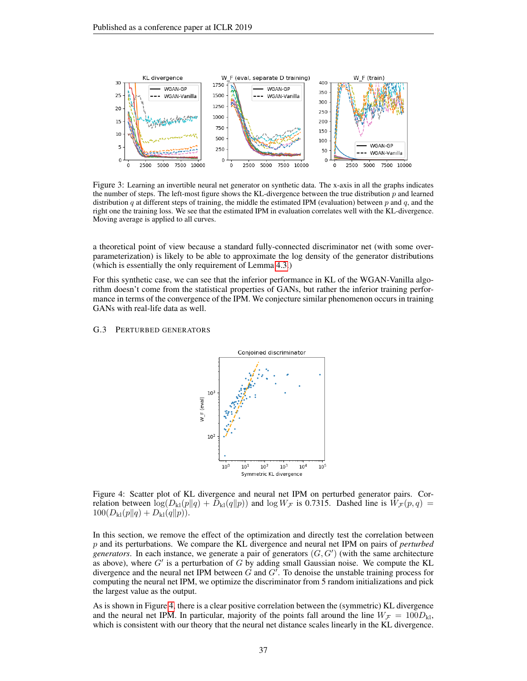<span id="page-36-0"></span>

Figure 3: Learning an invertible neural net generator on synthetic data. The x-axis in all the graphs indicates the number of steps. The left-most figure shows the KL-divergence between the true distribution  $p$  and learned distribution  $q$  at different steps of training, the middle the estimated IPM (evaluation) between  $p$  and  $q$ , and the right one the training loss. We see that the estimated IPM in evaluation correlates well with the KL-divergence. Moving average is applied to all curves.

a theoretical point of view because a standard fully-connected discriminator net (with some overparameterization) is likely to be able to approximate the log density of the generator distributions (which is essentially the only requirement of Lemma [4.3.](#page-6-0))

For this synthetic case, we can see that the inferior performance in KL of the WGAN-Vanilla algorithm doesn't come from the statistical properties of GANs, but rather the inferior training performance in terms of the convergence of the IPM. We conjecture similar phenomenon occurs in training GANs with real-life data as well.

#### <span id="page-36-1"></span>G.3 PERTURBED GENERATORS



Figure 4: Scatter plot of KL divergence and neural net IPM on perturbed generator pairs. Correlation between  $\log(D_{\rm kl}(p||q) + D_{\rm kl}(q||p))$  and  $\log W_{\mathcal{F}}$  is 0.7315. Dashed line is  $W_{\mathcal{F}}(p,q) =$  $100(D_{kl}(p||q) + D_{kl}(q||p)).$ 

In this section, we remove the effect of the optimization and directly test the correlation between p and its perturbations. We compare the KL divergence and neural net IPM on pairs of *perturbed generators*. In each instance, we generate a pair of generators  $(G, G')$  (with the same architecture as above), where  $G'$  is a perturbation of G by adding small Gaussian noise. We compute the KL divergence and the neural net IPM between  $\tilde{G}$  and  $G'$ . To denoise the unstable training process for computing the neural net IPM, we optimize the discriminator from 5 random initializations and pick the largest value as the output.

As is shown in Figure [4,](#page-36-1) there is a clear positive correlation between the (symmetric) KL divergence and the neural net IPM. In particular, majority of the points fall around the line  $W_F = 100D_{kl}$ , which is consistent with our theory that the neural net distance scales linearly in the KL divergence.